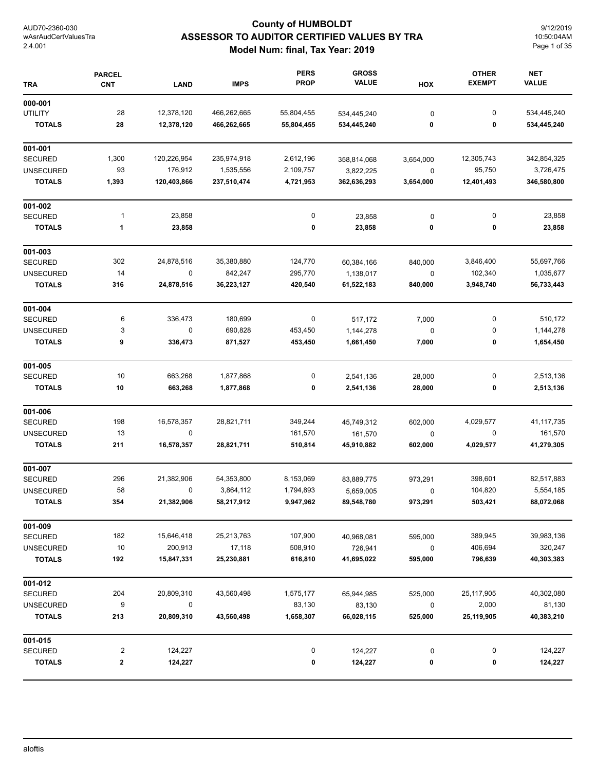## **County of HUMBOLDT ASSESSOR TO AUDITOR CERTIFIED VALUES BY TRA Model Num: final, Tax Year: 2019**

9/12/2019 10:50:04AM Page 1 of 35

| <b>TRA</b>       | <b>PARCEL</b><br><b>CNT</b> | <b>LAND</b> | <b>IMPS</b> | <b>PERS</b><br><b>PROP</b> | <b>GROSS</b><br><b>VALUE</b> | HOX       | <b>OTHER</b><br><b>EXEMPT</b> | <b>NET</b><br><b>VALUE</b> |
|------------------|-----------------------------|-------------|-------------|----------------------------|------------------------------|-----------|-------------------------------|----------------------------|
| 000-001          |                             |             |             |                            |                              |           |                               |                            |
| <b>UTILITY</b>   | 28                          | 12,378,120  | 466,262,665 | 55,804,455                 | 534,445,240                  | 0         | 0                             | 534,445,240                |
| <b>TOTALS</b>    | 28                          | 12,378,120  | 466,262,665 | 55,804,455                 | 534,445,240                  | 0         | 0                             | 534,445,240                |
| 001-001          |                             |             |             |                            |                              |           |                               |                            |
| <b>SECURED</b>   | 1,300                       | 120,226,954 | 235,974,918 | 2,612,196                  | 358,814,068                  | 3,654,000 | 12,305,743                    | 342,854,325                |
| <b>UNSECURED</b> | 93                          | 176,912     | 1,535,556   | 2,109,757                  | 3,822,225                    | 0         | 95,750                        | 3,726,475                  |
| <b>TOTALS</b>    | 1,393                       | 120,403,866 | 237,510,474 | 4,721,953                  | 362,636,293                  | 3,654,000 | 12,401,493                    | 346,580,800                |
| 001-002          |                             |             |             |                            |                              |           |                               |                            |
| <b>SECURED</b>   | $\mathbf{1}$                | 23,858      |             | 0                          | 23,858                       | 0         | 0                             | 23,858                     |
| <b>TOTALS</b>    | $\mathbf{1}$                | 23,858      |             | 0                          | 23,858                       | 0         | 0                             | 23,858                     |
| 001-003          |                             |             |             |                            |                              |           |                               |                            |
| <b>SECURED</b>   | 302                         | 24,878,516  | 35,380,880  | 124,770                    | 60,384,166                   | 840,000   | 3,846,400                     | 55,697,766                 |
| <b>UNSECURED</b> | 14                          | 0           | 842,247     | 295,770                    | 1,138,017                    | $\pmb{0}$ | 102,340                       | 1,035,677                  |
| <b>TOTALS</b>    | 316                         | 24,878,516  | 36,223,127  | 420,540                    | 61,522,183                   | 840,000   | 3,948,740                     | 56,733,443                 |
| 001-004          |                             |             |             |                            |                              |           |                               |                            |
| <b>SECURED</b>   | 6                           | 336,473     | 180,699     | 0                          | 517,172                      | 7,000     | 0                             | 510,172                    |
| <b>UNSECURED</b> | 3                           | $\mathbf 0$ | 690,828     | 453,450                    | 1,144,278                    | 0         | 0                             | 1,144,278                  |
| <b>TOTALS</b>    | 9                           | 336,473     | 871,527     | 453,450                    | 1,661,450                    | 7,000     | 0                             | 1,654,450                  |
| 001-005          |                             |             |             |                            |                              |           |                               |                            |
| <b>SECURED</b>   | 10                          | 663,268     | 1,877,868   | 0                          | 2,541,136                    | 28,000    | 0                             | 2,513,136                  |
| <b>TOTALS</b>    | 10                          | 663,268     | 1,877,868   | 0                          | 2,541,136                    | 28,000    | 0                             | 2,513,136                  |
| 001-006          |                             |             |             |                            |                              |           |                               |                            |
| <b>SECURED</b>   | 198                         | 16,578,357  | 28,821,711  | 349,244                    | 45,749,312                   | 602,000   | 4,029,577                     | 41, 117, 735               |
| <b>UNSECURED</b> | 13                          | 0           |             | 161,570                    | 161,570                      | 0         | 0                             | 161,570                    |
| <b>TOTALS</b>    | 211                         | 16,578,357  | 28,821,711  | 510,814                    | 45,910,882                   | 602,000   | 4,029,577                     | 41,279,305                 |
| 001-007          |                             |             |             |                            |                              |           |                               |                            |
| <b>SECURED</b>   | 296                         | 21,382,906  | 54,353,800  | 8,153,069                  | 83,889,775                   | 973,291   | 398,601                       | 82,517,883                 |
| <b>UNSECURED</b> | 58                          | 0           | 3,864,112   | 1,794,893                  | 5,659,005                    | $\pmb{0}$ | 104,820                       | 5,554,185                  |
| TOTALS           | 354                         | 21,382,906  | 58,217,912  | 9,947,962                  | 89,548,780                   | 973,291   | 503,421                       | 88,072,068                 |
| 001-009          |                             |             |             |                            |                              |           |                               |                            |
| <b>SECURED</b>   | 182                         | 15,646,418  | 25,213,763  | 107,900                    | 40,968,081                   | 595,000   | 389,945                       | 39,983,136                 |
| <b>UNSECURED</b> | 10                          | 200,913     | 17,118      | 508,910                    | 726,941                      | $\pmb{0}$ | 406,694                       | 320,247                    |
| <b>TOTALS</b>    | 192                         | 15,847,331  | 25,230,881  | 616,810                    | 41,695,022                   | 595,000   | 796,639                       | 40,303,383                 |
| 001-012          |                             |             |             |                            |                              |           |                               |                            |
| <b>SECURED</b>   | 204                         | 20,809,310  | 43,560,498  | 1,575,177                  | 65,944,985                   | 525,000   | 25, 117, 905                  | 40,302,080                 |
| <b>UNSECURED</b> | 9                           | 0           |             | 83,130                     | 83,130                       | 0         | 2,000                         | 81,130                     |
| <b>TOTALS</b>    | 213                         | 20,809,310  | 43,560,498  | 1,658,307                  | 66,028,115                   | 525,000   | 25,119,905                    | 40,383,210                 |
| 001-015          |                             |             |             |                            |                              |           |                               |                            |
| <b>SECURED</b>   | 2                           | 124,227     |             | 0                          | 124,227                      | 0         | 0                             | 124,227                    |
| <b>TOTALS</b>    | 2                           | 124,227     |             | 0                          | 124,227                      | 0         | 0                             | 124,227                    |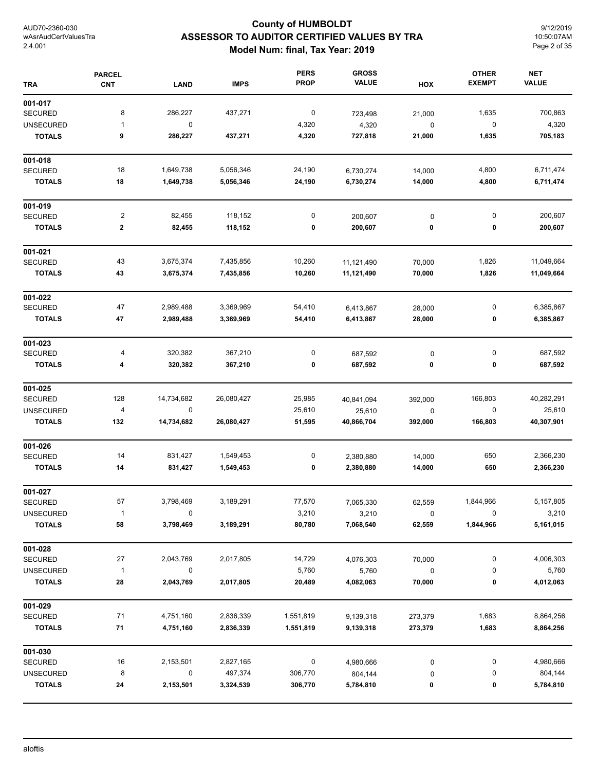## **County of HUMBOLDT ASSESSOR TO AUDITOR CERTIFIED VALUES BY TRA Model Num: final, Tax Year: 2019**

9/12/2019 10:50:07AM Page 2 of 35

| <b>TRA</b>       | <b>PARCEL</b><br><b>CNT</b> | <b>LAND</b> | <b>IMPS</b> | <b>PERS</b><br><b>PROP</b> | <b>GROSS</b><br><b>VALUE</b> | HOX         | <b>OTHER</b><br><b>EXEMPT</b> | <b>NET</b><br><b>VALUE</b> |
|------------------|-----------------------------|-------------|-------------|----------------------------|------------------------------|-------------|-------------------------------|----------------------------|
| 001-017          |                             |             |             |                            |                              |             |                               |                            |
| <b>SECURED</b>   | 8                           | 286,227     | 437,271     | 0                          | 723,498                      | 21,000      | 1,635                         | 700,863                    |
| <b>UNSECURED</b> | 1                           | $\mathbf 0$ |             | 4,320                      | 4,320                        | $\mathbf 0$ | 0                             | 4,320                      |
| <b>TOTALS</b>    | 9                           | 286,227     | 437,271     | 4,320                      | 727,818                      | 21,000      | 1,635                         | 705,183                    |
| 001-018          |                             |             |             |                            |                              |             |                               |                            |
| <b>SECURED</b>   | 18                          | 1,649,738   | 5,056,346   | 24,190                     | 6,730,274                    | 14,000      | 4,800                         | 6,711,474                  |
| <b>TOTALS</b>    | 18                          | 1,649,738   | 5,056,346   | 24,190                     | 6,730,274                    | 14,000      | 4,800                         | 6,711,474                  |
| 001-019          |                             |             |             |                            |                              |             |                               |                            |
| <b>SECURED</b>   | 2                           | 82,455      | 118,152     | $\pmb{0}$                  | 200,607                      | 0           | 0                             | 200,607                    |
| <b>TOTALS</b>    | $\mathbf 2$                 | 82,455      | 118,152     | 0                          | 200,607                      | 0           | 0                             | 200,607                    |
| 001-021          |                             |             |             |                            |                              |             |                               |                            |
| SECURED          | 43                          | 3,675,374   | 7,435,856   | 10,260                     | 11,121,490                   | 70,000      | 1,826                         | 11,049,664                 |
| <b>TOTALS</b>    | 43                          | 3,675,374   | 7,435,856   | 10,260                     | 11,121,490                   | 70,000      | 1,826                         | 11,049,664                 |
| 001-022          |                             |             |             |                            |                              |             |                               |                            |
| <b>SECURED</b>   | 47                          | 2,989,488   | 3,369,969   | 54,410                     | 6,413,867                    | 28,000      | 0                             | 6,385,867                  |
| <b>TOTALS</b>    | 47                          | 2,989,488   | 3,369,969   | 54,410                     | 6,413,867                    | 28,000      | 0                             | 6,385,867                  |
| 001-023          |                             |             |             |                            |                              |             |                               |                            |
| <b>SECURED</b>   | 4                           | 320,382     | 367,210     | 0                          | 687,592                      | 0           | 0                             | 687,592                    |
| <b>TOTALS</b>    | 4                           | 320,382     | 367,210     | 0                          | 687,592                      | 0           | 0                             | 687,592                    |
| 001-025          |                             |             |             |                            |                              |             |                               |                            |
| <b>SECURED</b>   | 128                         | 14,734,682  | 26,080,427  | 25,985                     | 40,841,094                   | 392,000     | 166,803                       | 40,282,291                 |
| <b>UNSECURED</b> | 4                           | $\mathbf 0$ |             | 25,610                     | 25,610                       | 0           | 0                             | 25,610                     |
| <b>TOTALS</b>    | 132                         | 14,734,682  | 26,080,427  | 51,595                     | 40,866,704                   | 392,000     | 166,803                       | 40,307,901                 |
| 001-026          |                             |             |             |                            |                              |             |                               |                            |
| <b>SECURED</b>   | 14                          | 831,427     | 1,549,453   | 0                          | 2,380,880                    | 14,000      | 650                           | 2,366,230                  |
| <b>TOTALS</b>    | 14                          | 831,427     | 1,549,453   | 0                          | 2,380,880                    | 14,000      | 650                           | 2,366,230                  |
| 001-027          |                             |             |             |                            |                              |             |                               |                            |
| SECURED          | 57                          | 3,798,469   | 3,189,291   | 77,570                     | 7,065,330                    | 62,559      | 1,844,966                     | 5,157,805                  |
| <b>UNSECURED</b> | 1                           | 0           |             | 3,210                      | 3,210                        | 0           | 0                             | 3,210                      |
| <b>TOTALS</b>    | 58                          | 3,798,469   | 3,189,291   | 80,780                     | 7,068,540                    | 62,559      | 1,844,966                     | 5,161,015                  |
| 001-028          |                             |             |             |                            |                              |             |                               |                            |
| SECURED          | 27                          | 2,043,769   | 2,017,805   | 14,729                     | 4,076,303                    | 70,000      | 0                             | 4,006,303                  |
| <b>UNSECURED</b> | $\mathbf{1}$                | $\pmb{0}$   |             | 5,760                      | 5,760                        | $\mathbf 0$ | 0                             | 5,760                      |
| <b>TOTALS</b>    | 28                          | 2,043,769   | 2,017,805   | 20,489                     | 4,082,063                    | 70,000      | 0                             | 4,012,063                  |
| 001-029          |                             |             |             |                            |                              |             |                               |                            |
| <b>SECURED</b>   | 71                          | 4,751,160   | 2,836,339   | 1,551,819                  | 9,139,318                    | 273,379     | 1,683                         | 8,864,256                  |
| <b>TOTALS</b>    | 71                          | 4,751,160   | 2,836,339   | 1,551,819                  | 9,139,318                    | 273,379     | 1,683                         | 8,864,256                  |
| 001-030          |                             |             |             |                            |                              |             |                               |                            |
| <b>SECURED</b>   | 16                          | 2,153,501   | 2,827,165   | 0                          | 4,980,666                    | 0           | 0                             | 4,980,666                  |
| <b>UNSECURED</b> | 8                           | $\mathbf 0$ | 497,374     | 306,770                    | 804,144                      | 0           | 0                             | 804,144                    |
| <b>TOTALS</b>    | 24                          | 2,153,501   | 3,324,539   | 306,770                    | 5,784,810                    | 0           | 0                             | 5,784,810                  |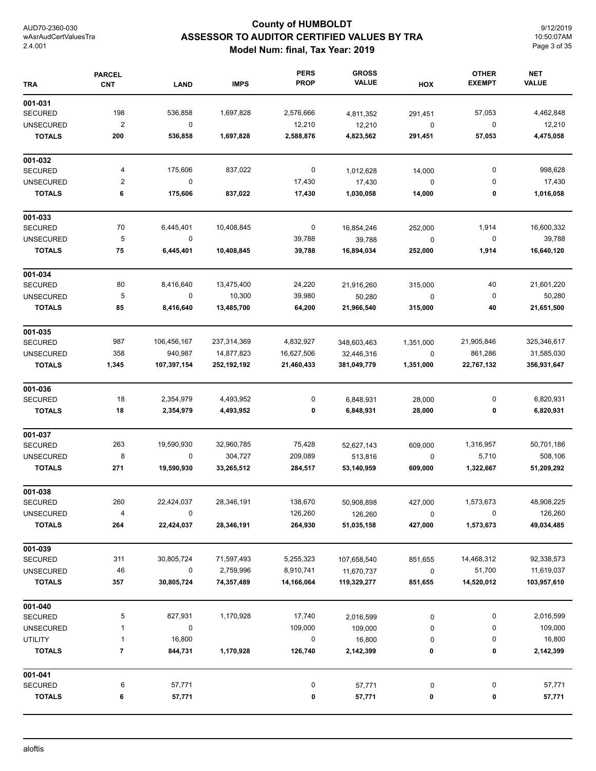## **County of HUMBOLDT ASSESSOR TO AUDITOR CERTIFIED VALUES BY TRA Model Num: final, Tax Year: 2019**

9/12/2019 10:50:07AM Page 3 of 35

| <b>TRA</b>       | <b>PARCEL</b><br><b>CNT</b> | <b>LAND</b> | <b>IMPS</b>   | <b>PERS</b><br><b>PROP</b> | <b>GROSS</b><br><b>VALUE</b> | HOX         | <b>OTHER</b><br><b>EXEMPT</b> | <b>NET</b><br><b>VALUE</b> |
|------------------|-----------------------------|-------------|---------------|----------------------------|------------------------------|-------------|-------------------------------|----------------------------|
| 001-031          |                             |             |               |                            |                              |             |                               |                            |
| <b>SECURED</b>   | 198                         | 536,858     | 1,697,828     | 2,576,666                  | 4,811,352                    | 291,451     | 57,053                        | 4,462,848                  |
| <b>UNSECURED</b> | $\overline{2}$              | $\pmb{0}$   |               | 12,210                     | 12,210                       | $\pmb{0}$   | 0                             | 12,210                     |
| <b>TOTALS</b>    | 200                         | 536,858     | 1,697,828     | 2,588,876                  | 4,823,562                    | 291,451     | 57,053                        | 4,475,058                  |
| 001-032          |                             |             |               |                            |                              |             |                               |                            |
| <b>SECURED</b>   | 4                           | 175,606     | 837,022       | 0                          | 1,012,628                    | 14,000      | 0                             | 998,628                    |
| <b>UNSECURED</b> | $\overline{2}$              | $\mathbf 0$ |               | 17,430                     | 17,430                       | $\pmb{0}$   | 0                             | 17,430                     |
| <b>TOTALS</b>    | 6                           | 175,606     | 837,022       | 17,430                     | 1,030,058                    | 14,000      | 0                             | 1,016,058                  |
| 001-033          |                             |             |               |                            |                              |             |                               |                            |
| <b>SECURED</b>   | 70                          | 6,445,401   | 10,408,845    | 0                          | 16,854,246                   | 252,000     | 1,914                         | 16,600,332                 |
| <b>UNSECURED</b> | 5                           | $\mathbf 0$ |               | 39,788                     | 39,788                       | $\mathbf 0$ | 0                             | 39,788                     |
| <b>TOTALS</b>    | 75                          | 6,445,401   | 10,408,845    | 39,788                     | 16,894,034                   | 252,000     | 1,914                         | 16,640,120                 |
| 001-034          |                             |             |               |                            |                              |             |                               |                            |
| <b>SECURED</b>   | 80                          | 8,416,640   | 13,475,400    | 24,220                     | 21,916,260                   | 315,000     | 40                            | 21,601,220                 |
| <b>UNSECURED</b> | 5                           | 0           | 10,300        | 39,980                     | 50,280                       | $\pmb{0}$   | 0                             | 50,280                     |
| <b>TOTALS</b>    | 85                          | 8,416,640   | 13,485,700    | 64,200                     | 21,966,540                   | 315,000     | 40                            | 21,651,500                 |
| 001-035          |                             |             |               |                            |                              |             |                               |                            |
| <b>SECURED</b>   | 987                         | 106,456,167 | 237,314,369   | 4,832,927                  | 348,603,463                  | 1,351,000   | 21,905,846                    | 325,346,617                |
| <b>UNSECURED</b> | 358                         | 940,987     | 14,877,823    | 16,627,506                 | 32,446,316                   | $\mathbf 0$ | 861,286                       | 31,585,030                 |
| <b>TOTALS</b>    | 1,345                       | 107,397,154 | 252, 192, 192 | 21,460,433                 | 381,049,779                  | 1,351,000   | 22,767,132                    | 356,931,647                |
| 001-036          |                             |             |               |                            |                              |             |                               |                            |
| <b>SECURED</b>   | 18                          | 2,354,979   | 4,493,952     | 0                          | 6,848,931                    | 28,000      | 0                             | 6,820,931                  |
| <b>TOTALS</b>    | 18                          | 2,354,979   | 4,493,952     | 0                          | 6,848,931                    | 28,000      | 0                             | 6,820,931                  |
| 001-037          |                             |             |               |                            |                              |             |                               |                            |
| <b>SECURED</b>   | 263                         | 19,590,930  | 32,960,785    | 75,428                     | 52,627,143                   | 609,000     | 1,316,957                     | 50,701,186                 |
| <b>UNSECURED</b> | 8                           | $\mathbf 0$ | 304,727       | 209,089                    | 513,816                      | 0           | 5,710                         | 508,106                    |
| <b>TOTALS</b>    | 271                         | 19,590,930  | 33,265,512    | 284,517                    | 53,140,959                   | 609,000     | 1,322,667                     | 51,209,292                 |
| 001-038          |                             |             |               |                            |                              |             |                               |                            |
| <b>SECURED</b>   | 260                         | 22,424,037  | 28,346,191    | 138,670                    | 50,908,898                   | 427,000     | 1,573,673                     | 48,908,225                 |
| <b>UNSECURED</b> | 4                           | 0           |               | 126,260                    | 126,260                      | 0           | 0                             | 126,260                    |
| <b>TOTALS</b>    | 264                         | 22,424,037  | 28,346,191    | 264,930                    | 51,035,158                   | 427,000     | 1,573,673                     | 49,034,485                 |
| 001-039          |                             |             |               |                            |                              |             |                               |                            |
| <b>SECURED</b>   | 311                         | 30,805,724  | 71,597,493    | 5,255,323                  | 107,658,540                  | 851,655     | 14,468,312                    | 92,338,573                 |
| <b>UNSECURED</b> | 46                          | 0           | 2,759,996     | 8,910,741                  | 11,670,737                   | $\pmb{0}$   | 51,700                        | 11,619,037                 |
| <b>TOTALS</b>    | 357                         | 30,805,724  | 74,357,489    | 14,166,064                 | 119,329,277                  | 851,655     | 14,520,012                    | 103,957,610                |
| 001-040          |                             |             |               |                            |                              |             |                               |                            |
| <b>SECURED</b>   | 5                           | 827,931     | 1,170,928     | 17,740                     | 2,016,599                    | $\pmb{0}$   | 0                             | 2,016,599                  |
| <b>UNSECURED</b> | $\mathbf{1}$                | 0           |               | 109,000                    | 109,000                      | $\pmb{0}$   | 0                             | 109,000                    |
| UTILITY          | $\mathbf{1}$                | 16,800      |               | 0                          | 16,800                       | 0           | 0                             | 16,800                     |
| <b>TOTALS</b>    | 7                           | 844,731     | 1,170,928     | 126,740                    | 2,142,399                    | 0           | 0                             | 2,142,399                  |
| 001-041          |                             |             |               |                            |                              |             |                               |                            |
| <b>SECURED</b>   | 6                           | 57,771      |               | 0                          | 57,771                       | 0           | 0                             | 57,771                     |
| <b>TOTALS</b>    | 6                           | 57,771      |               | 0                          | 57,771                       | 0           | 0                             | 57,771                     |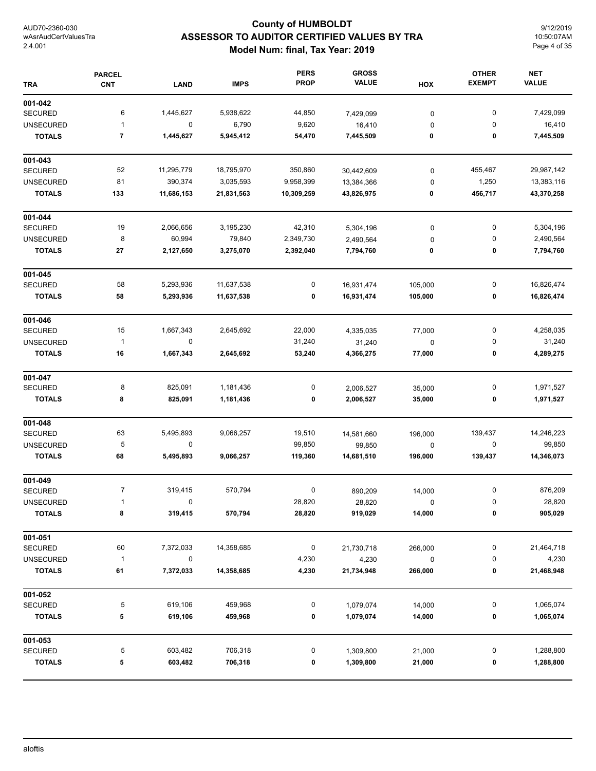## **County of HUMBOLDT ASSESSOR TO AUDITOR CERTIFIED VALUES BY TRA Model Num: final, Tax Year: 2019**

9/12/2019 10:50:07AM Page 4 of 35

| <b>TRA</b>       | <b>PARCEL</b><br><b>CNT</b> | <b>LAND</b> | <b>IMPS</b> | <b>PERS</b><br><b>PROP</b> | <b>GROSS</b><br><b>VALUE</b> | HOX         | <b>OTHER</b><br><b>EXEMPT</b> | <b>NET</b><br><b>VALUE</b> |
|------------------|-----------------------------|-------------|-------------|----------------------------|------------------------------|-------------|-------------------------------|----------------------------|
| 001-042          |                             |             |             |                            |                              |             |                               |                            |
| <b>SECURED</b>   | 6                           | 1,445,627   | 5,938,622   | 44,850                     | 7,429,099                    | $\pmb{0}$   | 0                             | 7,429,099                  |
| <b>UNSECURED</b> | 1                           | 0           | 6,790       | 9,620                      | 16,410                       | 0           | 0                             | 16,410                     |
| <b>TOTALS</b>    | 7                           | 1,445,627   | 5,945,412   | 54,470                     | 7,445,509                    | 0           | 0                             | 7,445,509                  |
| 001-043          |                             |             |             |                            |                              |             |                               |                            |
| <b>SECURED</b>   | 52                          | 11,295,779  | 18,795,970  | 350,860                    | 30,442,609                   | 0           | 455,467                       | 29,987,142                 |
| <b>UNSECURED</b> | 81                          | 390,374     | 3,035,593   | 9,958,399                  | 13,384,366                   | 0           | 1,250                         | 13,383,116                 |
| <b>TOTALS</b>    | 133                         | 11,686,153  | 21,831,563  | 10,309,259                 | 43,826,975                   | 0           | 456,717                       | 43,370,258                 |
| 001-044          |                             |             |             |                            |                              |             |                               |                            |
| <b>SECURED</b>   | 19                          | 2,066,656   | 3,195,230   | 42,310                     | 5,304,196                    | 0           | $\pmb{0}$                     | 5,304,196                  |
| <b>UNSECURED</b> | 8                           | 60,994      | 79,840      | 2,349,730                  | 2,490,564                    | 0           | 0                             | 2,490,564                  |
| <b>TOTALS</b>    | 27                          | 2,127,650   | 3,275,070   | 2,392,040                  | 7,794,760                    | 0           | 0                             | 7,794,760                  |
| 001-045          |                             |             |             |                            |                              |             |                               |                            |
| <b>SECURED</b>   | 58                          | 5,293,936   | 11,637,538  | 0                          | 16,931,474                   | 105,000     | 0                             | 16,826,474                 |
| <b>TOTALS</b>    | 58                          | 5,293,936   | 11,637,538  | 0                          | 16,931,474                   | 105,000     | 0                             | 16,826,474                 |
| 001-046          |                             |             |             |                            |                              |             |                               |                            |
| <b>SECURED</b>   | 15                          | 1,667,343   | 2,645,692   | 22,000                     | 4,335,035                    | 77,000      | 0                             | 4,258,035                  |
| <b>UNSECURED</b> | $\mathbf{1}$                | 0           |             | 31,240                     | 31,240                       | $\pmb{0}$   | 0                             | 31,240                     |
| <b>TOTALS</b>    | 16                          | 1,667,343   | 2,645,692   | 53,240                     | 4,366,275                    | 77,000      | 0                             | 4,289,275                  |
| 001-047          |                             |             |             |                            |                              |             |                               |                            |
| <b>SECURED</b>   | 8                           | 825,091     | 1,181,436   | 0                          | 2,006,527                    | 35,000      | 0                             | 1,971,527                  |
| <b>TOTALS</b>    | 8                           | 825,091     | 1,181,436   | 0                          | 2,006,527                    | 35,000      | 0                             | 1,971,527                  |
| 001-048          |                             |             |             |                            |                              |             |                               |                            |
| <b>SECURED</b>   | 63                          | 5,495,893   | 9,066,257   | 19,510                     | 14,581,660                   | 196,000     | 139,437                       | 14,246,223                 |
| <b>UNSECURED</b> | 5                           | 0           |             | 99,850                     | 99,850                       | $\mathbf 0$ | 0                             | 99,850                     |
| <b>TOTALS</b>    | 68                          | 5,495,893   | 9,066,257   | 119,360                    | 14,681,510                   | 196,000     | 139,437                       | 14,346,073                 |
| 001-049          |                             |             |             |                            |                              |             |                               |                            |
| <b>SECURED</b>   | $\overline{7}$              | 319,415     | 570,794     | 0                          | 890,209                      | 14,000      | 0                             | 876,209                    |
| UNSECURED        | 1                           | $\Omega$    |             | 28,820                     | 28,820                       | 0           | 0                             | 28,820                     |
| <b>TOTALS</b>    | 8                           | 319,415     | 570,794     | 28,820                     | 919,029                      | 14,000      | 0                             | 905,029                    |
| 001-051          |                             |             |             |                            |                              |             |                               |                            |
| <b>SECURED</b>   | 60                          | 7,372,033   | 14,358,685  | 0                          | 21,730,718                   | 266,000     | 0                             | 21,464,718                 |
| <b>UNSECURED</b> | 1                           | 0           |             | 4,230                      | 4,230                        | $\pmb{0}$   | 0                             | 4,230                      |
| <b>TOTALS</b>    | 61                          | 7,372,033   | 14,358,685  | 4,230                      | 21,734,948                   | 266,000     | 0                             | 21,468,948                 |
| 001-052          |                             |             |             |                            |                              |             |                               |                            |
| SECURED          | 5                           | 619,106     | 459,968     | 0                          | 1,079,074                    | 14,000      | 0                             | 1,065,074                  |
| <b>TOTALS</b>    | 5                           | 619,106     | 459,968     | 0                          | 1,079,074                    | 14,000      | 0                             | 1,065,074                  |
| 001-053          |                             |             |             |                            |                              |             |                               |                            |
| SECURED          | 5                           | 603,482     | 706,318     | 0                          | 1,309,800                    | 21,000      | 0                             | 1,288,800                  |
| <b>TOTALS</b>    | 5                           | 603,482     | 706,318     | 0                          | 1,309,800                    | 21,000      | 0                             | 1,288,800                  |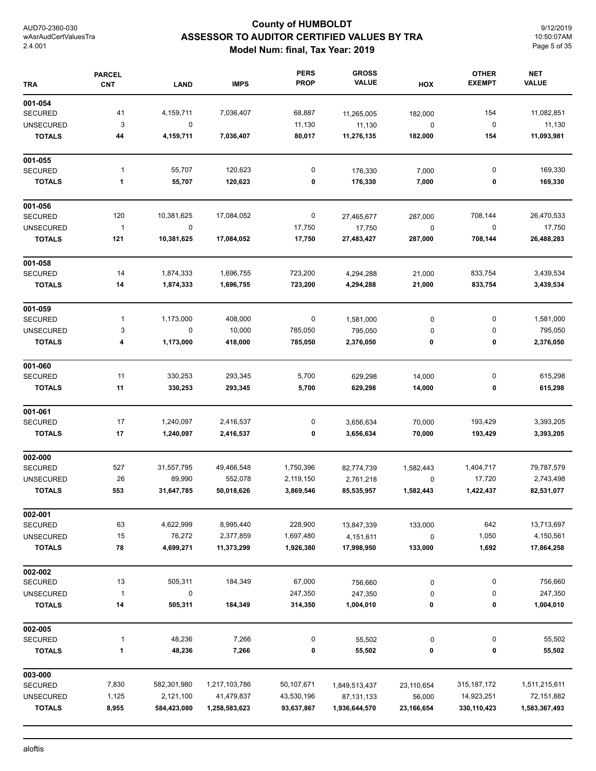## **County of HUMBOLDT ASSESSOR TO AUDITOR CERTIFIED VALUES BY TRA Model Num: final, Tax Year: 2019**

9/12/2019 10:50:07AM Page 5 of 35

| <b>TRA</b>       | <b>PARCEL</b><br><b>CNT</b> | <b>LAND</b> | <b>IMPS</b>   | <b>PERS</b><br><b>PROP</b> | <b>GROSS</b><br><b>VALUE</b> | HOX        | <b>OTHER</b><br><b>EXEMPT</b> | <b>NET</b><br><b>VALUE</b> |
|------------------|-----------------------------|-------------|---------------|----------------------------|------------------------------|------------|-------------------------------|----------------------------|
| 001-054          |                             |             |               |                            |                              |            |                               |                            |
| <b>SECURED</b>   | 41                          | 4,159,711   | 7,036,407     | 68,887                     | 11,265,005                   | 182,000    | 154                           | 11,082,851                 |
| <b>UNSECURED</b> | 3                           | 0           |               | 11,130                     | 11,130                       | $\pmb{0}$  | $\pmb{0}$                     | 11,130                     |
| <b>TOTALS</b>    | 44                          | 4,159,711   | 7,036,407     | 80,017                     | 11,276,135                   | 182,000    | 154                           | 11,093,981                 |
| 001-055          |                             |             |               |                            |                              |            |                               |                            |
| <b>SECURED</b>   | 1                           | 55,707      | 120,623       | 0                          | 176,330                      | 7,000      | 0                             | 169,330                    |
| <b>TOTALS</b>    | $\mathbf{1}$                | 55,707      | 120,623       | 0                          | 176,330                      | 7,000      | 0                             | 169,330                    |
| 001-056          |                             |             |               |                            |                              |            |                               |                            |
| <b>SECURED</b>   | 120                         | 10,381,625  | 17,084,052    | 0                          | 27,465,677                   | 287,000    | 708,144                       | 26,470,533                 |
| <b>UNSECURED</b> | $\mathbf{1}$                | $\pmb{0}$   |               | 17,750                     | 17,750                       | $\pmb{0}$  | $\boldsymbol{0}$              | 17,750                     |
| <b>TOTALS</b>    | 121                         | 10,381,625  | 17,084,052    | 17,750                     | 27,483,427                   | 287,000    | 708,144                       | 26,488,283                 |
| 001-058          |                             |             |               |                            |                              |            |                               |                            |
| <b>SECURED</b>   | 14                          | 1,874,333   | 1,696,755     | 723,200                    | 4,294,288                    | 21,000     | 833,754                       | 3,439,534                  |
| <b>TOTALS</b>    | 14                          | 1,874,333   | 1,696,755     | 723,200                    | 4,294,288                    | 21,000     | 833,754                       | 3,439,534                  |
| 001-059          |                             |             |               |                            |                              |            |                               |                            |
| <b>SECURED</b>   | 1                           | 1,173,000   | 408,000       | 0                          | 1,581,000                    | 0          | 0                             | 1,581,000                  |
| <b>UNSECURED</b> | 3                           | $\pmb{0}$   | 10,000        | 785,050                    | 795,050                      | 0          | 0                             | 795,050                    |
| <b>TOTALS</b>    | 4                           | 1,173,000   | 418,000       | 785,050                    | 2,376,050                    | 0          | 0                             | 2,376,050                  |
| 001-060          |                             |             |               |                            |                              |            |                               |                            |
| <b>SECURED</b>   | 11                          | 330,253     | 293,345       | 5,700                      | 629,298                      | 14,000     | 0                             | 615,298                    |
| <b>TOTALS</b>    | 11                          | 330,253     | 293,345       | 5,700                      | 629,298                      | 14,000     | 0                             | 615,298                    |
| 001-061          |                             |             |               |                            |                              |            |                               |                            |
| <b>SECURED</b>   | 17                          | 1,240,097   | 2,416,537     | 0                          | 3,656,634                    | 70,000     | 193,429                       | 3,393,205                  |
| <b>TOTALS</b>    | 17                          | 1,240,097   | 2,416,537     | 0                          | 3,656,634                    | 70,000     | 193,429                       | 3,393,205                  |
| 002-000          |                             |             |               |                            |                              |            |                               |                            |
| <b>SECURED</b>   | 527                         | 31,557,795  | 49,466,548    | 1,750,396                  | 82,774,739                   | 1,582,443  | 1,404,717                     | 79,787,579                 |
| <b>UNSECURED</b> | 26                          | 89,990      | 552,078       | 2,119,150                  | 2,761,218                    | 0          | 17,720                        | 2,743,498                  |
| <b>TOTALS</b>    | 553                         | 31,647,785  | 50,018,626    | 3,869,546                  | 85,535,957                   | 1,582,443  | 1,422,437                     | 82,531,077                 |
| 002-001          |                             |             |               |                            |                              |            |                               |                            |
| <b>SECURED</b>   | 63                          | 4,622,999   | 8,995,440     | 228,900                    | 13,847,339                   | 133,000    | 642                           | 13,713,697                 |
| <b>UNSECURED</b> | 15                          | 76,272      | 2,377,859     | 1,697,480                  | 4,151,611                    | $\pmb{0}$  | 1,050                         | 4,150,561                  |
| <b>TOTALS</b>    | 78                          | 4,699,271   | 11,373,299    | 1,926,380                  | 17,998,950                   | 133,000    | 1,692                         | 17,864,258                 |
| 002-002          |                             |             |               |                            |                              |            |                               |                            |
| <b>SECURED</b>   | 13                          | 505,311     | 184,349       | 67,000                     | 756,660                      | 0          | 0                             | 756,660                    |
| <b>UNSECURED</b> | $\mathbf{1}$                | 0           |               | 247,350                    | 247,350                      | $\pmb{0}$  | 0                             | 247,350                    |
| <b>TOTALS</b>    | 14                          | 505,311     | 184,349       | 314,350                    | 1,004,010                    | 0          | 0                             | 1,004,010                  |
| 002-005          |                             |             |               |                            |                              |            |                               |                            |
| <b>SECURED</b>   | $\mathbf{1}$                | 48,236      | 7,266         | 0                          | 55,502                       | $\pmb{0}$  | 0                             | 55,502                     |
| <b>TOTALS</b>    | $\mathbf{1}$                | 48,236      | 7,266         | 0                          | 55,502                       | 0          | 0                             | 55,502                     |
| 003-000          |                             |             |               |                            |                              |            |                               |                            |
| <b>SECURED</b>   | 7,830                       | 582,301,980 | 1,217,103,786 | 50,107,671                 | 1,849,513,437                | 23,110,654 | 315, 187, 172                 | 1,511,215,611              |
| <b>UNSECURED</b> | 1,125                       | 2,121,100   | 41,479,837    | 43,530,196                 | 87, 131, 133                 | 56,000     | 14,923,251                    | 72,151,882                 |
| <b>TOTALS</b>    | 8,955                       | 584,423,080 | 1,258,583,623 | 93,637,867                 | 1,936,644,570                | 23,166,654 | 330,110,423                   | 1,583,367,493              |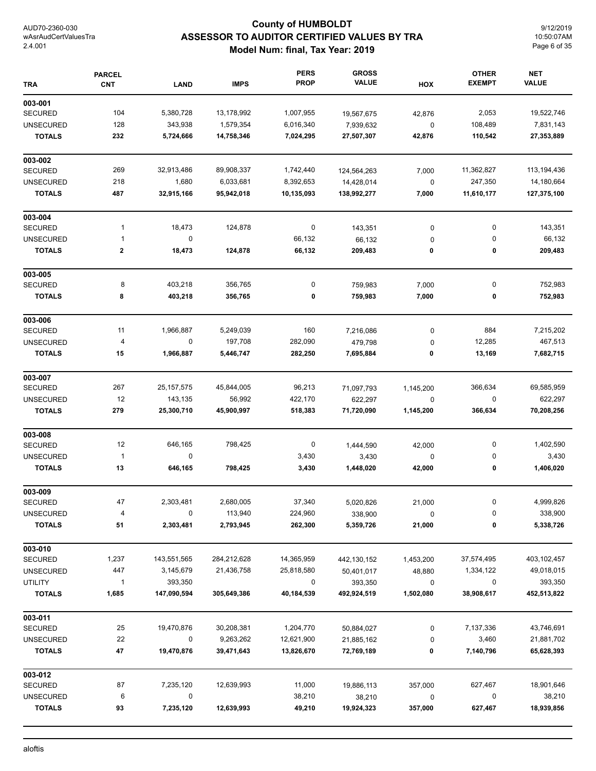## **County of HUMBOLDT ASSESSOR TO AUDITOR CERTIFIED VALUES BY TRA Model Num: final, Tax Year: 2019**

9/12/2019 10:50:07AM Page 6 of 35

| <b>TRA</b>       | <b>PARCEL</b><br><b>CNT</b> | <b>LAND</b>  | <b>IMPS</b> | <b>PERS</b><br><b>PROP</b> | <b>GROSS</b><br><b>VALUE</b> | HOX         | <b>OTHER</b><br><b>EXEMPT</b> | <b>NET</b><br><b>VALUE</b> |
|------------------|-----------------------------|--------------|-------------|----------------------------|------------------------------|-------------|-------------------------------|----------------------------|
| 003-001          |                             |              |             |                            |                              |             |                               |                            |
| <b>SECURED</b>   | 104                         | 5,380,728    | 13,178,992  | 1,007,955                  | 19,567,675                   | 42,876      | 2,053                         | 19,522,746                 |
| <b>UNSECURED</b> | 128                         | 343,938      | 1,579,354   | 6,016,340                  | 7,939,632                    | $\mathbf 0$ | 108,489                       | 7,831,143                  |
| <b>TOTALS</b>    | 232                         | 5,724,666    | 14,758,346  | 7,024,295                  | 27,507,307                   | 42,876      | 110,542                       | 27,353,889                 |
| 003-002          |                             |              |             |                            |                              |             |                               |                            |
| <b>SECURED</b>   | 269                         | 32,913,486   | 89,908,337  | 1,742,440                  | 124,564,263                  | 7,000       | 11,362,827                    | 113, 194, 436              |
| <b>UNSECURED</b> | 218                         | 1,680        | 6,033,681   | 8,392,653                  | 14,428,014                   | $\mathbf 0$ | 247,350                       | 14,180,664                 |
| <b>TOTALS</b>    | 487                         | 32,915,166   | 95,942,018  | 10,135,093                 | 138,992,277                  | 7,000       | 11,610,177                    | 127,375,100                |
| 003-004          |                             |              |             |                            |                              |             |                               |                            |
| <b>SECURED</b>   | 1                           | 18,473       | 124,878     | $\pmb{0}$                  | 143,351                      | $\pmb{0}$   | 0                             | 143,351                    |
| <b>UNSECURED</b> | 1                           | $\pmb{0}$    |             | 66,132                     | 66,132                       | 0           | 0                             | 66,132                     |
| <b>TOTALS</b>    | 2                           | 18,473       | 124,878     | 66,132                     | 209,483                      | 0           | 0                             | 209,483                    |
| 003-005          |                             |              |             |                            |                              |             |                               |                            |
| <b>SECURED</b>   | 8                           | 403,218      | 356,765     | $\pmb{0}$                  | 759,983                      | 7,000       | 0                             | 752,983                    |
| <b>TOTALS</b>    | 8                           | 403,218      | 356,765     | 0                          | 759,983                      | 7,000       | 0                             | 752,983                    |
| 003-006          |                             |              |             |                            |                              |             |                               |                            |
| <b>SECURED</b>   | 11                          | 1,966,887    | 5,249,039   | 160                        | 7,216,086                    | $\pmb{0}$   | 884                           | 7,215,202                  |
| <b>UNSECURED</b> | 4                           | $\pmb{0}$    | 197,708     | 282,090                    | 479,798                      | 0           | 12,285                        | 467,513                    |
| <b>TOTALS</b>    | 15                          | 1,966,887    | 5,446,747   | 282,250                    | 7,695,884                    | 0           | 13,169                        | 7,682,715                  |
| 003-007          |                             |              |             |                            |                              |             |                               |                            |
| <b>SECURED</b>   | 267                         | 25, 157, 575 | 45,844,005  | 96,213                     | 71,097,793                   | 1,145,200   | 366,634                       | 69,585,959                 |
| <b>UNSECURED</b> | 12                          | 143,135      | 56,992      | 422,170                    | 622,297                      | $\pmb{0}$   | 0                             | 622,297                    |
| <b>TOTALS</b>    | 279                         | 25,300,710   | 45,900,997  | 518,383                    | 71,720,090                   | 1,145,200   | 366,634                       | 70,208,256                 |
| 003-008          |                             |              |             |                            |                              |             |                               |                            |
| <b>SECURED</b>   | 12                          | 646,165      | 798,425     | 0                          | 1,444,590                    | 42,000      | 0                             | 1,402,590                  |
| <b>UNSECURED</b> | $\mathbf{1}$                | 0            |             | 3,430                      | 3,430                        | 0           | 0                             | 3,430                      |
| <b>TOTALS</b>    | 13                          | 646,165      | 798,425     | 3,430                      | 1,448,020                    | 42,000      | 0                             | 1,406,020                  |
| 003-009          |                             |              |             |                            |                              |             |                               |                            |
| <b>SECURED</b>   | 47                          | 2,303,481    | 2,680,005   | 37,340                     | 5,020,826                    | 21,000      | 0                             | 4,999,826                  |
| <b>UNSECURED</b> | 4                           | 0            | 113,940     | 224,960                    | 338,900                      | 0           | 0                             | 338,900                    |
| <b>TOTALS</b>    | 51                          | 2,303,481    | 2,793,945   | 262,300                    | 5,359,726                    | 21,000      | 0                             | 5,338,726                  |
| 003-010          |                             |              |             |                            |                              |             |                               |                            |
| <b>SECURED</b>   | 1,237                       | 143,551,565  | 284,212,628 | 14,365,959                 | 442,130,152                  | 1,453,200   | 37,574,495                    | 403,102,457                |
| <b>UNSECURED</b> | 447                         | 3,145,679    | 21,436,758  | 25,818,580                 | 50,401,017                   | 48,880      | 1,334,122                     | 49,018,015                 |
| <b>UTILITY</b>   | 1                           | 393,350      |             | 0                          | 393,350                      | 0           | 0                             | 393,350                    |
| <b>TOTALS</b>    | 1,685                       | 147,090,594  | 305,649,386 | 40,184,539                 | 492,924,519                  | 1,502,080   | 38,908,617                    | 452,513,822                |
| 003-011          |                             |              |             |                            |                              |             |                               |                            |
| <b>SECURED</b>   | 25                          | 19,470,876   | 30,208,381  | 1,204,770                  | 50,884,027                   | 0           | 7,137,336                     | 43,746,691                 |
| <b>UNSECURED</b> | 22                          | 0            | 9,263,262   | 12,621,900                 | 21,885,162                   | 0           | 3,460                         | 21,881,702                 |
| <b>TOTALS</b>    | 47                          | 19,470,876   | 39,471,643  | 13,826,670                 | 72,769,189                   | 0           | 7,140,796                     | 65,628,393                 |
| 003-012          |                             |              |             |                            |                              |             |                               |                            |
| <b>SECURED</b>   | 87                          | 7,235,120    | 12,639,993  | 11,000                     | 19,886,113                   | 357,000     | 627,467                       | 18,901,646                 |
| <b>UNSECURED</b> | 6                           | 0            |             | 38,210                     | 38,210                       | 0           | 0                             | 38,210                     |
| <b>TOTALS</b>    | 93                          | 7,235,120    | 12,639,993  | 49,210                     | 19,924,323                   | 357,000     | 627,467                       | 18,939,856                 |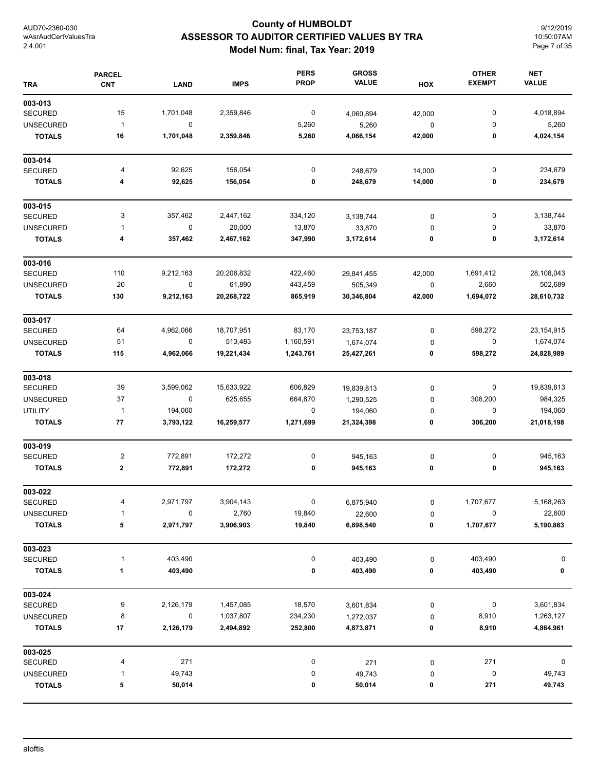## **County of HUMBOLDT ASSESSOR TO AUDITOR CERTIFIED VALUES BY TRA Model Num: final, Tax Year: 2019**

9/12/2019 10:50:07AM Page 7 of 35

| <b>TRA</b>       | <b>PARCEL</b><br><b>CNT</b> | <b>LAND</b> | <b>IMPS</b> | <b>PERS</b><br><b>PROP</b> | <b>GROSS</b><br><b>VALUE</b> | HOX       | <b>OTHER</b><br><b>EXEMPT</b> | <b>NET</b><br><b>VALUE</b> |
|------------------|-----------------------------|-------------|-------------|----------------------------|------------------------------|-----------|-------------------------------|----------------------------|
| 003-013          |                             |             |             |                            |                              |           |                               |                            |
| <b>SECURED</b>   | 15                          | 1,701,048   | 2,359,846   | $\boldsymbol{0}$           | 4,060,894                    | 42,000    | 0                             | 4,018,894                  |
| <b>UNSECURED</b> | $\mathbf{1}$                | 0           |             | 5,260                      | 5,260                        | $\pmb{0}$ | 0                             | 5,260                      |
| <b>TOTALS</b>    | 16                          | 1,701,048   | 2,359,846   | 5,260                      | 4,066,154                    | 42,000    | 0                             | 4,024,154                  |
| 003-014          |                             |             |             |                            |                              |           |                               |                            |
| <b>SECURED</b>   | 4                           | 92,625      | 156,054     | 0                          | 248,679                      | 14,000    | 0                             | 234,679                    |
| <b>TOTALS</b>    | 4                           | 92,625      | 156,054     | 0                          | 248,679                      | 14,000    | 0                             | 234,679                    |
| 003-015          |                             |             |             |                            |                              |           |                               |                            |
| <b>SECURED</b>   | 3                           | 357,462     | 2,447,162   | 334,120                    | 3,138,744                    | 0         | $\pmb{0}$                     | 3,138,744                  |
| <b>UNSECURED</b> | $\mathbf{1}$                | $\mathsf 0$ | 20,000      | 13,870                     | 33,870                       | 0         | 0                             | 33,870                     |
| <b>TOTALS</b>    | 4                           | 357,462     | 2,467,162   | 347,990                    | 3,172,614                    | 0         | 0                             | 3,172,614                  |
| 003-016          |                             |             |             |                            |                              |           |                               |                            |
| <b>SECURED</b>   | 110                         | 9,212,163   | 20,206,832  | 422,460                    | 29,841,455                   | 42,000    | 1,691,412                     | 28,108,043                 |
| <b>UNSECURED</b> | 20                          | $\mathsf 0$ | 61,890      | 443,459                    | 505,349                      | $\pmb{0}$ | 2,660                         | 502,689                    |
| <b>TOTALS</b>    | 130                         | 9,212,163   | 20,268,722  | 865,919                    | 30,346,804                   | 42,000    | 1,694,072                     | 28,610,732                 |
| 003-017          |                             |             |             |                            |                              |           |                               |                            |
| <b>SECURED</b>   | 64                          | 4,962,066   | 18,707,951  | 83,170                     | 23,753,187                   | 0         | 598,272                       | 23,154,915                 |
| <b>UNSECURED</b> | 51                          | $\pmb{0}$   | 513,483     | 1,160,591                  | 1,674,074                    | 0         | $\pmb{0}$                     | 1,674,074                  |
| <b>TOTALS</b>    | 115                         | 4,962,066   | 19,221,434  | 1,243,761                  | 25,427,261                   | 0         | 598,272                       | 24,828,989                 |
| 003-018          |                             |             |             |                            |                              |           |                               |                            |
| <b>SECURED</b>   | 39                          | 3,599,062   | 15,633,922  | 606,829                    | 19,839,813                   | 0         | 0                             | 19,839,813                 |
| <b>UNSECURED</b> | 37                          | 0           | 625,655     | 664,870                    | 1,290,525                    | 0         | 306,200                       | 984,325                    |
| <b>UTILITY</b>   | $\mathbf{1}$                | 194,060     |             | 0                          | 194,060                      | $\pmb{0}$ | 0                             | 194,060                    |
| <b>TOTALS</b>    | 77                          | 3,793,122   | 16,259,577  | 1,271,699                  | 21,324,398                   | 0         | 306,200                       | 21,018,198                 |
| 003-019          |                             |             |             |                            |                              |           |                               |                            |
| <b>SECURED</b>   | 2                           | 772,891     | 172,272     | 0                          | 945,163                      | 0         | 0                             | 945,163                    |
| <b>TOTALS</b>    | $\boldsymbol{2}$            | 772,891     | 172,272     | 0                          | 945,163                      | 0         | 0                             | 945,163                    |
| 003-022          |                             |             |             |                            |                              |           |                               |                            |
| <b>SECURED</b>   | 4                           | 2,971,797   | 3,904,143   | $\mathbf{0}$               | 6,875,940                    | 0         | 1,707,677                     | 5,168,263                  |
| <b>UNSECURED</b> | 1                           | 0           | 2,760       | 19,840                     | 22,600                       | 0         | 0                             | 22,600                     |
| <b>TOTALS</b>    | 5                           | 2,971,797   | 3,906,903   | 19,840                     | 6,898,540                    | 0         | 1,707,677                     | 5,190,863                  |
| 003-023          |                             |             |             |                            |                              |           |                               |                            |
| <b>SECURED</b>   | $\mathbf{1}$                | 403,490     |             | 0                          | 403,490                      | 0         | 403,490                       | 0                          |
| <b>TOTALS</b>    | 1                           | 403,490     |             | 0                          | 403,490                      | 0         | 403,490                       | 0                          |
| 003-024          |                             |             |             |                            |                              |           |                               |                            |
| <b>SECURED</b>   | 9                           | 2,126,179   | 1,457,085   | 18,570                     | 3,601,834                    | 0         | 0                             | 3,601,834                  |
| <b>UNSECURED</b> | 8                           | $\pmb{0}$   | 1,037,807   | 234,230                    | 1,272,037                    | 0         | 8,910                         | 1,263,127                  |
| <b>TOTALS</b>    | 17                          | 2,126,179   | 2,494,892   | 252,800                    | 4,873,871                    | 0         | 8,910                         | 4,864,961                  |
| 003-025          |                             |             |             |                            |                              |           |                               |                            |
| <b>SECURED</b>   | 4                           | 271         |             | 0                          | 271                          | 0         | 271                           | 0                          |
| <b>UNSECURED</b> | 1                           | 49,743      |             | 0                          | 49,743                       | 0         | $\pmb{0}$                     | 49,743                     |
| <b>TOTALS</b>    | 5                           | 50,014      |             | 0                          | 50,014                       | 0         | 271                           | 49,743                     |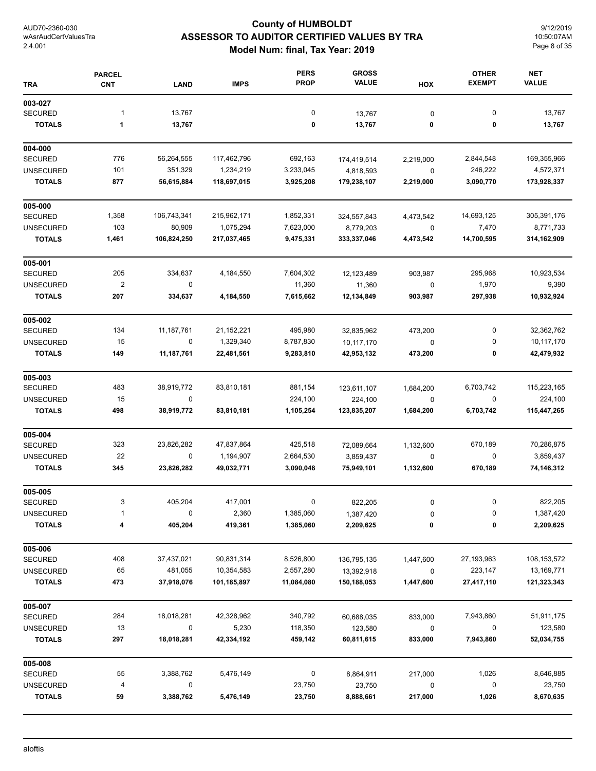## **County of HUMBOLDT ASSESSOR TO AUDITOR CERTIFIED VALUES BY TRA Model Num: final, Tax Year: 2019**

9/12/2019 10:50:07AM Page 8 of 35

| <b>TRA</b>                        | <b>PARCEL</b><br><b>CNT</b> | <b>LAND</b>           | <b>IMPS</b>              | <b>PERS</b><br><b>PROP</b> | <b>GROSS</b><br><b>VALUE</b> | HOX                      | <b>OTHER</b><br><b>EXEMPT</b> | <b>NET</b><br><b>VALUE</b> |
|-----------------------------------|-----------------------------|-----------------------|--------------------------|----------------------------|------------------------------|--------------------------|-------------------------------|----------------------------|
| 003-027                           |                             |                       |                          |                            |                              |                          |                               |                            |
| <b>SECURED</b>                    | $\mathbf{1}$                | 13,767                |                          | $\pmb{0}$                  | 13,767                       | 0                        | $\pmb{0}$                     | 13,767                     |
| <b>TOTALS</b>                     | 1                           | 13,767                |                          | 0                          | 13,767                       | 0                        | 0                             | 13,767                     |
| 004-000                           |                             |                       |                          |                            |                              |                          |                               |                            |
| <b>SECURED</b>                    | 776                         | 56,264,555            | 117,462,796              | 692,163                    | 174,419,514                  | 2,219,000                | 2,844,548                     | 169,355,966                |
| <b>UNSECURED</b><br><b>TOTALS</b> | 101<br>877                  | 351,329<br>56,615,884 | 1,234,219<br>118,697,015 | 3,233,045<br>3,925,208     | 4,818,593<br>179,238,107     | $\mathbf 0$<br>2,219,000 | 246,222<br>3,090,770          | 4,572,371<br>173,928,337   |
| 005-000                           |                             |                       |                          |                            |                              |                          |                               |                            |
| <b>SECURED</b>                    | 1,358                       | 106,743,341           | 215,962,171              | 1,852,331                  | 324,557,843                  | 4,473,542                | 14,693,125                    | 305,391,176                |
| <b>UNSECURED</b>                  | 103                         | 80,909                | 1,075,294                | 7,623,000                  | 8,779,203                    | 0                        | 7,470                         | 8,771,733                  |
| <b>TOTALS</b>                     | 1,461                       | 106,824,250           | 217,037,465              | 9,475,331                  | 333,337,046                  | 4,473,542                | 14,700,595                    | 314,162,909                |
| 005-001                           |                             |                       |                          |                            |                              |                          |                               |                            |
| <b>SECURED</b>                    | 205                         | 334,637               | 4,184,550                | 7,604,302                  | 12,123,489                   | 903,987                  | 295,968                       | 10,923,534                 |
| <b>UNSECURED</b>                  | $\overline{\mathbf{c}}$     | 0                     |                          | 11,360                     | 11,360                       | $\pmb{0}$                | 1,970                         | 9,390                      |
| <b>TOTALS</b>                     | 207                         | 334,637               | 4,184,550                | 7,615,662                  | 12,134,849                   | 903,987                  | 297,938                       | 10,932,924                 |
| 005-002                           |                             |                       |                          |                            |                              |                          |                               |                            |
| <b>SECURED</b>                    | 134                         | 11,187,761            | 21, 152, 221             | 495,980                    | 32,835,962                   | 473,200                  | 0                             | 32,362,762                 |
| <b>UNSECURED</b>                  | 15                          | 0                     | 1,329,340                | 8,787,830                  | 10,117,170                   | 0                        | 0                             | 10,117,170                 |
| <b>TOTALS</b>                     | 149                         | 11,187,761            | 22,481,561               | 9,283,810                  | 42,953,132                   | 473,200                  | 0                             | 42,479,932                 |
| 005-003                           |                             |                       |                          |                            |                              |                          |                               |                            |
| <b>SECURED</b>                    | 483                         | 38,919,772            | 83,810,181               | 881,154                    | 123,611,107                  | 1,684,200                | 6,703,742                     | 115,223,165                |
| <b>UNSECURED</b><br><b>TOTALS</b> | 15<br>498                   | 0<br>38,919,772       | 83,810,181               | 224,100<br>1,105,254       | 224,100<br>123,835,207       | 0<br>1,684,200           | 0<br>6,703,742                | 224,100<br>115,447,265     |
| 005-004                           |                             |                       |                          |                            |                              |                          |                               |                            |
| <b>SECURED</b>                    | 323                         | 23,826,282            | 47,837,864               | 425,518                    | 72,089,664                   | 1,132,600                | 670,189                       | 70,286,875                 |
| <b>UNSECURED</b>                  | 22                          | 0                     | 1,194,907                | 2,664,530                  | 3,859,437                    | 0                        | 0                             | 3,859,437                  |
| <b>TOTALS</b>                     | 345                         | 23,826,282            | 49,032,771               | 3,090,048                  | 75,949,101                   | 1,132,600                | 670,189                       | 74,146,312                 |
| 005-005                           |                             |                       |                          |                            |                              |                          |                               |                            |
| <b>SECURED</b>                    | 3                           | 405,204               | 417,001                  | 0                          | 822,205                      | 0                        | U                             | 822,205                    |
| <b>UNSECURED</b>                  | 1                           | 0                     | 2,360                    | 1,385,060                  | 1,387,420                    | 0                        | 0                             | 1,387,420                  |
| <b>TOTALS</b>                     | 4                           | 405,204               | 419,361                  | 1,385,060                  | 2,209,625                    | 0                        | 0                             | 2,209,625                  |
| 005-006                           |                             |                       |                          |                            |                              |                          |                               |                            |
| <b>SECURED</b>                    | 408                         | 37,437,021            | 90,831,314               | 8,526,800                  | 136,795,135                  | 1,447,600                | 27,193,963                    | 108, 153, 572              |
| <b>UNSECURED</b>                  | 65                          | 481,055               | 10,354,583               | 2,557,280                  | 13,392,918                   | 0                        | 223,147                       | 13,169,771                 |
| <b>TOTALS</b>                     | 473                         | 37,918,076            | 101,185,897              | 11,084,080                 | 150,188,053                  | 1,447,600                | 27,417,110                    | 121,323,343                |
| 005-007                           |                             |                       |                          |                            |                              |                          |                               |                            |
| <b>SECURED</b>                    | 284                         | 18,018,281            | 42,328,962               | 340,792                    | 60,688,035                   | 833,000                  | 7,943,860                     | 51,911,175                 |
| <b>UNSECURED</b><br><b>TOTALS</b> | 13<br>297                   | 0<br>18,018,281       | 5,230<br>42,334,192      | 118,350<br>459,142         | 123,580<br>60,811,615        | $\pmb{0}$<br>833,000     | 0<br>7,943,860                | 123,580<br>52,034,755      |
| 005-008                           |                             |                       |                          |                            |                              |                          |                               |                            |
| <b>SECURED</b>                    | 55                          | 3,388,762             | 5,476,149                | 0                          | 8,864,911                    | 217,000                  | 1,026                         | 8,646,885                  |
| <b>UNSECURED</b>                  | 4                           | 0                     |                          | 23,750                     | 23,750                       | 0                        | 0                             | 23,750                     |
| <b>TOTALS</b>                     | 59                          | 3,388,762             | 5,476,149                | 23,750                     | 8,888,661                    | 217,000                  | 1,026                         | 8,670,635                  |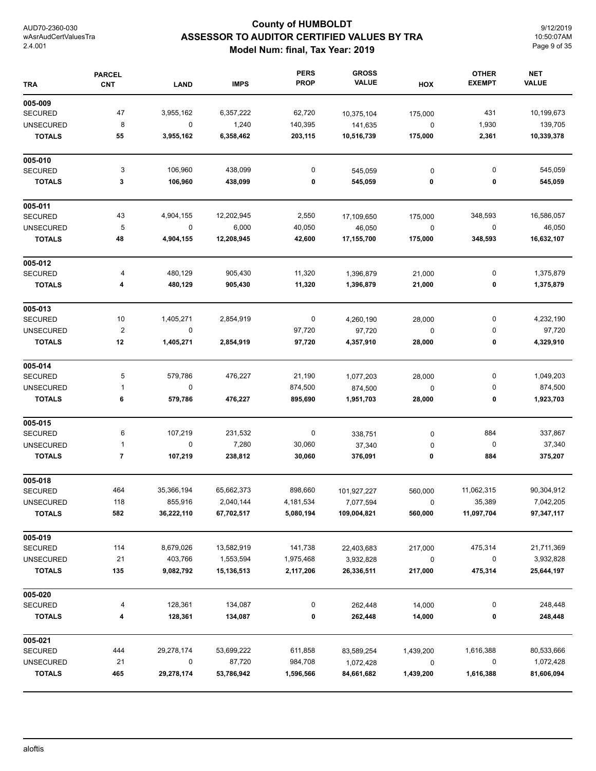## **County of HUMBOLDT ASSESSOR TO AUDITOR CERTIFIED VALUES BY TRA Model Num: final, Tax Year: 2019**

9/12/2019 10:50:07AM Page 9 of 35

| <b>TRA</b>       | <b>PARCEL</b><br><b>CNT</b> | <b>LAND</b> | <b>IMPS</b> | <b>PERS</b><br><b>PROP</b> | <b>GROSS</b><br><b>VALUE</b> | HOX         | <b>OTHER</b><br><b>EXEMPT</b> | <b>NET</b><br><b>VALUE</b> |
|------------------|-----------------------------|-------------|-------------|----------------------------|------------------------------|-------------|-------------------------------|----------------------------|
| 005-009          |                             |             |             |                            |                              |             |                               |                            |
| <b>SECURED</b>   | 47                          | 3,955,162   | 6,357,222   | 62,720                     | 10,375,104                   | 175,000     | 431                           | 10,199,673                 |
| <b>UNSECURED</b> | 8                           | $\mathbf 0$ | 1,240       | 140,395                    | 141,635                      | $\mathbf 0$ | 1,930                         | 139,705                    |
| <b>TOTALS</b>    | 55                          | 3,955,162   | 6,358,462   | 203,115                    | 10,516,739                   | 175,000     | 2,361                         | 10,339,378                 |
| 005-010          |                             |             |             |                            |                              |             |                               |                            |
| <b>SECURED</b>   | 3                           | 106,960     | 438,099     | 0                          | 545,059                      | 0           | 0                             | 545,059                    |
| <b>TOTALS</b>    | 3                           | 106,960     | 438,099     | 0                          | 545,059                      | 0           | 0                             | 545,059                    |
| 005-011          |                             |             |             |                            |                              |             |                               |                            |
| <b>SECURED</b>   | 43                          | 4,904,155   | 12,202,945  | 2,550                      | 17,109,650                   | 175,000     | 348,593                       | 16,586,057                 |
| <b>UNSECURED</b> | 5                           | $\pmb{0}$   | 6,000       | 40,050                     | 46,050                       | $\pmb{0}$   | 0                             | 46,050                     |
| <b>TOTALS</b>    | 48                          | 4,904,155   | 12,208,945  | 42,600                     | 17,155,700                   | 175,000     | 348,593                       | 16,632,107                 |
| 005-012          |                             |             |             |                            |                              |             |                               |                            |
| <b>SECURED</b>   | 4                           | 480,129     | 905,430     | 11,320                     | 1,396,879                    | 21,000      | 0                             | 1,375,879                  |
| <b>TOTALS</b>    | 4                           | 480,129     | 905,430     | 11,320                     | 1,396,879                    | 21,000      | 0                             | 1,375,879                  |
| 005-013          |                             |             |             |                            |                              |             |                               |                            |
| <b>SECURED</b>   | 10                          | 1,405,271   | 2,854,919   | 0                          | 4,260,190                    | 28,000      | 0                             | 4,232,190                  |
| <b>UNSECURED</b> | $\overline{\mathbf{c}}$     | 0           |             | 97,720                     | 97,720                       | $\mathbf 0$ | 0                             | 97,720                     |
| <b>TOTALS</b>    | 12                          | 1,405,271   | 2,854,919   | 97,720                     | 4,357,910                    | 28,000      | 0                             | 4,329,910                  |
| 005-014          |                             |             |             |                            |                              |             |                               |                            |
| <b>SECURED</b>   | 5                           | 579,786     | 476,227     | 21,190                     | 1,077,203                    | 28,000      | 0                             | 1,049,203                  |
| <b>UNSECURED</b> | 1                           | 0           |             | 874,500                    | 874,500                      | 0           | 0                             | 874,500                    |
| <b>TOTALS</b>    | 6                           | 579,786     | 476,227     | 895,690                    | 1,951,703                    | 28,000      | 0                             | 1,923,703                  |
| 005-015          |                             |             |             |                            |                              |             |                               |                            |
| <b>SECURED</b>   | 6                           | 107,219     | 231,532     | 0                          | 338,751                      | 0           | 884                           | 337,867                    |
| <b>UNSECURED</b> | 1                           | $\mathbf 0$ | 7,280       | 30,060                     | 37,340                       | 0           | 0                             | 37,340                     |
| <b>TOTALS</b>    | 7                           | 107,219     | 238,812     | 30,060                     | 376,091                      | 0           | 884                           | 375,207                    |
| 005-018          |                             |             |             |                            |                              |             |                               |                            |
| <b>SECURED</b>   | 464                         | 35,366,194  | 65,662,373  | 898,660                    | 101,927,227                  | 560,000     | 11,062,315                    | 90,304,912                 |
| <b>UNSECURED</b> | 118                         | 855,916     | 2,040,144   | 4,181,534                  | 7,077,594                    | 0           | 35,389                        | 7,042,205                  |
| <b>TOTALS</b>    | 582                         | 36,222,110  | 67,702,517  | 5,080,194                  | 109,004,821                  | 560,000     | 11,097,704                    | 97,347,117                 |
| 005-019          |                             |             |             |                            |                              |             |                               |                            |
| <b>SECURED</b>   | 114                         | 8,679,026   | 13,582,919  | 141,738                    | 22,403,683                   | 217,000     | 475,314                       | 21,711,369                 |
| <b>UNSECURED</b> | 21                          | 403,766     | 1,553,594   | 1,975,468                  | 3,932,828                    | $\pmb{0}$   | 0                             | 3,932,828                  |
| <b>TOTALS</b>    | 135                         | 9,082,792   | 15,136,513  | 2,117,206                  | 26,336,511                   | 217,000     | 475,314                       | 25,644,197                 |
| 005-020          |                             |             |             |                            |                              |             |                               |                            |
| <b>SECURED</b>   | 4                           | 128,361     | 134,087     | 0                          | 262,448                      | 14,000      | 0                             | 248,448                    |
| <b>TOTALS</b>    | 4                           | 128,361     | 134,087     | 0                          | 262,448                      | 14,000      | 0                             | 248,448                    |
| 005-021          |                             |             |             |                            |                              |             |                               |                            |
| <b>SECURED</b>   | 444                         | 29,278,174  | 53,699,222  | 611,858                    | 83,589,254                   | 1,439,200   | 1,616,388                     | 80,533,666                 |
| <b>UNSECURED</b> | 21                          | 0           | 87,720      | 984,708                    | 1,072,428                    | 0           | 0                             | 1,072,428                  |
| <b>TOTALS</b>    | 465                         | 29,278,174  | 53,786,942  | 1,596,566                  | 84,661,682                   | 1,439,200   | 1,616,388                     | 81,606,094                 |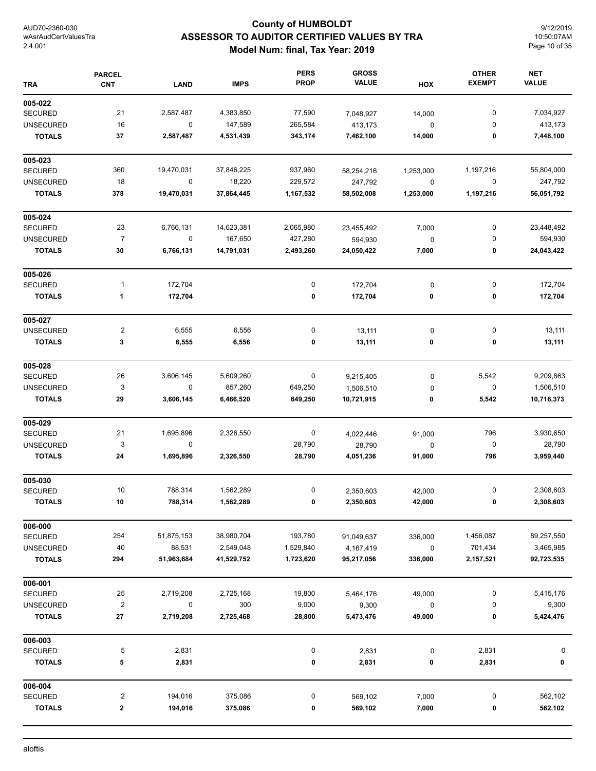## **County of HUMBOLDT ASSESSOR TO AUDITOR CERTIFIED VALUES BY TRA Model Num: final, Tax Year: 2019**

9/12/2019 10:50:07AM Page 10 of 35

| <b>TRA</b>       | <b>PARCEL</b><br><b>CNT</b> | <b>LAND</b> | <b>IMPS</b> | <b>PERS</b><br><b>PROP</b> | <b>GROSS</b><br><b>VALUE</b> | HOX       | <b>OTHER</b><br><b>EXEMPT</b> | <b>NET</b><br><b>VALUE</b> |
|------------------|-----------------------------|-------------|-------------|----------------------------|------------------------------|-----------|-------------------------------|----------------------------|
| 005-022          |                             |             |             |                            |                              |           |                               |                            |
| <b>SECURED</b>   | 21                          | 2,587,487   | 4,383,850   | 77,590                     | 7,048,927                    | 14,000    | 0                             | 7,034,927                  |
| <b>UNSECURED</b> | 16                          | $\mathbf 0$ | 147,589     | 265,584                    | 413,173                      | 0         | 0                             | 413,173                    |
| <b>TOTALS</b>    | 37                          | 2,587,487   | 4,531,439   | 343,174                    | 7,462,100                    | 14,000    | 0                             | 7,448,100                  |
| 005-023          |                             |             |             |                            |                              |           |                               |                            |
| <b>SECURED</b>   | 360                         | 19,470,031  | 37,846,225  | 937,960                    | 58,254,216                   | 1,253,000 | 1,197,216                     | 55,804,000                 |
| <b>UNSECURED</b> | 18                          | $\mathbf 0$ | 18,220      | 229,572                    | 247,792                      | 0         | 0                             | 247,792                    |
| <b>TOTALS</b>    | 378                         | 19,470,031  | 37,864,445  | 1,167,532                  | 58,502,008                   | 1,253,000 | 1,197,216                     | 56,051,792                 |
| 005-024          |                             |             |             |                            |                              |           |                               |                            |
| <b>SECURED</b>   | 23                          | 6,766,131   | 14,623,381  | 2,065,980                  | 23,455,492                   | 7,000     | 0                             | 23,448,492                 |
| <b>UNSECURED</b> | $\overline{7}$              | $\pmb{0}$   | 167,650     | 427,280                    | 594,930                      | $\pmb{0}$ | 0                             | 594,930                    |
| <b>TOTALS</b>    | 30                          | 6,766,131   | 14,791,031  | 2,493,260                  | 24,050,422                   | 7,000     | 0                             | 24,043,422                 |
| 005-026          |                             |             |             |                            |                              |           |                               |                            |
| <b>SECURED</b>   | 1                           | 172,704     |             | 0                          | 172,704                      | $\pmb{0}$ | 0                             | 172,704                    |
| <b>TOTALS</b>    | 1                           | 172,704     |             | 0                          | 172,704                      | 0         | 0                             | 172,704                    |
| 005-027          |                             |             |             |                            |                              |           |                               |                            |
| <b>UNSECURED</b> | 2                           | 6,555       | 6,556       | 0                          | 13,111                       | 0         | 0                             | 13,111                     |
| <b>TOTALS</b>    | 3                           | 6,555       | 6,556       | 0                          | 13,111                       | 0         | 0                             | 13,111                     |
| 005-028          |                             |             |             |                            |                              |           |                               |                            |
| <b>SECURED</b>   | 26                          | 3,606,145   | 5,609,260   | 0                          | 9,215,405                    | 0         | 5,542                         | 9,209,863                  |
| <b>UNSECURED</b> | 3                           | $\mathbf 0$ | 857,260     | 649,250                    | 1,506,510                    | 0         | 0                             | 1,506,510                  |
| <b>TOTALS</b>    | 29                          | 3,606,145   | 6,466,520   | 649,250                    | 10,721,915                   | 0         | 5,542                         | 10,716,373                 |
| 005-029          |                             |             |             |                            |                              |           |                               |                            |
| <b>SECURED</b>   | 21                          | 1,695,896   | 2,326,550   | 0                          | 4,022,446                    | 91,000    | 796                           | 3,930,650                  |
| <b>UNSECURED</b> | 3                           | $\mathbf 0$ |             | 28,790                     | 28,790                       | 0         | $\boldsymbol{0}$              | 28,790                     |
| <b>TOTALS</b>    | 24                          | 1,695,896   | 2,326,550   | 28,790                     | 4,051,236                    | 91,000    | 796                           | 3,959,440                  |
| 005-030          |                             |             |             |                            |                              |           |                               |                            |
| <b>SECURED</b>   | 10                          | 788,314     | 1,562,289   | 0                          | 2,350,603                    | 42,000    | 0                             | 2,308,603                  |
| TOTALS           | 10                          | 788,314     | 1,562,289   | U                          | 2,350,603                    | 42,000    | U                             | 2,308,603                  |
| 006-000          |                             |             |             |                            |                              |           |                               |                            |
| <b>SECURED</b>   | 254                         | 51,875,153  | 38,980,704  | 193,780                    | 91,049,637                   | 336,000   | 1,456,087                     | 89,257,550                 |
| <b>UNSECURED</b> | 40                          | 88,531      | 2,549,048   | 1,529,840                  | 4,167,419                    | 0         | 701,434                       | 3,465,985                  |
| <b>TOTALS</b>    | 294                         | 51,963,684  | 41,529,752  | 1,723,620                  | 95,217,056                   | 336,000   | 2,157,521                     | 92,723,535                 |
| 006-001          |                             |             |             |                            |                              |           |                               |                            |
| <b>SECURED</b>   | 25                          | 2,719,208   | 2,725,168   | 19,800                     | 5,464,176                    | 49,000    | 0                             | 5,415,176                  |
| <b>UNSECURED</b> | $\overline{\mathbf{c}}$     | 0           | 300         | 9,000                      | 9,300                        | 0         | 0                             | 9,300                      |
| <b>TOTALS</b>    | 27                          | 2,719,208   | 2,725,468   | 28,800                     | 5,473,476                    | 49,000    | 0                             | 5,424,476                  |
| 006-003          |                             |             |             |                            |                              |           |                               |                            |
| <b>SECURED</b>   | 5                           | 2,831       |             | 0                          | 2,831                        | 0         | 2,831                         | 0                          |
| <b>TOTALS</b>    | 5                           | 2,831       |             | 0                          | 2,831                        | 0         | 2,831                         | 0                          |
| 006-004          |                             |             |             |                            |                              |           |                               |                            |
| SECURED          | 2                           | 194,016     | 375,086     | 0                          | 569,102                      | 7,000     | 0                             | 562,102                    |
| <b>TOTALS</b>    | 2                           | 194,016     | 375,086     | 0                          | 569,102                      | 7,000     | 0                             | 562,102                    |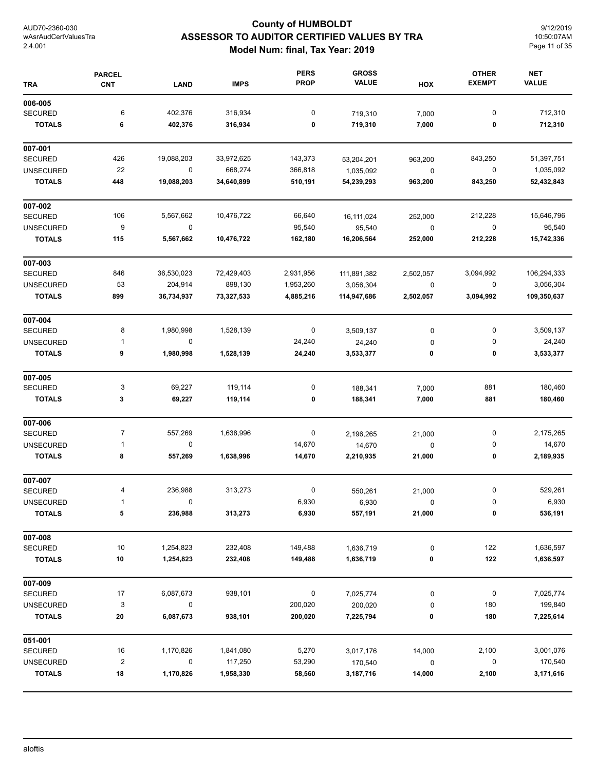# **County of HUMBOLDT ASSESSOR TO AUDITOR CERTIFIED VALUES BY TRA Model Num: final, Tax Year: 2019**

9/12/2019 10:50:07AM Page 11 of 35

| <b>TRA</b>       | <b>PARCEL</b><br><b>CNT</b> | <b>LAND</b> | <b>IMPS</b> | <b>PERS</b><br><b>PROP</b> | <b>GROSS</b><br><b>VALUE</b> | HOX         | <b>OTHER</b><br><b>EXEMPT</b> | <b>NET</b><br><b>VALUE</b> |
|------------------|-----------------------------|-------------|-------------|----------------------------|------------------------------|-------------|-------------------------------|----------------------------|
| 006-005          |                             |             |             |                            |                              |             |                               |                            |
| <b>SECURED</b>   | 6                           | 402,376     | 316,934     | 0                          | 719,310                      | 7,000       | $\pmb{0}$                     | 712,310                    |
| <b>TOTALS</b>    | 6                           | 402,376     | 316,934     | 0                          | 719,310                      | 7,000       | 0                             | 712,310                    |
| 007-001          |                             |             |             |                            |                              |             |                               |                            |
| <b>SECURED</b>   | 426                         | 19,088,203  | 33,972,625  | 143,373                    | 53,204,201                   | 963,200     | 843,250                       | 51,397,751                 |
| <b>UNSECURED</b> | 22                          | $\pmb{0}$   | 668,274     | 366,818                    | 1,035,092                    | 0           | 0                             | 1,035,092                  |
| <b>TOTALS</b>    | 448                         | 19,088,203  | 34,640,899  | 510,191                    | 54,239,293                   | 963,200     | 843,250                       | 52,432,843                 |
| 007-002          |                             |             |             |                            |                              |             |                               |                            |
| <b>SECURED</b>   | 106                         | 5,567,662   | 10,476,722  | 66,640                     | 16, 111, 024                 | 252,000     | 212,228                       | 15,646,796                 |
| <b>UNSECURED</b> | 9                           | 0           |             | 95,540                     | 95,540                       | $\mathbf 0$ | 0                             | 95,540                     |
| <b>TOTALS</b>    | 115                         | 5,567,662   | 10,476,722  | 162,180                    | 16,206,564                   | 252,000     | 212,228                       | 15,742,336                 |
| 007-003          |                             |             |             |                            |                              |             |                               |                            |
| <b>SECURED</b>   | 846                         | 36,530,023  | 72,429,403  | 2,931,956                  | 111,891,382                  | 2,502,057   | 3,094,992                     | 106,294,333                |
| <b>UNSECURED</b> | 53                          | 204,914     | 898,130     | 1,953,260                  | 3,056,304                    | $\pmb{0}$   | 0                             | 3,056,304                  |
| <b>TOTALS</b>    | 899                         | 36,734,937  | 73,327,533  | 4,885,216                  | 114,947,686                  | 2,502,057   | 3,094,992                     | 109,350,637                |
| 007-004          |                             |             |             |                            |                              |             |                               |                            |
| <b>SECURED</b>   | 8                           | 1,980,998   | 1,528,139   | 0                          | 3,509,137                    | 0           | 0                             | 3,509,137                  |
| <b>UNSECURED</b> | $\mathbf{1}$                | 0           |             | 24,240                     | 24,240                       | 0           | 0                             | 24,240                     |
| <b>TOTALS</b>    | 9                           | 1,980,998   | 1,528,139   | 24,240                     | 3,533,377                    | 0           | 0                             | 3,533,377                  |
| 007-005          |                             |             |             |                            |                              |             |                               |                            |
| <b>SECURED</b>   | 3                           | 69,227      | 119,114     | 0                          | 188,341                      | 7,000       | 881                           | 180,460                    |
| <b>TOTALS</b>    | 3                           | 69,227      | 119,114     | 0                          | 188,341                      | 7,000       | 881                           | 180,460                    |
| 007-006          |                             |             |             |                            |                              |             |                               |                            |
| <b>SECURED</b>   | 7                           | 557,269     | 1,638,996   | 0                          | 2,196,265                    | 21,000      | 0                             | 2,175,265                  |
| <b>UNSECURED</b> | $\mathbf{1}$                | $\mathbf 0$ |             | 14,670                     | 14,670                       | 0           | 0                             | 14,670                     |
| <b>TOTALS</b>    | 8                           | 557,269     | 1,638,996   | 14,670                     | 2,210,935                    | 21,000      | 0                             | 2,189,935                  |
| 007-007          |                             |             |             |                            |                              |             |                               |                            |
| <b>SECURED</b>   | 4                           | 236,988     | 313,273     | 0                          | 550,261                      | 21,000      | 0                             | 529,261                    |
| UNSECURED        | 1                           |             |             | 6,930                      | 6,930                        | 0           | U                             | 6,930                      |
| <b>TOTALS</b>    | 5                           | 236,988     | 313,273     | 6,930                      | 557,191                      | 21,000      | 0                             | 536,191                    |
| 007-008          |                             |             |             |                            |                              |             |                               |                            |
| <b>SECURED</b>   | 10                          | 1,254,823   | 232,408     | 149,488                    | 1,636,719                    | 0           | 122                           | 1,636,597                  |
| <b>TOTALS</b>    | 10                          | 1,254,823   | 232,408     | 149,488                    | 1,636,719                    | 0           | 122                           | 1,636,597                  |
| 007-009          |                             |             |             |                            |                              |             |                               |                            |
| <b>SECURED</b>   | 17                          | 6,087,673   | 938,101     | 0                          | 7,025,774                    | 0           | 0                             | 7,025,774                  |
| <b>UNSECURED</b> | 3                           | 0           |             | 200,020                    | 200,020                      | 0           | 180                           | 199,840                    |
| <b>TOTALS</b>    | 20                          | 6,087,673   | 938,101     | 200,020                    | 7,225,794                    | 0           | 180                           | 7,225,614                  |
| 051-001          |                             |             |             |                            |                              |             |                               |                            |
| <b>SECURED</b>   | 16                          | 1,170,826   | 1,841,080   | 5,270                      | 3,017,176                    | 14,000      | 2,100                         | 3,001,076                  |
| <b>UNSECURED</b> | $\overline{2}$              | 0           | 117,250     | 53,290                     | 170,540                      | 0           | 0                             | 170,540                    |
| <b>TOTALS</b>    | 18                          | 1,170,826   | 1,958,330   | 58,560                     | 3,187,716                    | 14,000      | 2,100                         | 3,171,616                  |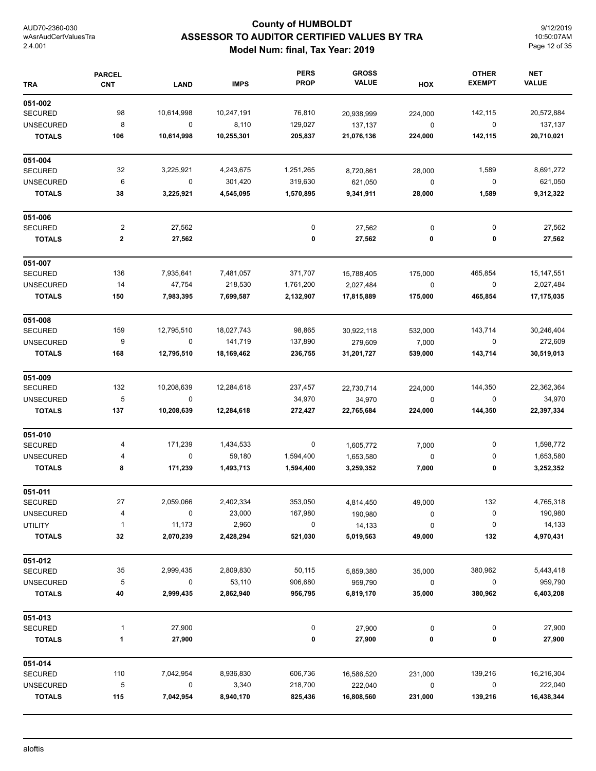## **County of HUMBOLDT ASSESSOR TO AUDITOR CERTIFIED VALUES BY TRA Model Num: final, Tax Year: 2019**

9/12/2019 10:50:07AM Page 12 of 35

| <b>TRA</b>       | <b>PARCEL</b><br><b>CNT</b> | <b>LAND</b> | <b>IMPS</b> | <b>PERS</b><br><b>PROP</b> | <b>GROSS</b><br><b>VALUE</b> | HOX       | <b>OTHER</b><br><b>EXEMPT</b> | <b>NET</b><br><b>VALUE</b> |
|------------------|-----------------------------|-------------|-------------|----------------------------|------------------------------|-----------|-------------------------------|----------------------------|
| 051-002          |                             |             |             |                            |                              |           |                               |                            |
| <b>SECURED</b>   | 98                          | 10,614,998  | 10,247,191  | 76,810                     | 20,938,999                   | 224,000   | 142,115                       | 20,572,884                 |
| <b>UNSECURED</b> | 8                           | 0           | 8,110       | 129,027                    | 137,137                      | $\pmb{0}$ | $\pmb{0}$                     | 137,137                    |
| <b>TOTALS</b>    | 106                         | 10,614,998  | 10,255,301  | 205,837                    | 21,076,136                   | 224,000   | 142,115                       | 20,710,021                 |
| 051-004          |                             |             |             |                            |                              |           |                               |                            |
| <b>SECURED</b>   | 32                          | 3,225,921   | 4,243,675   | 1,251,265                  | 8,720,861                    | 28,000    | 1,589                         | 8,691,272                  |
| <b>UNSECURED</b> | 6                           | 0           | 301,420     | 319,630                    | 621,050                      | $\pmb{0}$ | 0                             | 621,050                    |
| <b>TOTALS</b>    | 38                          | 3,225,921   | 4,545,095   | 1,570,895                  | 9,341,911                    | 28,000    | 1,589                         | 9,312,322                  |
| 051-006          |                             |             |             |                            |                              |           |                               |                            |
| <b>SECURED</b>   | $\overline{c}$              | 27,562      |             | $\pmb{0}$                  | 27,562                       | $\pmb{0}$ | 0                             | 27,562                     |
| <b>TOTALS</b>    | $\mathbf 2$                 | 27,562      |             | 0                          | 27,562                       | 0         | 0                             | 27,562                     |
| 051-007          |                             |             |             |                            |                              |           |                               |                            |
| <b>SECURED</b>   | 136                         | 7,935,641   | 7,481,057   | 371,707                    | 15,788,405                   | 175,000   | 465,854                       | 15, 147, 551               |
| <b>UNSECURED</b> | 14                          | 47,754      | 218,530     | 1,761,200                  | 2,027,484                    | $\pmb{0}$ | 0                             | 2,027,484                  |
| <b>TOTALS</b>    | 150                         | 7,983,395   | 7,699,587   | 2,132,907                  | 17,815,889                   | 175,000   | 465,854                       | 17,175,035                 |
| 051-008          |                             |             |             |                            |                              |           |                               |                            |
| <b>SECURED</b>   | 159                         | 12,795,510  | 18,027,743  | 98,865                     | 30,922,118                   | 532,000   | 143,714                       | 30,246,404                 |
| <b>UNSECURED</b> | 9                           | $\mathsf 0$ | 141,719     | 137,890                    | 279,609                      | 7,000     | 0                             | 272,609                    |
| <b>TOTALS</b>    | 168                         | 12,795,510  | 18,169,462  | 236,755                    | 31,201,727                   | 539,000   | 143,714                       | 30,519,013                 |
| 051-009          |                             |             |             |                            |                              |           |                               |                            |
| <b>SECURED</b>   | 132                         | 10,208,639  | 12,284,618  | 237,457                    | 22,730,714                   | 224,000   | 144,350                       | 22,362,364                 |
| <b>UNSECURED</b> | 5                           | 0           |             | 34,970                     | 34,970                       | $\pmb{0}$ | 0                             | 34,970                     |
| <b>TOTALS</b>    | 137                         | 10,208,639  | 12,284,618  | 272,427                    | 22,765,684                   | 224,000   | 144,350                       | 22,397,334                 |
| 051-010          |                             |             |             |                            |                              |           |                               |                            |
| <b>SECURED</b>   | 4                           | 171,239     | 1,434,533   | $\boldsymbol{0}$           | 1,605,772                    | 7,000     | 0                             | 1,598,772                  |
| <b>UNSECURED</b> | 4                           | 0           | 59,180      | 1,594,400                  | 1,653,580                    | 0         | 0                             | 1,653,580                  |
| <b>TOTALS</b>    | 8                           | 171,239     | 1,493,713   | 1,594,400                  | 3,259,352                    | 7,000     | 0                             | 3,252,352                  |
| 051-011          |                             |             |             |                            |                              |           |                               |                            |
| <b>SECURED</b>   | 27                          | 2,059,066   | 2,402,334   | 353,050                    | 4,814,450                    | 49,000    | 132                           | 4,765,318                  |
| <b>UNSECURED</b> | 4                           | 0           | 23,000      | 167,980                    | 190,980                      | 0         | 0                             | 190,980                    |
| UTILITY          | $\mathbf{1}$                | 11,173      | 2,960       | $\boldsymbol{0}$           | 14,133                       | $\pmb{0}$ | 0                             | 14,133                     |
| <b>TOTALS</b>    | 32                          | 2,070,239   | 2,428,294   | 521,030                    | 5,019,563                    | 49,000    | 132                           | 4,970,431                  |
| 051-012          |                             |             |             |                            |                              |           |                               |                            |
| <b>SECURED</b>   | 35                          | 2,999,435   | 2,809,830   | 50,115                     | 5,859,380                    | 35,000    | 380,962                       | 5,443,418                  |
| <b>UNSECURED</b> | 5                           | 0           | 53,110      | 906,680                    | 959,790                      | $\pmb{0}$ | 0                             | 959,790                    |
| <b>TOTALS</b>    | 40                          | 2,999,435   | 2,862,940   | 956,795                    | 6,819,170                    | 35,000    | 380,962                       | 6,403,208                  |
| 051-013          |                             |             |             |                            |                              |           |                               |                            |
| <b>SECURED</b>   | 1                           | 27,900      |             | 0                          | 27,900                       | 0         | 0                             | 27,900                     |
| <b>TOTALS</b>    | 1                           | 27,900      |             | 0                          | 27,900                       | 0         | 0                             | 27,900                     |
| 051-014          |                             |             |             |                            |                              |           |                               |                            |
| <b>SECURED</b>   | 110                         | 7,042,954   | 8,936,830   | 606,736                    | 16,586,520                   | 231,000   | 139,216                       | 16,216,304                 |
| <b>UNSECURED</b> | 5                           | 0           | 3,340       | 218,700                    | 222,040                      | 0         | $\pmb{0}$                     | 222,040                    |
| <b>TOTALS</b>    | 115                         | 7,042,954   | 8,940,170   | 825,436                    | 16,808,560                   | 231,000   | 139,216                       | 16,438,344                 |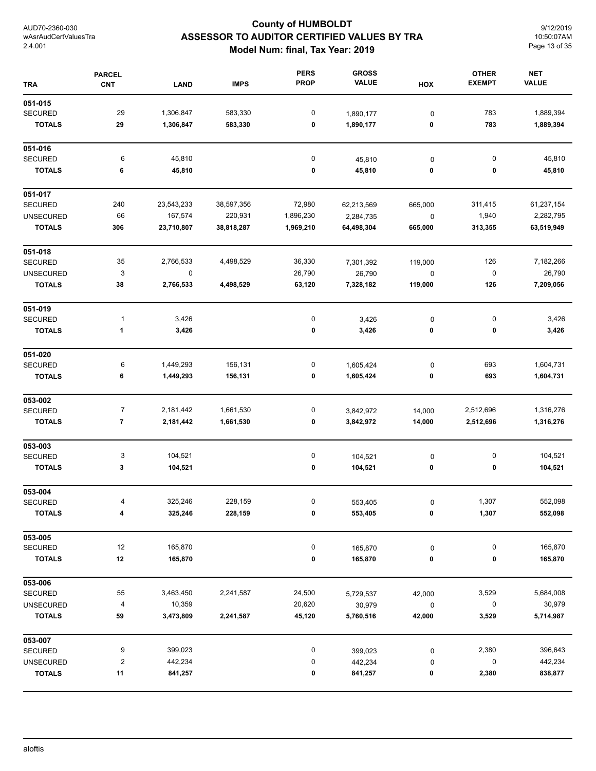## **County of HUMBOLDT ASSESSOR TO AUDITOR CERTIFIED VALUES BY TRA Model Num: final, Tax Year: 2019**

9/12/2019 10:50:07AM Page 13 of 35

| <b>TRA</b>       | <b>PARCEL</b><br>CNT | <b>LAND</b> | <b>IMPS</b> | <b>PERS</b><br><b>PROP</b> | <b>GROSS</b><br><b>VALUE</b> | HOX       | <b>OTHER</b><br><b>EXEMPT</b> | <b>NET</b><br><b>VALUE</b> |
|------------------|----------------------|-------------|-------------|----------------------------|------------------------------|-----------|-------------------------------|----------------------------|
| 051-015          |                      |             |             |                            |                              |           |                               |                            |
| <b>SECURED</b>   | 29                   | 1,306,847   | 583,330     | 0                          | 1,890,177                    | 0         | 783                           | 1,889,394                  |
| <b>TOTALS</b>    | 29                   | 1,306,847   | 583,330     | 0                          | 1,890,177                    | 0         | 783                           | 1,889,394                  |
| 051-016          |                      |             |             |                            |                              |           |                               |                            |
| <b>SECURED</b>   | 6                    | 45,810      |             | $\pmb{0}$                  | 45,810                       | 0         | 0                             | 45,810                     |
| <b>TOTALS</b>    | 6                    | 45,810      |             | 0                          | 45,810                       | 0         | 0                             | 45,810                     |
| 051-017          |                      |             |             |                            |                              |           |                               |                            |
| <b>SECURED</b>   | 240                  | 23,543,233  | 38,597,356  | 72,980                     | 62,213,569                   | 665,000   | 311,415                       | 61,237,154                 |
| <b>UNSECURED</b> | 66                   | 167,574     | 220,931     | 1,896,230                  | 2,284,735                    | $\pmb{0}$ | 1,940                         | 2,282,795                  |
| <b>TOTALS</b>    | 306                  | 23,710,807  | 38,818,287  | 1,969,210                  | 64,498,304                   | 665,000   | 313,355                       | 63,519,949                 |
| 051-018          |                      |             |             |                            |                              |           |                               |                            |
| <b>SECURED</b>   | 35                   | 2,766,533   | 4,498,529   | 36,330                     | 7,301,392                    | 119,000   | 126                           | 7,182,266                  |
| <b>UNSECURED</b> | 3                    | 0           |             | 26,790                     | 26,790                       | $\pmb{0}$ | 0                             | 26,790                     |
| <b>TOTALS</b>    | 38                   | 2,766,533   | 4,498,529   | 63,120                     | 7,328,182                    | 119,000   | 126                           | 7,209,056                  |
| 051-019          |                      |             |             |                            |                              |           |                               |                            |
| <b>SECURED</b>   | $\mathbf{1}$         | 3,426       |             | 0                          | 3,426                        | 0         | 0                             | 3,426                      |
| <b>TOTALS</b>    | 1                    | 3,426       |             | 0                          | 3,426                        | 0         | 0                             | 3,426                      |
| 051-020          |                      |             |             |                            |                              |           |                               |                            |
| <b>SECURED</b>   | 6                    | 1,449,293   | 156,131     | 0                          | 1,605,424                    | $\pmb{0}$ | 693                           | 1,604,731                  |
| <b>TOTALS</b>    | 6                    | 1,449,293   | 156,131     | 0                          | 1,605,424                    | 0         | 693                           | 1,604,731                  |
| 053-002          |                      |             |             |                            |                              |           |                               |                            |
| <b>SECURED</b>   | $\overline{7}$       | 2,181,442   | 1,661,530   | 0                          | 3,842,972                    | 14,000    | 2,512,696                     | 1,316,276                  |
| <b>TOTALS</b>    | 7                    | 2,181,442   | 1,661,530   | 0                          | 3,842,972                    | 14,000    | 2,512,696                     | 1,316,276                  |
| 053-003          |                      |             |             |                            |                              |           |                               |                            |
| SECURED          | 3                    | 104,521     |             | 0                          | 104,521                      | 0         | 0                             | 104,521                    |
| <b>TOTALS</b>    | 3                    | 104,521     |             | 0                          | 104,521                      | 0         | 0                             | 104,521                    |
| 053-004          |                      |             |             |                            |                              |           |                               |                            |
| SECURED          |                      | 325,246     | 228,159     |                            | 553,405                      | 0         | 1,307                         | 552,098                    |
| <b>TOTALS</b>    | 4                    | 325,246     | 228,159     | 0                          | 553,405                      | 0         | 1,307                         | 552,098                    |
| 053-005          |                      |             |             |                            |                              |           |                               |                            |
| <b>SECURED</b>   | 12                   | 165,870     |             | 0                          | 165,870                      | 0         | 0                             | 165,870                    |
| <b>TOTALS</b>    | 12                   | 165,870     |             | 0                          | 165,870                      | 0         | 0                             | 165,870                    |
| 053-006          |                      |             |             |                            |                              |           |                               |                            |
| <b>SECURED</b>   | 55                   | 3,463,450   | 2,241,587   | 24,500                     | 5,729,537                    | 42,000    | 3,529                         | 5,684,008                  |
| <b>UNSECURED</b> | 4                    | 10,359      |             | 20,620                     | 30,979                       | $\pmb{0}$ | 0                             | 30,979                     |
| <b>TOTALS</b>    | 59                   | 3,473,809   | 2,241,587   | 45,120                     | 5,760,516                    | 42,000    | 3,529                         | 5,714,987                  |
| 053-007          |                      |             |             |                            |                              |           |                               |                            |
| <b>SECURED</b>   | 9                    | 399,023     |             | 0                          | 399,023                      | $\pmb{0}$ | 2,380                         | 396,643                    |
| <b>UNSECURED</b> | 2                    | 442,234     |             | 0                          | 442,234                      | 0         | 0                             | 442,234                    |
| <b>TOTALS</b>    | 11                   | 841,257     |             | 0                          | 841,257                      | 0         | 2,380                         | 838,877                    |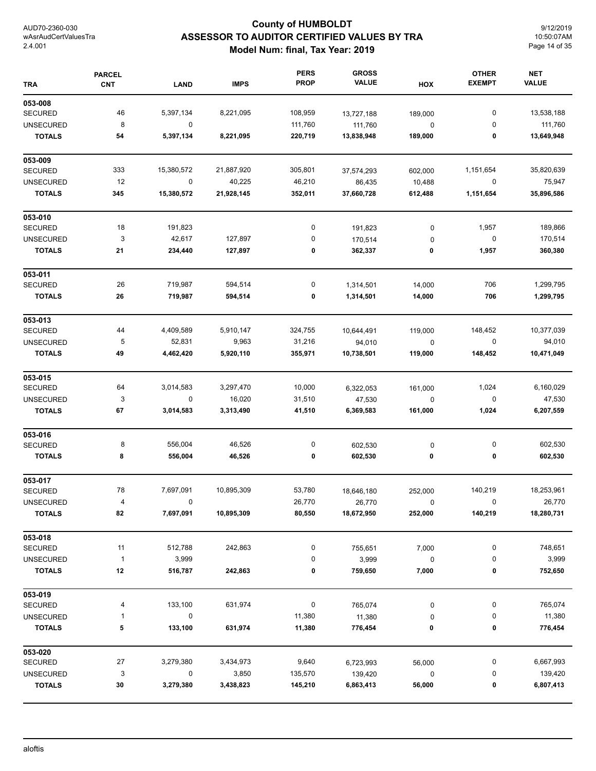## **County of HUMBOLDT ASSESSOR TO AUDITOR CERTIFIED VALUES BY TRA Model Num: final, Tax Year: 2019**

9/12/2019 10:50:07AM Page 14 of 35

| <b>TRA</b>       | <b>PARCEL</b><br><b>CNT</b> | <b>LAND</b>      | <b>IMPS</b> | <b>PERS</b><br><b>PROP</b> | <b>GROSS</b><br><b>VALUE</b> | HOX         | <b>OTHER</b><br><b>EXEMPT</b> | <b>NET</b><br><b>VALUE</b> |
|------------------|-----------------------------|------------------|-------------|----------------------------|------------------------------|-------------|-------------------------------|----------------------------|
| 053-008          |                             |                  |             |                            |                              |             |                               |                            |
| <b>SECURED</b>   | 46                          | 5,397,134        | 8,221,095   | 108,959                    | 13,727,188                   | 189,000     | 0                             | 13,538,188                 |
| <b>UNSECURED</b> | 8                           | $\mathbf 0$      |             | 111,760                    | 111,760                      | $\mathbf 0$ | 0                             | 111,760                    |
| <b>TOTALS</b>    | 54                          | 5,397,134        | 8,221,095   | 220,719                    | 13,838,948                   | 189,000     | 0                             | 13,649,948                 |
| 053-009          |                             |                  |             |                            |                              |             |                               |                            |
| <b>SECURED</b>   | 333                         | 15,380,572       | 21,887,920  | 305,801                    | 37,574,293                   | 602,000     | 1,151,654                     | 35,820,639                 |
| <b>UNSECURED</b> | 12                          | $\boldsymbol{0}$ | 40,225      | 46,210                     | 86,435                       | 10,488      | $\mathbf 0$                   | 75,947                     |
| <b>TOTALS</b>    | 345                         | 15,380,572       | 21,928,145  | 352,011                    | 37,660,728                   | 612,488     | 1,151,654                     | 35,896,586                 |
| 053-010          |                             |                  |             |                            |                              |             |                               |                            |
| <b>SECURED</b>   | 18                          | 191,823          |             | 0                          | 191,823                      | $\pmb{0}$   | 1,957                         | 189,866                    |
| <b>UNSECURED</b> | 3                           | 42,617           | 127,897     | 0                          | 170,514                      | 0           | $\pmb{0}$                     | 170,514                    |
| <b>TOTALS</b>    | 21                          | 234,440          | 127,897     | 0                          | 362,337                      | 0           | 1,957                         | 360,380                    |
| 053-011          |                             |                  |             |                            |                              |             |                               |                            |
| <b>SECURED</b>   | 26                          | 719,987          | 594,514     | 0                          | 1,314,501                    | 14,000      | 706                           | 1,299,795                  |
| <b>TOTALS</b>    | 26                          | 719,987          | 594,514     | 0                          | 1,314,501                    | 14,000      | 706                           | 1,299,795                  |
| 053-013          |                             |                  |             |                            |                              |             |                               |                            |
| <b>SECURED</b>   | 44                          | 4,409,589        | 5,910,147   | 324,755                    | 10,644,491                   | 119,000     | 148,452                       | 10,377,039                 |
| <b>UNSECURED</b> | 5                           | 52,831           | 9,963       | 31,216                     | 94,010                       | $\pmb{0}$   | 0                             | 94,010                     |
| <b>TOTALS</b>    | 49                          | 4,462,420        | 5,920,110   | 355,971                    | 10,738,501                   | 119,000     | 148,452                       | 10,471,049                 |
| 053-015          |                             |                  |             |                            |                              |             |                               |                            |
| <b>SECURED</b>   | 64                          | 3,014,583        | 3,297,470   | 10,000                     | 6,322,053                    | 161,000     | 1,024                         | 6,160,029                  |
| <b>UNSECURED</b> | 3                           | 0                | 16,020      | 31,510                     | 47,530                       | $\mathbf 0$ | 0                             | 47,530                     |
| <b>TOTALS</b>    | 67                          | 3,014,583        | 3,313,490   | 41,510                     | 6,369,583                    | 161,000     | 1,024                         | 6,207,559                  |
| 053-016          |                             |                  |             |                            |                              |             |                               |                            |
| <b>SECURED</b>   | 8                           | 556,004          | 46,526      | 0                          | 602,530                      | 0           | 0                             | 602,530                    |
| <b>TOTALS</b>    | 8                           | 556,004          | 46,526      | 0                          | 602,530                      | 0           | 0                             | 602,530                    |
| 053-017          |                             |                  |             |                            |                              |             |                               |                            |
| <b>SECURED</b>   | 78                          | 7,697,091        | 10,895,309  | 53,780                     | 18,646,180                   | 252,000     | 140,219                       | 18,253,961                 |
| <b>UNSECURED</b> | 4                           |                  |             | 26,770                     | 26,770                       | 0           | $\mathbf 0$                   | 26,770                     |
| <b>TOTALS</b>    | 82                          | 7,697,091        | 10,895,309  | 80,550                     | 18,672,950                   | 252,000     | 140,219                       | 18,280,731                 |
| 053-018          |                             |                  |             |                            |                              |             |                               |                            |
| SECURED          | 11                          | 512,788          | 242,863     | 0                          | 755,651                      | 7,000       | 0                             | 748,651                    |
| <b>UNSECURED</b> | $\mathbf{1}$                | 3,999            |             | 0                          | 3,999                        | 0           | 0                             | 3,999                      |
| <b>TOTALS</b>    | 12                          | 516,787          | 242,863     | 0                          | 759,650                      | 7,000       | 0                             | 752,650                    |
| 053-019          |                             |                  |             |                            |                              |             |                               |                            |
| SECURED          | 4                           | 133,100          | 631,974     | 0                          | 765,074                      | 0           | 0                             | 765,074                    |
| <b>UNSECURED</b> | 1                           | 0                |             | 11,380                     | 11,380                       | $\pmb{0}$   | 0                             | 11,380                     |
| <b>TOTALS</b>    | 5                           | 133,100          | 631,974     | 11,380                     | 776,454                      | 0           | 0                             | 776,454                    |
| 053-020          |                             |                  |             |                            |                              |             |                               |                            |
| <b>SECURED</b>   | 27                          | 3,279,380        | 3,434,973   | 9,640                      | 6,723,993                    | 56,000      | 0                             | 6,667,993                  |
| <b>UNSECURED</b> | 3                           | $\mathbf 0$      | 3,850       | 135,570                    | 139,420                      | 0           | 0                             | 139,420                    |
| <b>TOTALS</b>    | 30                          | 3,279,380        | 3,438,823   | 145,210                    | 6,863,413                    | 56,000      | 0                             | 6,807,413                  |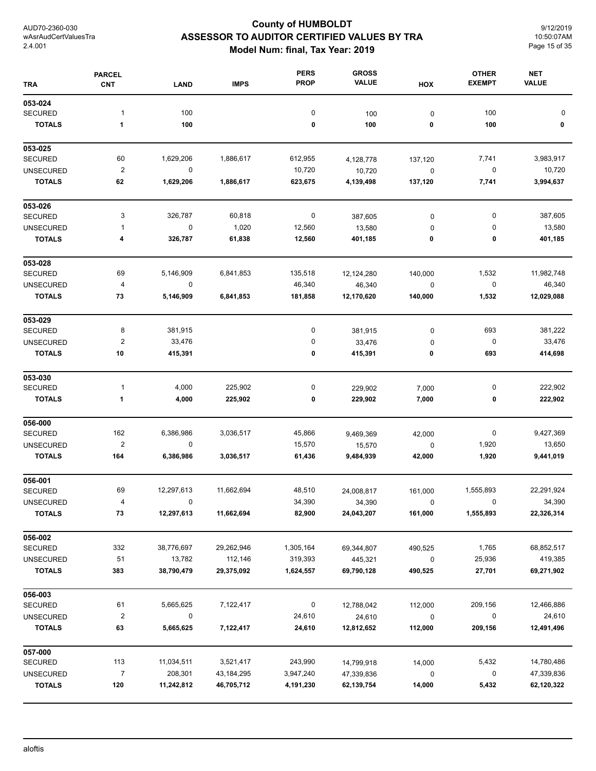## **County of HUMBOLDT ASSESSOR TO AUDITOR CERTIFIED VALUES BY TRA Model Num: final, Tax Year: 2019**

9/12/2019 10:50:07AM Page 15 of 35

| <b>TRA</b>                         | <b>PARCEL</b><br><b>CNT</b>    | <b>LAND</b>            | <b>IMPS</b>  | <b>PERS</b><br><b>PROP</b> | <b>GROSS</b><br><b>VALUE</b> | HOX                  | <b>OTHER</b><br><b>EXEMPT</b> | <b>NET</b><br><b>VALUE</b> |
|------------------------------------|--------------------------------|------------------------|--------------|----------------------------|------------------------------|----------------------|-------------------------------|----------------------------|
| 053-024                            |                                |                        |              |                            |                              |                      |                               |                            |
| <b>SECURED</b>                     | $\mathbf 1$                    | 100                    |              | 0                          | 100                          | 0                    | 100                           | 0                          |
| <b>TOTALS</b>                      | 1                              | 100                    |              | 0                          | 100                          | 0                    | 100                           | 0                          |
| 053-025                            |                                |                        |              |                            |                              |                      |                               |                            |
| <b>SECURED</b><br><b>UNSECURED</b> | 60<br>$\overline{2}$           | 1,629,206<br>$\pmb{0}$ | 1,886,617    | 612,955<br>10,720          | 4,128,778                    | 137,120              | 7,741<br>$\pmb{0}$            | 3,983,917<br>10,720        |
| <b>TOTALS</b>                      | 62                             | 1,629,206              | 1,886,617    | 623,675                    | 10,720<br>4,139,498          | $\pmb{0}$<br>137,120 | 7,741                         | 3,994,637                  |
| 053-026                            |                                |                        |              |                            |                              |                      |                               |                            |
| <b>SECURED</b>                     | 3                              | 326,787                | 60,818       | 0                          | 387,605                      | $\pmb{0}$            | 0                             | 387,605                    |
| <b>UNSECURED</b>                   | 1                              | $\pmb{0}$              | 1,020        | 12,560                     | 13,580                       | 0                    | 0                             | 13,580                     |
| <b>TOTALS</b>                      | 4                              | 326,787                | 61,838       | 12,560                     | 401,185                      | 0                    | 0                             | 401,185                    |
| 053-028                            |                                |                        |              |                            |                              |                      |                               |                            |
| <b>SECURED</b>                     | 69                             | 5,146,909              | 6,841,853    | 135,518                    | 12,124,280                   | 140,000              | 1,532                         | 11,982,748                 |
| <b>UNSECURED</b>                   | 4                              | 0                      |              | 46,340                     | 46,340                       | $\pmb{0}$            | 0                             | 46,340                     |
| <b>TOTALS</b>                      | 73                             | 5,146,909              | 6,841,853    | 181,858                    | 12,170,620                   | 140,000              | 1,532                         | 12,029,088                 |
| 053-029                            |                                |                        |              |                            |                              |                      |                               |                            |
| <b>SECURED</b>                     | 8                              | 381,915                |              | $\pmb{0}$                  | 381,915                      | 0                    | 693                           | 381,222                    |
| <b>UNSECURED</b>                   | $\overline{\mathbf{c}}$        | 33,476                 |              | 0                          | 33,476                       | 0                    | $\mathbf 0$                   | 33,476                     |
| <b>TOTALS</b>                      | 10                             | 415,391                |              | 0                          | 415,391                      | 0                    | 693                           | 414,698                    |
| 053-030                            |                                |                        |              |                            |                              |                      |                               |                            |
| <b>SECURED</b>                     | 1                              | 4,000                  | 225,902      | 0                          | 229,902                      | 7,000                | 0                             | 222,902                    |
| <b>TOTALS</b>                      | 1                              | 4,000                  | 225,902      | 0                          | 229,902                      | 7,000                | 0                             | 222,902                    |
| 056-000                            |                                |                        |              |                            |                              |                      |                               |                            |
| <b>SECURED</b>                     | 162<br>$\overline{\mathbf{c}}$ | 6,386,986<br>0         | 3,036,517    | 45,866                     | 9,469,369                    | 42,000               | 0                             | 9,427,369<br>13,650        |
| <b>UNSECURED</b><br><b>TOTALS</b>  | 164                            | 6,386,986              | 3,036,517    | 15,570<br>61,436           | 15,570<br>9,484,939          | 0<br>42,000          | 1,920<br>1,920                | 9,441,019                  |
| 056-001                            |                                |                        |              |                            |                              |                      |                               |                            |
| <b>SECURED</b>                     | 69                             | 12,297,613             | 11,662,694   | 48,510                     | 24,008,817                   | 161,000              | 1,555,893                     | 22,291,924                 |
| <b>UNSECURED</b>                   | $\overline{4}$                 | 0                      |              | 34,390                     | 34,390                       | $\mathbf 0$          |                               | 34,390                     |
| <b>TOTALS</b>                      | 73                             | 12,297,613             | 11,662,694   | 82,900                     | 24,043,207                   | 161,000              | 1,555,893                     | 22,326,314                 |
| 056-002                            |                                |                        |              |                            |                              |                      |                               |                            |
| <b>SECURED</b>                     | 332                            | 38,776,697             | 29,262,946   | 1,305,164                  | 69,344,807                   | 490,525              | 1,765                         | 68,852,517                 |
| <b>UNSECURED</b>                   | 51                             | 13,782                 | 112,146      | 319,393                    | 445,321                      | $\mathbf 0$          | 25,936                        | 419,385                    |
| <b>TOTALS</b>                      | 383                            | 38,790,479             | 29,375,092   | 1,624,557                  | 69,790,128                   | 490,525              | 27,701                        | 69,271,902                 |
| 056-003                            |                                |                        |              |                            |                              |                      |                               |                            |
| <b>SECURED</b>                     | 61                             | 5,665,625              | 7,122,417    | 0                          | 12,788,042                   | 112,000              | 209,156                       | 12,466,886                 |
| <b>UNSECURED</b>                   | $\overline{\mathbf{c}}$        | 0                      |              | 24,610                     | 24,610                       | $\mathbf 0$          | 0                             | 24,610                     |
| <b>TOTALS</b>                      | 63                             | 5,665,625              | 7,122,417    | 24,610                     | 12,812,652                   | 112,000              | 209,156                       | 12,491,496                 |
| 057-000                            |                                |                        |              |                            |                              |                      |                               |                            |
| <b>SECURED</b>                     | 113                            | 11,034,511             | 3,521,417    | 243,990                    | 14,799,918                   | 14,000               | 5,432                         | 14,780,486                 |
| <b>UNSECURED</b>                   | $\overline{7}$                 | 208,301                | 43, 184, 295 | 3,947,240                  | 47,339,836                   | 0                    | 0                             | 47,339,836                 |
| <b>TOTALS</b>                      | 120                            | 11,242,812             | 46,705,712   | 4,191,230                  | 62,139,754                   | 14,000               | 5,432                         | 62,120,322                 |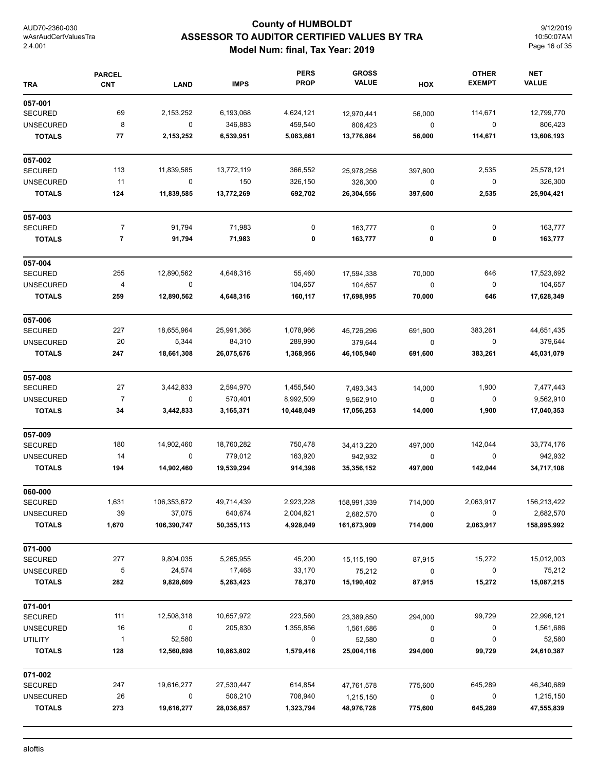## **County of HUMBOLDT ASSESSOR TO AUDITOR CERTIFIED VALUES BY TRA Model Num: final, Tax Year: 2019**

9/12/2019 10:50:07AM Page 16 of 35

| <b>TRA</b>       | <b>PARCEL</b><br><b>CNT</b> | <b>LAND</b> | <b>IMPS</b> | <b>PERS</b><br><b>PROP</b> | <b>GROSS</b><br><b>VALUE</b> | HOX         | <b>OTHER</b><br><b>EXEMPT</b> | <b>NET</b><br><b>VALUE</b> |
|------------------|-----------------------------|-------------|-------------|----------------------------|------------------------------|-------------|-------------------------------|----------------------------|
| 057-001          |                             |             |             |                            |                              |             |                               |                            |
| <b>SECURED</b>   | 69                          | 2,153,252   | 6,193,068   | 4,624,121                  | 12,970,441                   | 56,000      | 114,671                       | 12,799,770                 |
| <b>UNSECURED</b> | 8                           | 0           | 346,883     | 459,540                    | 806,423                      | $\pmb{0}$   | 0                             | 806,423                    |
| <b>TOTALS</b>    | 77                          | 2,153,252   | 6,539,951   | 5,083,661                  | 13,776,864                   | 56,000      | 114,671                       | 13,606,193                 |
| 057-002          |                             |             |             |                            |                              |             |                               |                            |
| <b>SECURED</b>   | 113                         | 11,839,585  | 13,772,119  | 366,552                    | 25,978,256                   | 397,600     | 2,535                         | 25,578,121                 |
| <b>UNSECURED</b> | 11                          | $\mathbf 0$ | 150         | 326,150                    | 326,300                      | $\pmb{0}$   | 0                             | 326,300                    |
| <b>TOTALS</b>    | 124                         | 11,839,585  | 13,772,269  | 692,702                    | 26,304,556                   | 397,600     | 2,535                         | 25,904,421                 |
| 057-003          |                             |             |             |                            |                              |             |                               |                            |
| <b>SECURED</b>   | $\overline{7}$              | 91,794      | 71,983      | 0                          | 163,777                      | 0           | $\pmb{0}$                     | 163,777                    |
| <b>TOTALS</b>    | $\overline{\mathbf{7}}$     | 91,794      | 71,983      | 0                          | 163,777                      | 0           | 0                             | 163,777                    |
| 057-004          |                             |             |             |                            |                              |             |                               |                            |
| <b>SECURED</b>   | 255                         | 12,890,562  | 4,648,316   | 55,460                     | 17,594,338                   | 70,000      | 646                           | 17,523,692                 |
| <b>UNSECURED</b> | $\overline{a}$              | $\pmb{0}$   |             | 104,657                    | 104,657                      | $\mathbf 0$ | $\pmb{0}$                     | 104,657                    |
| <b>TOTALS</b>    | 259                         | 12,890,562  | 4,648,316   | 160,117                    | 17,698,995                   | 70,000      | 646                           | 17,628,349                 |
| 057-006          |                             |             |             |                            |                              |             |                               |                            |
| <b>SECURED</b>   | 227                         | 18,655,964  | 25,991,366  | 1,078,966                  | 45,726,296                   | 691,600     | 383,261                       | 44,651,435                 |
| <b>UNSECURED</b> | 20                          | 5,344       | 84,310      | 289,990                    | 379,644                      | $\mathbf 0$ | 0                             | 379,644                    |
| <b>TOTALS</b>    | 247                         | 18,661,308  | 26,075,676  | 1,368,956                  | 46,105,940                   | 691,600     | 383,261                       | 45,031,079                 |
| 057-008          |                             |             |             |                            |                              |             |                               |                            |
| <b>SECURED</b>   | 27                          | 3,442,833   | 2,594,970   | 1,455,540                  | 7,493,343                    | 14,000      | 1,900                         | 7,477,443                  |
| <b>UNSECURED</b> | $\overline{7}$              | 0           | 570,401     | 8,992,509                  | 9,562,910                    | $\pmb{0}$   | 0                             | 9,562,910                  |
| <b>TOTALS</b>    | 34                          | 3,442,833   | 3,165,371   | 10,448,049                 | 17,056,253                   | 14,000      | 1,900                         | 17,040,353                 |
| 057-009          |                             |             |             |                            |                              |             |                               |                            |
| <b>SECURED</b>   | 180                         | 14,902,460  | 18,760,282  | 750,478                    | 34,413,220                   | 497,000     | 142,044                       | 33,774,176                 |
| <b>UNSECURED</b> | 14                          | 0           | 779,012     | 163,920                    | 942,932                      | 0           | 0                             | 942,932                    |
| <b>TOTALS</b>    | 194                         | 14,902,460  | 19,539,294  | 914,398                    | 35,356,152                   | 497,000     | 142,044                       | 34,717,108                 |
| 060-000          |                             |             |             |                            |                              |             |                               |                            |
| <b>SECURED</b>   | 1,631                       | 106,353,672 | 49,714,439  | 2,923,228                  | 158,991,339                  | 714,000     | 2,063,917                     | 156,213,422                |
| <b>UNSECURED</b> | 39                          | 37,075      | 640,674     | 2,004,821                  | 2,682,570                    | 0           | 0                             | 2,682,570                  |
| <b>TOTALS</b>    | 1,670                       | 106,390,747 | 50,355,113  | 4,928,049                  | 161,673,909                  | 714,000     | 2,063,917                     | 158,895,992                |
| 071-000          |                             |             |             |                            |                              |             |                               |                            |
| <b>SECURED</b>   | 277                         | 9,804,035   | 5,265,955   | 45,200                     | 15,115,190                   | 87,915      | 15,272                        | 15,012,003                 |
| UNSECURED        | 5                           | 24,574      | 17,468      | 33,170                     | 75,212                       | 0           | 0                             | 75,212                     |
| <b>TOTALS</b>    | 282                         | 9,828,609   | 5,283,423   | 78,370                     | 15,190,402                   | 87,915      | 15,272                        | 15,087,215                 |
| 071-001          |                             |             |             |                            |                              |             |                               |                            |
| <b>SECURED</b>   | 111                         | 12,508,318  | 10,657,972  | 223,560                    | 23,389,850                   | 294,000     | 99,729                        | 22,996,121                 |
| <b>UNSECURED</b> | 16                          | 0           | 205,830     | 1,355,856                  | 1,561,686                    | 0           | 0                             | 1,561,686                  |
| <b>UTILITY</b>   | $\mathbf{1}$                | 52,580      |             | 0                          | 52,580                       | 0           | 0                             | 52,580                     |
| <b>TOTALS</b>    | 128                         | 12,560,898  | 10,863,802  | 1,579,416                  | 25,004,116                   | 294,000     | 99,729                        | 24,610,387                 |
| 071-002          |                             |             |             |                            |                              |             |                               |                            |
| <b>SECURED</b>   | 247                         | 19,616,277  | 27,530,447  | 614,854                    | 47,761,578                   | 775,600     | 645,289                       | 46,340,689                 |
| <b>UNSECURED</b> | 26                          | $\mathbf 0$ | 506,210     | 708,940                    | 1,215,150                    | $\pmb{0}$   | $\mathbf 0$                   | 1,215,150                  |
| <b>TOTALS</b>    | 273                         | 19,616,277  | 28,036,657  | 1,323,794                  | 48,976,728                   | 775,600     | 645,289                       | 47,555,839                 |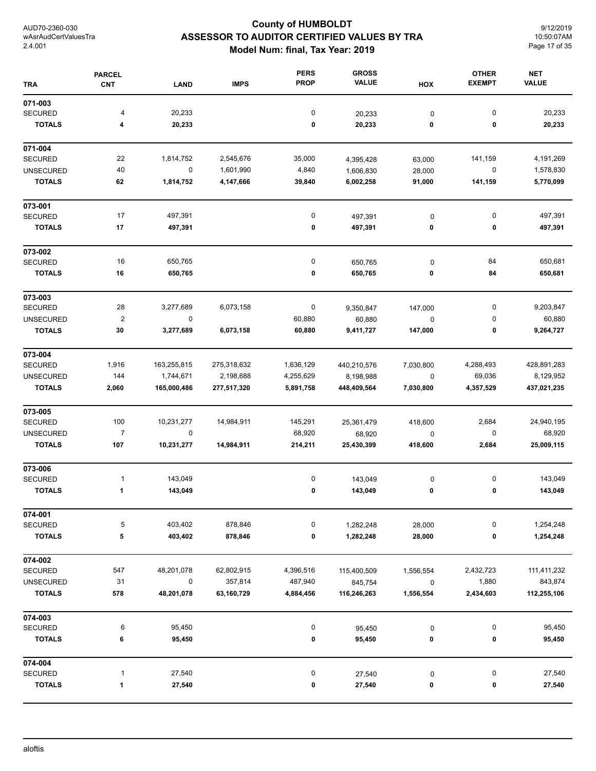## **County of HUMBOLDT ASSESSOR TO AUDITOR CERTIFIED VALUES BY TRA Model Num: final, Tax Year: 2019**

9/12/2019 10:50:07AM Page 17 of 35

| <b>TRA</b>       | <b>PARCEL</b><br><b>CNT</b> | <b>LAND</b> | <b>IMPS</b> | <b>PERS</b><br><b>PROP</b> | <b>GROSS</b><br><b>VALUE</b> | HOX         | <b>OTHER</b><br><b>EXEMPT</b> | <b>NET</b><br><b>VALUE</b> |
|------------------|-----------------------------|-------------|-------------|----------------------------|------------------------------|-------------|-------------------------------|----------------------------|
| 071-003          |                             |             |             |                            |                              |             |                               |                            |
| <b>SECURED</b>   | 4                           | 20,233      |             | 0                          | 20,233                       | $\pmb{0}$   | $\pmb{0}$                     | 20,233                     |
| <b>TOTALS</b>    | 4                           | 20,233      |             | 0                          | 20,233                       | 0           | 0                             | 20,233                     |
| 071-004          |                             |             |             |                            |                              |             |                               |                            |
| <b>SECURED</b>   | 22                          | 1,814,752   | 2,545,676   | 35,000                     | 4,395,428                    | 63,000      | 141,159                       | 4,191,269                  |
| <b>UNSECURED</b> | 40                          | $\mathsf 0$ | 1,601,990   | 4,840                      | 1,606,830                    | 28,000      | $\pmb{0}$                     | 1,578,830                  |
| <b>TOTALS</b>    | 62                          | 1,814,752   | 4,147,666   | 39,840                     | 6,002,258                    | 91,000      | 141,159                       | 5,770,099                  |
| 073-001          |                             |             |             |                            |                              |             |                               |                            |
| SECURED          | 17                          | 497,391     |             | $\pmb{0}$                  | 497,391                      | $\pmb{0}$   | $\pmb{0}$                     | 497,391                    |
| <b>TOTALS</b>    | 17                          | 497,391     |             | $\pmb{0}$                  | 497,391                      | 0           | 0                             | 497,391                    |
| 073-002          |                             |             |             |                            |                              |             |                               |                            |
| <b>SECURED</b>   | 16                          | 650,765     |             | 0                          | 650,765                      | $\pmb{0}$   | 84                            | 650,681                    |
| <b>TOTALS</b>    | 16                          | 650,765     |             | 0                          | 650,765                      | 0           | 84                            | 650,681                    |
| 073-003          |                             |             |             |                            |                              |             |                               |                            |
| <b>SECURED</b>   | 28                          | 3,277,689   | 6,073,158   | $\pmb{0}$                  | 9,350,847                    | 147,000     | 0                             | 9,203,847                  |
| <b>UNSECURED</b> | $\overline{2}$              | $\pmb{0}$   |             | 60,880                     | 60,880                       | $\pmb{0}$   | 0                             | 60,880                     |
| <b>TOTALS</b>    | 30                          | 3,277,689   | 6,073,158   | 60,880                     | 9,411,727                    | 147,000     | 0                             | 9,264,727                  |
| 073-004          |                             |             |             |                            |                              |             |                               |                            |
| <b>SECURED</b>   | 1,916                       | 163,255,815 | 275,318,632 | 1,636,129                  | 440,210,576                  | 7,030,800   | 4,288,493                     | 428,891,283                |
| <b>UNSECURED</b> | 144                         | 1,744,671   | 2,198,688   | 4,255,629                  | 8,198,988                    | $\mathbf 0$ | 69,036                        | 8,129,952                  |
| <b>TOTALS</b>    | 2,060                       | 165,000,486 | 277,517,320 | 5,891,758                  | 448,409,564                  | 7,030,800   | 4,357,529                     | 437,021,235                |
| 073-005          |                             |             |             |                            |                              |             |                               |                            |
| <b>SECURED</b>   | 100                         | 10,231,277  | 14,984,911  | 145,291                    | 25,361,479                   | 418,600     | 2,684                         | 24,940,195                 |
| <b>UNSECURED</b> | $\overline{7}$              | $\pmb{0}$   |             | 68,920                     | 68,920                       | 0           | 0                             | 68,920                     |
| <b>TOTALS</b>    | 107                         | 10,231,277  | 14,984,911  | 214,211                    | 25,430,399                   | 418,600     | 2,684                         | 25,009,115                 |
| 073-006          |                             |             |             |                            |                              |             |                               |                            |
| SECURED          | $\mathbf{1}$                | 143,049     |             | 0                          | 143,049                      | $\pmb{0}$   | 0                             | 143,049                    |
| <b>TOTALS</b>    | 1                           | 143,049     |             | 0                          | 143,049                      | 0           | 0                             | 143,049                    |
| 074-001          |                             |             |             |                            |                              |             |                               |                            |
| <b>SECURED</b>   | 5                           | 403,402     | 878,846     | $\pmb{0}$                  | 1,282,248                    | 28,000      | 0                             | 1,254,248                  |
| <b>TOTALS</b>    | 5                           | 403,402     | 878,846     | 0                          | 1,282,248                    | 28,000      | 0                             | 1,254,248                  |
| 074-002          |                             |             |             |                            |                              |             |                               |                            |
| <b>SECURED</b>   | 547                         | 48,201,078  | 62,802,915  | 4,396,516                  | 115,400,509                  | 1,556,554   | 2,432,723                     | 111,411,232                |
| <b>UNSECURED</b> | 31                          | $\pmb{0}$   | 357,814     | 487,940                    | 845,754                      | 0           | 1,880                         | 843,874                    |
| <b>TOTALS</b>    | 578                         | 48,201,078  | 63,160,729  | 4,884,456                  | 116,246,263                  | 1,556,554   | 2,434,603                     | 112,255,106                |
| 074-003          |                             |             |             |                            |                              |             |                               |                            |
| <b>SECURED</b>   | 6                           | 95,450      |             | $\pmb{0}$                  | 95,450                       | $\pmb{0}$   | 0                             | 95,450                     |
| <b>TOTALS</b>    | 6                           | 95,450      |             | $\pmb{0}$                  | 95,450                       | 0           | 0                             | 95,450                     |
| 074-004          |                             |             |             |                            |                              |             |                               |                            |
| <b>SECURED</b>   | $\mathbf{1}$                | 27,540      |             | 0                          | 27,540                       | $\pmb{0}$   | 0                             | 27,540                     |
| <b>TOTALS</b>    | 1                           | 27,540      |             | 0                          | 27,540                       | 0           | 0                             | 27,540                     |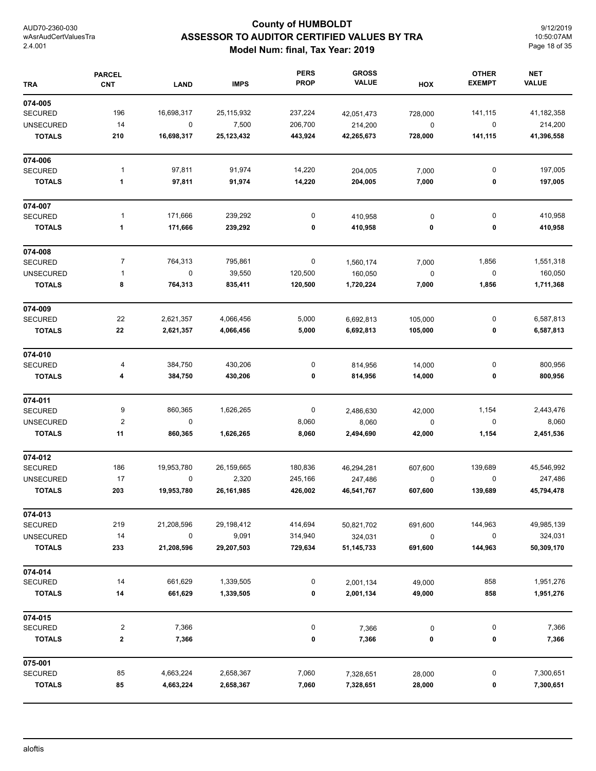## **County of HUMBOLDT ASSESSOR TO AUDITOR CERTIFIED VALUES BY TRA Model Num: final, Tax Year: 2019**

9/12/2019 10:50:07AM Page 18 of 35

| <b>TRA</b>       | <b>PARCEL</b><br><b>CNT</b> | <b>LAND</b>      | <b>IMPS</b> | <b>PERS</b><br><b>PROP</b> | <b>GROSS</b><br><b>VALUE</b> | HOX       | <b>OTHER</b><br><b>EXEMPT</b> | <b>NET</b><br><b>VALUE</b> |
|------------------|-----------------------------|------------------|-------------|----------------------------|------------------------------|-----------|-------------------------------|----------------------------|
| 074-005          |                             |                  |             |                            |                              |           |                               |                            |
| <b>SECURED</b>   | 196                         | 16,698,317       | 25,115,932  | 237,224                    | 42,051,473                   | 728,000   | 141,115                       | 41,182,358                 |
| <b>UNSECURED</b> | 14                          | $\boldsymbol{0}$ | 7,500       | 206,700                    | 214,200                      | $\pmb{0}$ | 0                             | 214,200                    |
| <b>TOTALS</b>    | 210                         | 16,698,317       | 25,123,432  | 443,924                    | 42,265,673                   | 728,000   | 141,115                       | 41,396,558                 |
| 074-006          |                             |                  |             |                            |                              |           |                               |                            |
| <b>SECURED</b>   | $\mathbf{1}$                | 97,811           | 91,974      | 14,220                     | 204,005                      | 7,000     | 0                             | 197,005                    |
| <b>TOTALS</b>    | 1                           | 97,811           | 91,974      | 14,220                     | 204,005                      | 7,000     | 0                             | 197,005                    |
| 074-007          |                             |                  |             |                            |                              |           |                               |                            |
| <b>SECURED</b>   | 1                           | 171,666          | 239,292     | 0                          | 410,958                      | 0         | 0                             | 410,958                    |
| <b>TOTALS</b>    | 1                           | 171,666          | 239,292     | 0                          | 410,958                      | 0         | 0                             | 410,958                    |
| 074-008          |                             |                  |             |                            |                              |           |                               |                            |
| <b>SECURED</b>   | $\overline{7}$              | 764,313          | 795,861     | $\pmb{0}$                  | 1,560,174                    | 7,000     | 1,856                         | 1,551,318                  |
| <b>UNSECURED</b> | 1                           | $\pmb{0}$        | 39,550      | 120,500                    | 160,050                      | $\pmb{0}$ | $\pmb{0}$                     | 160,050                    |
| <b>TOTALS</b>    | 8                           | 764,313          | 835,411     | 120,500                    | 1,720,224                    | 7,000     | 1,856                         | 1,711,368                  |
| 074-009          |                             |                  |             |                            |                              |           |                               |                            |
| <b>SECURED</b>   | 22                          | 2,621,357        | 4,066,456   | 5,000                      | 6,692,813                    | 105,000   | 0                             | 6,587,813                  |
| <b>TOTALS</b>    | 22                          | 2,621,357        | 4,066,456   | 5,000                      | 6,692,813                    | 105,000   | 0                             | 6,587,813                  |
| 074-010          |                             |                  |             |                            |                              |           |                               |                            |
| <b>SECURED</b>   | 4                           | 384,750          | 430,206     | 0                          | 814,956                      | 14,000    | 0                             | 800,956                    |
| <b>TOTALS</b>    | 4                           | 384,750          | 430,206     | 0                          | 814,956                      | 14,000    | 0                             | 800,956                    |
| 074-011          |                             |                  |             |                            |                              |           |                               |                            |
| <b>SECURED</b>   | 9                           | 860,365          | 1,626,265   | 0                          | 2,486,630                    | 42,000    | 1,154                         | 2,443,476                  |
| <b>UNSECURED</b> | $\boldsymbol{2}$            | $\mathbf 0$      |             | 8,060                      | 8,060                        | 0         | 0                             | 8,060                      |
| <b>TOTALS</b>    | 11                          | 860,365          | 1,626,265   | 8,060                      | 2,494,690                    | 42,000    | 1,154                         | 2,451,536                  |
| 074-012          |                             |                  |             |                            |                              |           |                               |                            |
| <b>SECURED</b>   | 186                         | 19,953,780       | 26,159,665  | 180,836                    | 46,294,281                   | 607,600   | 139,689                       | 45,546,992                 |
| <b>UNSECURED</b> | 17                          | $\mathbf 0$      | 2,320       | 245,166                    | 247,486                      | 0         | 0                             | 247,486                    |
| <b>TOTALS</b>    | 203                         | 19,953,780       | 26,161,985  | 426,002                    | 46,541,767                   | 607,600   | 139,689                       | 45,794,478                 |
| 074-013          |                             |                  |             |                            |                              |           |                               |                            |
| <b>SECURED</b>   | 219                         | 21,208,596       | 29,198,412  | 414,694                    | 50,821,702                   | 691,600   | 144,963                       | 49,985,139                 |
| <b>UNSECURED</b> | 14                          | $\pmb{0}$        | 9,091       | 314,940                    | 324,031                      | $\pmb{0}$ | $\pmb{0}$                     | 324,031                    |
| <b>TOTALS</b>    | 233                         | 21,208,596       | 29,207,503  | 729,634                    | 51, 145, 733                 | 691,600   | 144,963                       | 50,309,170                 |
| 074-014          |                             |                  |             |                            |                              |           |                               |                            |
| <b>SECURED</b>   | 14                          | 661,629          | 1,339,505   | 0                          | 2,001,134                    | 49,000    | 858                           | 1,951,276                  |
| <b>TOTALS</b>    | 14                          | 661,629          | 1,339,505   | 0                          | 2,001,134                    | 49,000    | 858                           | 1,951,276                  |
| 074-015          |                             |                  |             |                            |                              |           |                               |                            |
| <b>SECURED</b>   | $\overline{\mathbf{c}}$     | 7,366            |             | 0                          | 7,366                        | 0         | 0                             | 7,366                      |
| <b>TOTALS</b>    | 2                           | 7,366            |             | 0                          | 7,366                        | 0         | 0                             | 7,366                      |
| 075-001          |                             |                  |             |                            |                              |           |                               |                            |
| SECURED          | 85                          | 4,663,224        | 2,658,367   | 7,060                      | 7,328,651                    | 28,000    | $\pmb{0}$                     | 7,300,651                  |
| <b>TOTALS</b>    | 85                          | 4,663,224        | 2,658,367   | 7,060                      | 7,328,651                    | 28,000    | 0                             | 7,300,651                  |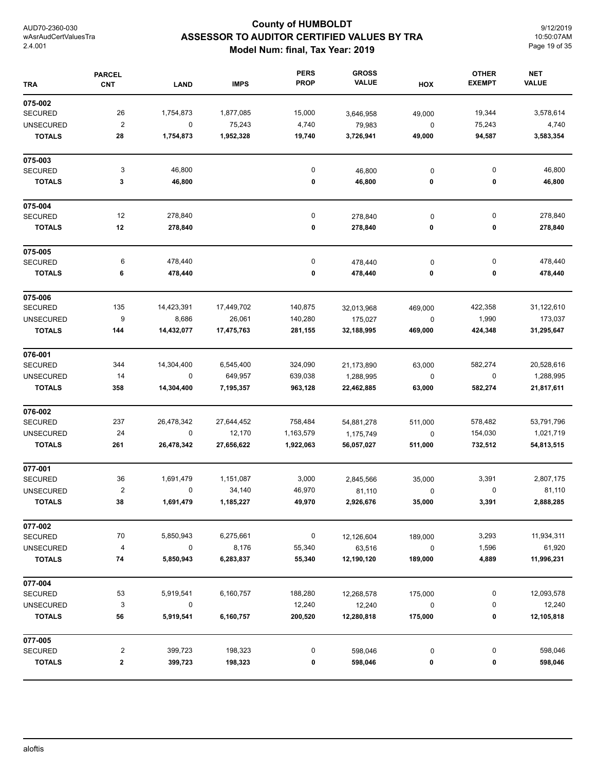## **County of HUMBOLDT ASSESSOR TO AUDITOR CERTIFIED VALUES BY TRA Model Num: final, Tax Year: 2019**

9/12/2019 10:50:07AM Page 19 of 35

| <b>TRA</b>       | <b>PARCEL</b><br><b>CNT</b> | <b>LAND</b> | <b>IMPS</b> | <b>PERS</b><br><b>PROP</b> | <b>GROSS</b><br><b>VALUE</b> | HOX         | <b>OTHER</b><br><b>EXEMPT</b> | <b>NET</b><br><b>VALUE</b> |
|------------------|-----------------------------|-------------|-------------|----------------------------|------------------------------|-------------|-------------------------------|----------------------------|
| 075-002          |                             |             |             |                            |                              |             |                               |                            |
| <b>SECURED</b>   | 26                          | 1,754,873   | 1,877,085   | 15,000                     | 3,646,958                    | 49,000      | 19,344                        | 3,578,614                  |
| <b>UNSECURED</b> | $\boldsymbol{2}$            | $\mathbf 0$ | 75,243      | 4,740                      | 79,983                       | 0           | 75,243                        | 4,740                      |
| <b>TOTALS</b>    | 28                          | 1,754,873   | 1,952,328   | 19,740                     | 3,726,941                    | 49,000      | 94,587                        | 3,583,354                  |
| 075-003          |                             |             |             |                            |                              |             |                               |                            |
| <b>SECURED</b>   | 3                           | 46,800      |             | 0                          | 46,800                       | 0           | 0                             | 46,800                     |
| <b>TOTALS</b>    | 3                           | 46,800      |             | 0                          | 46,800                       | 0           | 0                             | 46,800                     |
| 075-004          |                             |             |             |                            |                              |             |                               |                            |
| <b>SECURED</b>   | 12                          | 278,840     |             | 0                          | 278,840                      | $\pmb{0}$   | 0                             | 278,840                    |
| <b>TOTALS</b>    | 12                          | 278,840     |             | 0                          | 278,840                      | 0           | 0                             | 278,840                    |
| 075-005          |                             |             |             |                            |                              |             |                               |                            |
| <b>SECURED</b>   | 6                           | 478,440     |             | 0                          | 478,440                      | $\pmb{0}$   | 0                             | 478,440                    |
| <b>TOTALS</b>    | 6                           | 478,440     |             | 0                          | 478,440                      | 0           | 0                             | 478,440                    |
| 075-006          |                             |             |             |                            |                              |             |                               |                            |
| <b>SECURED</b>   | 135                         | 14,423,391  | 17,449,702  | 140,875                    | 32,013,968                   | 469,000     | 422,358                       | 31,122,610                 |
| <b>UNSECURED</b> | 9                           | 8,686       | 26,061      | 140,280                    | 175,027                      | 0           | 1,990                         | 173,037                    |
| <b>TOTALS</b>    | 144                         | 14,432,077  | 17,475,763  | 281,155                    | 32,188,995                   | 469,000     | 424,348                       | 31,295,647                 |
| 076-001          |                             |             |             |                            |                              |             |                               |                            |
| <b>SECURED</b>   | 344                         | 14,304,400  | 6,545,400   | 324,090                    | 21,173,890                   | 63,000      | 582,274                       | 20,528,616                 |
| <b>UNSECURED</b> | 14                          | 0           | 649,957     | 639,038                    | 1,288,995                    | 0           | 0                             | 1,288,995                  |
| <b>TOTALS</b>    | 358                         | 14,304,400  | 7,195,357   | 963,128                    | 22,462,885                   | 63,000      | 582,274                       | 21,817,611                 |
| 076-002          |                             |             |             |                            |                              |             |                               |                            |
| <b>SECURED</b>   | 237                         | 26,478,342  | 27,644,452  | 758,484                    | 54,881,278                   | 511,000     | 578,482                       | 53,791,796                 |
| <b>UNSECURED</b> | 24                          | $\mathbf 0$ | 12,170      | 1,163,579                  | 1,175,749                    | $\mathbf 0$ | 154,030                       | 1,021,719                  |
| <b>TOTALS</b>    | 261                         | 26,478,342  | 27,656,622  | 1,922,063                  | 56,057,027                   | 511,000     | 732,512                       | 54,813,515                 |
| 077-001          |                             |             |             |                            |                              |             |                               |                            |
| <b>SECURED</b>   | 36                          | 1,691,479   | 1,151,087   | 3,000                      | 2,845,566                    | 35,000      | 3,391                         | 2,807,175                  |
| <b>UNSECURED</b> | $\overline{c}$              | 0           | 34,140      | 46,970                     | 81,110                       | $\pmb{0}$   | 0                             | 81,110                     |
| TOTALS           | 38                          | 1,691,479   | 1,185,227   | 49,970                     | 2,926,676                    | 35,000      | 3,391                         | 2,888,285                  |
| 077-002          |                             |             |             |                            |                              |             |                               |                            |
| SECURED          | 70                          | 5,850,943   | 6,275,661   | 0                          | 12,126,604                   | 189,000     | 3,293                         | 11,934,311                 |
| <b>UNSECURED</b> | 4                           | 0           | 8,176       | 55,340                     | 63,516                       | $\pmb{0}$   | 1,596                         | 61,920                     |
| <b>TOTALS</b>    | 74                          | 5,850,943   | 6,283,837   | 55,340                     | 12,190,120                   | 189,000     | 4,889                         | 11,996,231                 |
| 077-004          |                             |             |             |                            |                              |             |                               |                            |
| <b>SECURED</b>   | 53                          | 5,919,541   | 6,160,757   | 188,280                    | 12,268,578                   | 175,000     | 0                             | 12,093,578                 |
| <b>UNSECURED</b> | 3                           | 0           |             | 12,240                     | 12,240                       | 0           | 0                             | 12,240                     |
| <b>TOTALS</b>    | 56                          | 5,919,541   | 6,160,757   | 200,520                    | 12,280,818                   | 175,000     | 0                             | 12,105,818                 |
| 077-005          |                             |             |             |                            |                              |             |                               |                            |
| SECURED          | $\overline{c}$              | 399,723     | 198,323     | $\pmb{0}$                  | 598,046                      | 0           | $\pmb{0}$                     | 598,046                    |
| <b>TOTALS</b>    | $\mathbf 2$                 | 399,723     | 198,323     | 0                          | 598,046                      | 0           | 0                             | 598,046                    |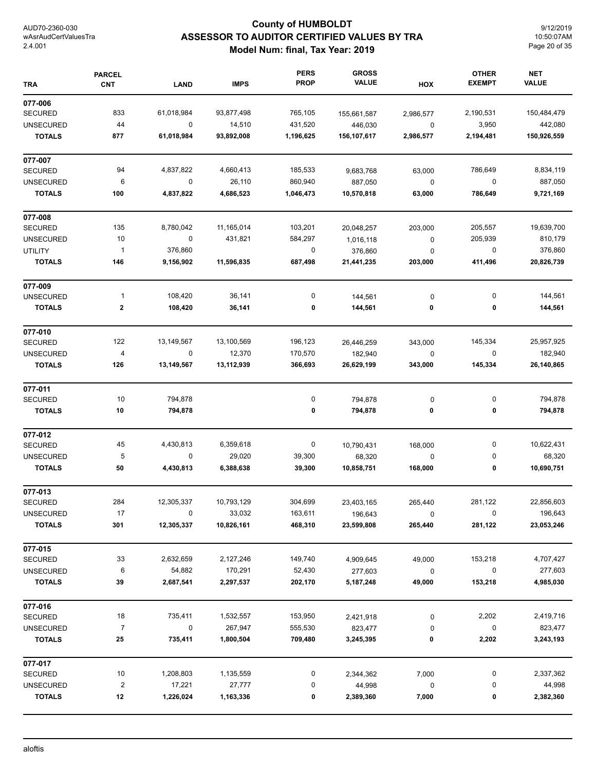## **County of HUMBOLDT ASSESSOR TO AUDITOR CERTIFIED VALUES BY TRA Model Num: final, Tax Year: 2019**

9/12/2019 10:50:07AM Page 20 of 35

| <b>TRA</b>       | <b>PARCEL</b><br><b>CNT</b> | <b>LAND</b> | <b>IMPS</b> | <b>PERS</b><br><b>PROP</b> | <b>GROSS</b><br><b>VALUE</b> | HOX       | <b>OTHER</b><br><b>EXEMPT</b> | <b>NET</b><br><b>VALUE</b> |
|------------------|-----------------------------|-------------|-------------|----------------------------|------------------------------|-----------|-------------------------------|----------------------------|
| 077-006          |                             |             |             |                            |                              |           |                               |                            |
| <b>SECURED</b>   | 833                         | 61,018,984  | 93,877,498  | 765,105                    | 155,661,587                  | 2,986,577 | 2,190,531                     | 150,484,479                |
| <b>UNSECURED</b> | 44                          | 0           | 14,510      | 431,520                    | 446,030                      | $\pmb{0}$ | 3,950                         | 442,080                    |
| <b>TOTALS</b>    | 877                         | 61,018,984  | 93,892,008  | 1,196,625                  | 156,107,617                  | 2,986,577 | 2,194,481                     | 150,926,559                |
| 077-007          |                             |             |             |                            |                              |           |                               |                            |
| <b>SECURED</b>   | 94                          | 4,837,822   | 4,660,413   | 185,533                    | 9,683,768                    | 63,000    | 786,649                       | 8,834,119                  |
| <b>UNSECURED</b> | 6                           | 0           | 26,110      | 860,940                    | 887,050                      | $\pmb{0}$ | $\mathbf 0$                   | 887,050                    |
| <b>TOTALS</b>    | 100                         | 4,837,822   | 4,686,523   | 1,046,473                  | 10,570,818                   | 63,000    | 786,649                       | 9,721,169                  |
| 077-008          |                             |             |             |                            |                              |           |                               |                            |
| <b>SECURED</b>   | 135                         | 8,780,042   | 11,165,014  | 103,201                    | 20,048,257                   | 203,000   | 205,557                       | 19,639,700                 |
| <b>UNSECURED</b> | 10                          | $\pmb{0}$   | 431,821     | 584,297                    | 1,016,118                    | $\pmb{0}$ | 205,939                       | 810,179                    |
| <b>UTILITY</b>   | $\overline{1}$              | 376,860     |             | $\boldsymbol{0}$           | 376,860                      | $\pmb{0}$ | $\pmb{0}$                     | 376,860                    |
| <b>TOTALS</b>    | 146                         | 9,156,902   | 11,596,835  | 687,498                    | 21,441,235                   | 203,000   | 411,496                       | 20,826,739                 |
| 077-009          |                             |             |             |                            |                              |           |                               |                            |
| <b>UNSECURED</b> | $\mathbf{1}$                | 108,420     | 36,141      | 0                          | 144,561                      | $\pmb{0}$ | 0                             | 144,561                    |
| <b>TOTALS</b>    | $\bf{2}$                    | 108,420     | 36,141      | 0                          | 144,561                      | 0         | 0                             | 144,561                    |
| 077-010          |                             |             |             |                            |                              |           |                               |                            |
| <b>SECURED</b>   | 122                         | 13,149,567  | 13,100,569  | 196,123                    | 26,446,259                   | 343,000   | 145,334                       | 25,957,925                 |
| <b>UNSECURED</b> | 4                           | $\pmb{0}$   | 12,370      | 170,570                    | 182,940                      | $\pmb{0}$ | $\pmb{0}$                     | 182,940                    |
| <b>TOTALS</b>    | 126                         | 13,149,567  | 13,112,939  | 366,693                    | 26,629,199                   | 343,000   | 145,334                       | 26,140,865                 |
| 077-011          |                             |             |             |                            |                              |           |                               |                            |
| <b>SECURED</b>   | 10                          | 794,878     |             | 0                          | 794,878                      | 0         | 0                             | 794,878                    |
| <b>TOTALS</b>    | 10                          | 794,878     |             | 0                          | 794,878                      | 0         | 0                             | 794,878                    |
| 077-012          |                             |             |             |                            |                              |           |                               |                            |
| <b>SECURED</b>   | 45                          | 4,430,813   | 6,359,618   | 0                          | 10,790,431                   | 168,000   | 0                             | 10,622,431                 |
| <b>UNSECURED</b> | 5                           | 0           | 29,020      | 39,300                     | 68,320                       | 0         | 0                             | 68,320                     |
| <b>TOTALS</b>    | 50                          | 4,430,813   | 6,388,638   | 39,300                     | 10,858,751                   | 168,000   | 0                             | 10,690,751                 |
| 077-013          |                             |             |             |                            |                              |           |                               |                            |
| <b>SECURED</b>   | 284                         | 12,305,337  | 10,793,129  | 304,699                    | 23,403,165                   | 265,440   | 281,122                       | 22,856,603                 |
| <b>UNSECURED</b> | 17                          | 0           | 33,032      | 163,611                    | 196,643                      | 0         | 0                             | 196,643                    |
| <b>TOTALS</b>    | 301                         | 12,305,337  | 10,826,161  | 468,310                    | 23,599,808                   | 265,440   | 281,122                       | 23,053,246                 |
| 077-015          |                             |             |             |                            |                              |           |                               |                            |
| <b>SECURED</b>   | 33                          | 2,632,659   | 2,127,246   | 149,740                    | 4,909,645                    | 49,000    | 153,218                       | 4,707,427                  |
| <b>UNSECURED</b> | 6                           | 54,882      | 170,291     | 52,430                     | 277,603                      | 0         | $\boldsymbol{0}$              | 277,603                    |
| <b>TOTALS</b>    | 39                          | 2,687,541   | 2,297,537   | 202,170                    | 5,187,248                    | 49,000    | 153,218                       | 4,985,030                  |
| 077-016          |                             |             |             |                            |                              |           |                               |                            |
| <b>SECURED</b>   | 18                          | 735,411     | 1,532,557   | 153,950                    | 2,421,918                    | 0         | 2,202                         | 2,419,716                  |
| <b>UNSECURED</b> | $\overline{7}$              | 0           | 267,947     | 555,530                    | 823,477                      | 0         | 0                             | 823,477                    |
| <b>TOTALS</b>    | 25                          | 735,411     | 1,800,504   | 709,480                    | 3,245,395                    | 0         | 2,202                         | 3,243,193                  |
| 077-017          |                             |             |             |                            |                              |           |                               |                            |
| <b>SECURED</b>   | 10                          | 1,208,803   | 1,135,559   | 0                          | 2,344,362                    | 7,000     | 0                             | 2,337,362                  |
| <b>UNSECURED</b> | $\boldsymbol{2}$            | 17,221      | 27,777      | 0                          | 44,998                       | 0         | 0                             | 44,998                     |
| <b>TOTALS</b>    | 12                          | 1,226,024   | 1,163,336   | 0                          | 2,389,360                    | 7,000     | 0                             | 2,382,360                  |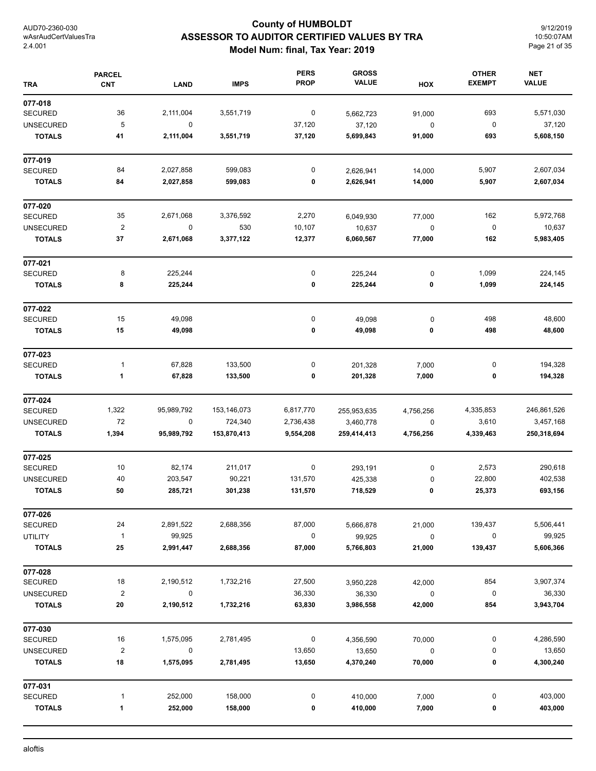## **County of HUMBOLDT ASSESSOR TO AUDITOR CERTIFIED VALUES BY TRA Model Num: final, Tax Year: 2019**

9/12/2019 10:50:07AM Page 21 of 35

| <b>TRA</b>       | <b>PARCEL</b><br><b>CNT</b> | <b>LAND</b> | <b>IMPS</b> | <b>PERS</b><br><b>PROP</b> | <b>GROSS</b><br><b>VALUE</b> | HOX         | <b>OTHER</b><br><b>EXEMPT</b> | <b>NET</b><br><b>VALUE</b> |
|------------------|-----------------------------|-------------|-------------|----------------------------|------------------------------|-------------|-------------------------------|----------------------------|
| 077-018          |                             |             |             |                            |                              |             |                               |                            |
| <b>SECURED</b>   | 36                          | 2,111,004   | 3,551,719   | $\boldsymbol{0}$           | 5,662,723                    | 91,000      | 693                           | 5,571,030                  |
| <b>UNSECURED</b> | 5                           | $\mathbf 0$ |             | 37,120                     | 37,120                       | $\pmb{0}$   | $\pmb{0}$                     | 37,120                     |
| <b>TOTALS</b>    | 41                          | 2,111,004   | 3,551,719   | 37,120                     | 5,699,843                    | 91,000      | 693                           | 5,608,150                  |
| 077-019          |                             |             |             |                            |                              |             |                               |                            |
| <b>SECURED</b>   | 84                          | 2,027,858   | 599,083     | 0                          | 2,626,941                    | 14,000      | 5,907                         | 2,607,034                  |
| <b>TOTALS</b>    | 84                          | 2,027,858   | 599,083     | 0                          | 2,626,941                    | 14,000      | 5,907                         | 2,607,034                  |
| 077-020          |                             |             |             |                            |                              |             |                               |                            |
| <b>SECURED</b>   | 35                          | 2,671,068   | 3,376,592   | 2,270                      | 6,049,930                    | 77,000      | 162                           | 5,972,768                  |
| <b>UNSECURED</b> | $\overline{\mathbf{c}}$     | $\pmb{0}$   | 530         | 10,107                     | 10,637                       | $\mathbf 0$ | $\pmb{0}$                     | 10,637                     |
| <b>TOTALS</b>    | 37                          | 2,671,068   | 3,377,122   | 12,377                     | 6,060,567                    | 77,000      | 162                           | 5,983,405                  |
| 077-021          |                             |             |             |                            |                              |             |                               |                            |
| <b>SECURED</b>   | 8                           | 225,244     |             | $\pmb{0}$                  | 225,244                      | $\pmb{0}$   | 1,099                         | 224,145                    |
| <b>TOTALS</b>    | 8                           | 225,244     |             | 0                          | 225,244                      | 0           | 1,099                         | 224,145                    |
| 077-022          |                             |             |             |                            |                              |             |                               |                            |
| <b>SECURED</b>   | 15                          | 49,098      |             | 0                          | 49,098                       | 0           | 498                           | 48,600                     |
| <b>TOTALS</b>    | 15                          | 49,098      |             | 0                          | 49,098                       | 0           | 498                           | 48,600                     |
| 077-023          |                             |             |             |                            |                              |             |                               |                            |
| <b>SECURED</b>   | $\mathbf{1}$                | 67,828      | 133,500     | 0                          | 201,328                      | 7,000       | 0                             | 194,328                    |
| <b>TOTALS</b>    | 1                           | 67,828      | 133,500     | 0                          | 201,328                      | 7,000       | 0                             | 194,328                    |
| 077-024          |                             |             |             |                            |                              |             |                               |                            |
| <b>SECURED</b>   | 1,322                       | 95,989,792  | 153,146,073 | 6,817,770                  | 255,953,635                  | 4,756,256   | 4,335,853                     | 246,861,526                |
| <b>UNSECURED</b> | 72                          | $\pmb{0}$   | 724,340     | 2,736,438                  | 3,460,778                    | $\pmb{0}$   | 3,610                         | 3,457,168                  |
| <b>TOTALS</b>    | 1,394                       | 95,989,792  | 153,870,413 | 9,554,208                  | 259,414,413                  | 4,756,256   | 4,339,463                     | 250,318,694                |
| 077-025          |                             |             |             |                            |                              |             |                               |                            |
| <b>SECURED</b>   | 10                          | 82,174      | 211,017     | $\pmb{0}$                  | 293,191                      | 0           | 2,573                         | 290,618                    |
| <b>UNSECURED</b> | 40                          | 203,547     | 90,221      | 131,570                    | 425,338                      | 0           | 22,800                        | 402,538                    |
| <b>TOTALS</b>    | 50                          | 285,721     | 301,238     | 131,570                    | 718,529                      | 0           | 25,373                        | 693,156                    |
| 077-026          |                             |             |             |                            |                              |             |                               |                            |
| <b>SECURED</b>   | 24                          | 2,891,522   | 2,688,356   | 87,000                     | 5,666,878                    | 21,000      | 139,437                       | 5,506,441                  |
| <b>UTILITY</b>   | $\mathbf{1}$                | 99,925      |             | $\pmb{0}$                  | 99,925                       | $\pmb{0}$   | $\pmb{0}$                     | 99,925                     |
| <b>TOTALS</b>    | 25                          | 2,991,447   | 2,688,356   | 87,000                     | 5,766,803                    | 21,000      | 139,437                       | 5,606,366                  |
| 077-028          |                             |             |             |                            |                              |             |                               |                            |
| <b>SECURED</b>   | 18                          | 2,190,512   | 1,732,216   | 27,500                     | 3,950,228                    | 42,000      | 854                           | 3,907,374                  |
| <b>UNSECURED</b> | $\overline{2}$              | 0           |             | 36,330                     | 36,330                       | $\pmb{0}$   | $\pmb{0}$                     | 36,330                     |
| <b>TOTALS</b>    | 20                          | 2,190,512   | 1,732,216   | 63,830                     | 3,986,558                    | 42,000      | 854                           | 3,943,704                  |
| 077-030          |                             |             |             |                            |                              |             |                               |                            |
| <b>SECURED</b>   | 16                          | 1,575,095   | 2,781,495   | $\boldsymbol{0}$           | 4,356,590                    | 70,000      | 0                             | 4,286,590                  |
| <b>UNSECURED</b> | $\sqrt{2}$                  | 0           |             | 13,650                     | 13,650                       | 0           | 0                             | 13,650                     |
| <b>TOTALS</b>    | 18                          | 1,575,095   | 2,781,495   | 13,650                     | 4,370,240                    | 70,000      | 0                             | 4,300,240                  |
| 077-031          |                             |             |             |                            |                              |             |                               |                            |
| <b>SECURED</b>   | $\mathbf{1}$                | 252,000     | 158,000     | 0                          | 410,000                      | 7,000       | 0                             | 403,000                    |
| <b>TOTALS</b>    | 1                           | 252,000     | 158,000     | 0                          | 410,000                      | 7,000       | 0                             | 403,000                    |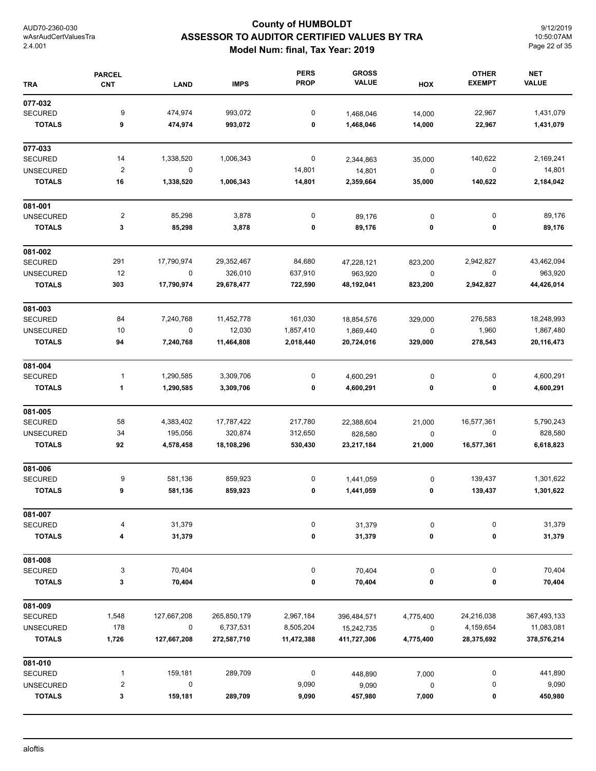## **County of HUMBOLDT ASSESSOR TO AUDITOR CERTIFIED VALUES BY TRA Model Num: final, Tax Year: 2019**

9/12/2019 10:50:07AM Page 22 of 35

| <b>TRA</b>       | <b>PARCEL</b><br><b>CNT</b> | <b>LAND</b> | <b>IMPS</b> | <b>PERS</b><br><b>PROP</b> | <b>GROSS</b><br><b>VALUE</b> | HOX       | <b>OTHER</b><br><b>EXEMPT</b> | <b>NET</b><br><b>VALUE</b> |
|------------------|-----------------------------|-------------|-------------|----------------------------|------------------------------|-----------|-------------------------------|----------------------------|
| 077-032          |                             |             |             |                            |                              |           |                               |                            |
| <b>SECURED</b>   | 9                           | 474,974     | 993,072     | 0                          | 1,468,046                    | 14,000    | 22,967                        | 1,431,079                  |
| <b>TOTALS</b>    | 9                           | 474,974     | 993,072     | 0                          | 1,468,046                    | 14,000    | 22,967                        | 1,431,079                  |
| 077-033          |                             |             |             |                            |                              |           |                               |                            |
| <b>SECURED</b>   | 14                          | 1,338,520   | 1,006,343   | $\boldsymbol{0}$           | 2,344,863                    | 35,000    | 140,622                       | 2,169,241                  |
| <b>UNSECURED</b> | $\overline{c}$              | 0           |             | 14,801                     | 14,801                       | $\pmb{0}$ | 0                             | 14,801                     |
| <b>TOTALS</b>    | 16                          | 1,338,520   | 1,006,343   | 14,801                     | 2,359,664                    | 35,000    | 140,622                       | 2,184,042                  |
| 081-001          |                             |             |             |                            |                              |           |                               |                            |
| <b>UNSECURED</b> | $\mathbf 2$                 | 85,298      | 3,878       | 0                          | 89,176                       | $\pmb{0}$ | 0                             | 89,176                     |
| <b>TOTALS</b>    | 3                           | 85,298      | 3,878       | 0                          | 89,176                       | 0         | 0                             | 89,176                     |
| 081-002          |                             |             |             |                            |                              |           |                               |                            |
| <b>SECURED</b>   | 291                         | 17,790,974  | 29,352,467  | 84,680                     | 47,228,121                   | 823,200   | 2,942,827                     | 43,462,094                 |
| <b>UNSECURED</b> | 12                          | $\pmb{0}$   | 326,010     | 637,910                    | 963,920                      | $\pmb{0}$ | 0                             | 963,920                    |
| <b>TOTALS</b>    | 303                         | 17,790,974  | 29,678,477  | 722,590                    | 48,192,041                   | 823,200   | 2,942,827                     | 44,426,014                 |
| 081-003          |                             |             |             |                            |                              |           |                               |                            |
| <b>SECURED</b>   | 84                          | 7,240,768   | 11,452,778  | 161,030                    | 18,854,576                   | 329,000   | 276,583                       | 18,248,993                 |
| <b>UNSECURED</b> | 10                          | 0           | 12,030      | 1,857,410                  | 1,869,440                    | $\pmb{0}$ | 1,960                         | 1,867,480                  |
| <b>TOTALS</b>    | 94                          | 7,240,768   | 11,464,808  | 2,018,440                  | 20,724,016                   | 329,000   | 278,543                       | 20,116,473                 |
| 081-004          |                             |             |             |                            |                              |           |                               |                            |
| <b>SECURED</b>   | 1                           | 1,290,585   | 3,309,706   | 0                          | 4,600,291                    | $\pmb{0}$ | 0                             | 4,600,291                  |
| <b>TOTALS</b>    | 1                           | 1,290,585   | 3,309,706   | 0                          | 4,600,291                    | 0         | 0                             | 4,600,291                  |
| 081-005          |                             |             |             |                            |                              |           |                               |                            |
| <b>SECURED</b>   | 58                          | 4,383,402   | 17,787,422  | 217,780                    | 22,388,604                   | 21,000    | 16,577,361                    | 5,790,243                  |
| <b>UNSECURED</b> | 34                          | 195,056     | 320,874     | 312,650                    | 828,580                      | 0         | 0                             | 828,580                    |
| <b>TOTALS</b>    | 92                          | 4,578,458   | 18,108,296  | 530,430                    | 23,217,184                   | 21,000    | 16,577,361                    | 6,618,823                  |
| 081-006          |                             |             |             |                            |                              |           |                               |                            |
| <b>SECURED</b>   | 9                           | 581,136     | 859,923     | 0                          | 1,441,059                    | 0         | 139,437                       | 1,301,622                  |
| <b>TOTALS</b>    | 9                           | 581,136     | 859,923     | 0                          | 1,441,059                    | 0         | 139,437                       | 1,301,622                  |
| 081-007          |                             |             |             |                            |                              |           |                               |                            |
| <b>SECURED</b>   | 4                           | 31,379      |             | 0                          | 31,379                       | 0         | 0                             | 31,379                     |
| <b>TOTALS</b>    | 4                           | 31,379      |             | 0                          | 31,379                       | 0         | 0                             | 31,379                     |
| 081-008          |                             |             |             |                            |                              |           |                               |                            |
| <b>SECURED</b>   | 3                           | 70,404      |             | 0                          | 70,404                       | $\pmb{0}$ | 0                             | 70,404                     |
| <b>TOTALS</b>    | 3                           | 70,404      |             | 0                          | 70,404                       | 0         | 0                             | 70,404                     |
| 081-009          |                             |             |             |                            |                              |           |                               |                            |
| <b>SECURED</b>   | 1,548                       | 127,667,208 | 265,850,179 | 2,967,184                  | 396,484,571                  | 4,775,400 | 24,216,038                    | 367,493,133                |
| <b>UNSECURED</b> | 178                         | $\pmb{0}$   | 6,737,531   | 8,505,204                  | 15,242,735                   | $\pmb{0}$ | 4,159,654                     | 11,083,081                 |
| <b>TOTALS</b>    | 1,726                       | 127,667,208 | 272,587,710 | 11,472,388                 | 411,727,306                  | 4,775,400 | 28,375,692                    | 378,576,214                |
| 081-010          |                             |             |             |                            |                              |           |                               |                            |
| <b>SECURED</b>   | $\mathbf{1}$                | 159,181     | 289,709     | $\pmb{0}$                  | 448,890                      | 7,000     | 0                             | 441,890                    |
| <b>UNSECURED</b> | $\overline{\mathbf{c}}$     | 0           |             | 9,090                      | 9,090                        | $\pmb{0}$ | 0                             | 9,090                      |
| <b>TOTALS</b>    | 3                           | 159,181     | 289,709     | 9,090                      | 457,980                      | 7,000     | 0                             | 450,980                    |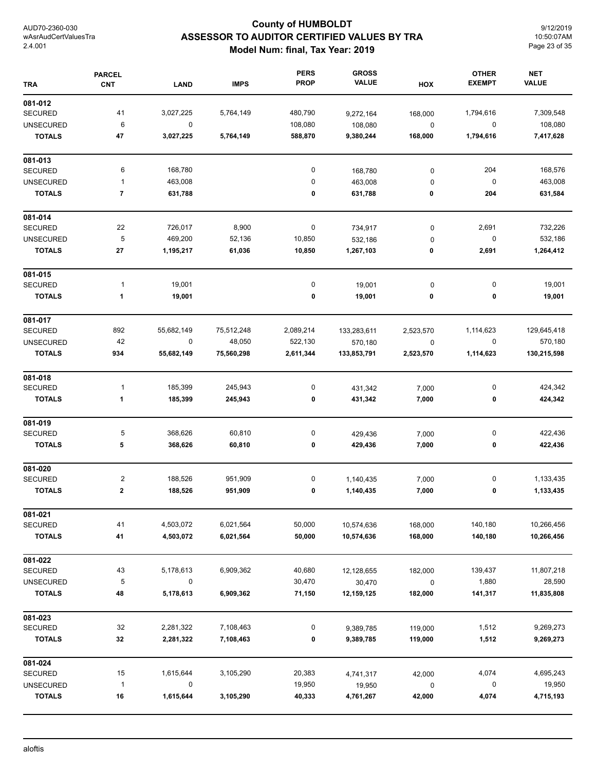## **County of HUMBOLDT ASSESSOR TO AUDITOR CERTIFIED VALUES BY TRA Model Num: final, Tax Year: 2019**

9/12/2019 10:50:07AM Page 23 of 35

| <b>TRA</b>       | <b>PARCEL</b><br><b>CNT</b> | <b>LAND</b> | <b>IMPS</b> | <b>PERS</b><br><b>PROP</b> | <b>GROSS</b><br><b>VALUE</b> | HOX       | <b>OTHER</b><br><b>EXEMPT</b> | <b>NET</b><br><b>VALUE</b> |
|------------------|-----------------------------|-------------|-------------|----------------------------|------------------------------|-----------|-------------------------------|----------------------------|
| 081-012          |                             |             |             |                            |                              |           |                               |                            |
| <b>SECURED</b>   | 41                          | 3,027,225   | 5,764,149   | 480,790                    | 9,272,164                    | 168,000   | 1,794,616                     | 7,309,548                  |
| <b>UNSECURED</b> | 6                           | $\pmb{0}$   |             | 108,080                    | 108,080                      | $\pmb{0}$ | $\pmb{0}$                     | 108,080                    |
| <b>TOTALS</b>    | 47                          | 3,027,225   | 5,764,149   | 588,870                    | 9,380,244                    | 168,000   | 1,794,616                     | 7,417,628                  |
| 081-013          |                             |             |             |                            |                              |           |                               |                            |
| <b>SECURED</b>   | 6                           | 168,780     |             | 0                          | 168,780                      | $\pmb{0}$ | 204                           | 168,576                    |
| <b>UNSECURED</b> | $\mathbf{1}$                | 463,008     |             | $\bf{0}$                   | 463,008                      | 0         | $\pmb{0}$                     | 463,008                    |
| <b>TOTALS</b>    | $\overline{\mathbf{7}}$     | 631,788     |             | 0                          | 631,788                      | 0         | 204                           | 631,584                    |
| 081-014          |                             |             |             |                            |                              |           |                               |                            |
| <b>SECURED</b>   | 22                          | 726,017     | 8,900       | $\pmb{0}$                  | 734,917                      | $\pmb{0}$ | 2,691                         | 732,226                    |
| <b>UNSECURED</b> | $\sqrt{5}$                  | 469,200     | 52,136      | 10,850                     | 532,186                      | 0         | $\pmb{0}$                     | 532,186                    |
| <b>TOTALS</b>    | ${\bf 27}$                  | 1,195,217   | 61,036      | 10,850                     | 1,267,103                    | 0         | 2,691                         | 1,264,412                  |
| 081-015          |                             |             |             |                            |                              |           |                               |                            |
| SECURED          | $\mathbf{1}$                | 19,001      |             | 0                          | 19,001                       | 0         | 0                             | 19,001                     |
| <b>TOTALS</b>    | 1                           | 19,001      |             | 0                          | 19,001                       | 0         | 0                             | 19,001                     |
| 081-017          |                             |             |             |                            |                              |           |                               |                            |
| <b>SECURED</b>   | 892                         | 55,682,149  | 75,512,248  | 2,089,214                  | 133,283,611                  | 2,523,570 | 1,114,623                     | 129,645,418                |
| <b>UNSECURED</b> | 42                          | $\pmb{0}$   | 48,050      | 522,130                    | 570,180                      | $\pmb{0}$ | $\pmb{0}$                     | 570,180                    |
| <b>TOTALS</b>    | 934                         | 55,682,149  | 75,560,298  | 2,611,344                  | 133,853,791                  | 2,523,570 | 1,114,623                     | 130,215,598                |
| 081-018          |                             |             |             |                            |                              |           |                               |                            |
| <b>SECURED</b>   | $\mathbf{1}$                | 185,399     | 245,943     | $\pmb{0}$                  | 431,342                      | 7,000     | 0                             | 424,342                    |
| <b>TOTALS</b>    | 1                           | 185,399     | 245,943     | 0                          | 431,342                      | 7,000     | 0                             | 424,342                    |
| 081-019          |                             |             |             |                            |                              |           |                               |                            |
| <b>SECURED</b>   | 5                           | 368,626     | 60,810      | 0                          | 429,436                      | 7,000     | 0                             | 422,436                    |
| <b>TOTALS</b>    | 5                           | 368,626     | 60,810      | 0                          | 429,436                      | 7,000     | 0                             | 422,436                    |
| 081-020          |                             |             |             |                            |                              |           |                               |                            |
| <b>SECURED</b>   | $\overline{\mathbf{c}}$     | 188,526     | 951,909     | 0                          | 1,140,435                    | 7,000     | 0                             | 1,133,435                  |
| <b>TOTALS</b>    | $\bf{2}$                    | 188,526     | 951,909     | 0                          | 1,140,435                    | 7,000     | 0                             | 1,133,435                  |
| 081-021          |                             |             |             |                            |                              |           |                               |                            |
| <b>SECURED</b>   | 41                          | 4,503,072   | 6,021,564   | 50,000                     | 10,574,636                   | 168,000   | 140,180                       | 10,266,456                 |
| <b>TOTALS</b>    | 41                          | 4,503,072   | 6,021,564   | 50,000                     | 10,574,636                   | 168,000   | 140,180                       | 10,266,456                 |
| 081-022          |                             |             |             |                            |                              |           |                               |                            |
| <b>SECURED</b>   | 43                          | 5,178,613   | 6,909,362   | 40,680                     | 12,128,655                   | 182,000   | 139,437                       | 11,807,218                 |
| <b>UNSECURED</b> | 5                           | $\pmb{0}$   |             | 30,470                     | 30,470                       | $\pmb{0}$ | 1,880                         | 28,590                     |
| <b>TOTALS</b>    | 48                          | 5,178,613   | 6,909,362   | 71,150                     | 12,159,125                   | 182,000   | 141,317                       | 11,835,808                 |
| 081-023          |                             |             |             |                            |                              |           |                               |                            |
| <b>SECURED</b>   | 32                          | 2,281,322   | 7,108,463   | 0                          | 9,389,785                    | 119,000   | 1,512                         | 9,269,273                  |
| <b>TOTALS</b>    | 32                          | 2,281,322   | 7,108,463   | 0                          | 9,389,785                    | 119,000   | 1,512                         | 9,269,273                  |
| 081-024          |                             |             |             |                            |                              |           |                               |                            |
| <b>SECURED</b>   | 15                          | 1,615,644   | 3,105,290   | 20,383                     | 4,741,317                    | 42,000    | 4,074                         | 4,695,243                  |
| <b>UNSECURED</b> | $\mathbf{1}$                | 0           |             | 19,950                     | 19,950                       | $\pmb{0}$ | 0                             | 19,950                     |
| <b>TOTALS</b>    | 16                          | 1,615,644   | 3,105,290   | 40,333                     | 4,761,267                    | 42,000    | 4,074                         | 4,715,193                  |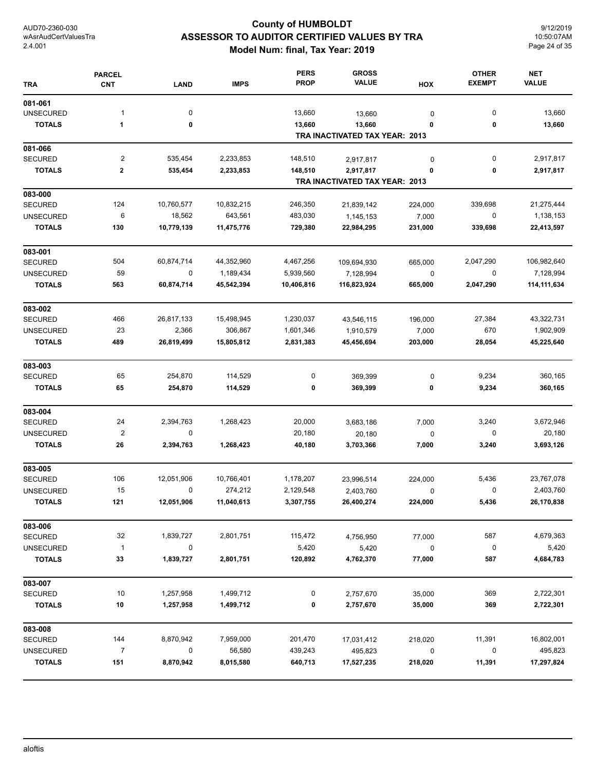## **County of HUMBOLDT ASSESSOR TO AUDITOR CERTIFIED VALUES BY TRA Model Num: final, Tax Year: 2019**

9/12/2019 10:50:07AM Page 24 of 35

| <b>TRA</b>       | <b>PARCEL</b><br><b>CNT</b> | <b>LAND</b> | <b>IMPS</b> | <b>PERS</b><br><b>PROP</b> | <b>GROSS</b><br><b>VALUE</b>             | HOX         | <b>OTHER</b><br><b>EXEMPT</b> | <b>NET</b><br><b>VALUE</b> |
|------------------|-----------------------------|-------------|-------------|----------------------------|------------------------------------------|-------------|-------------------------------|----------------------------|
| 081-061          |                             |             |             |                            |                                          |             |                               |                            |
| <b>UNSECURED</b> | 1                           | $\mathbf 0$ |             | 13,660                     | 13,660                                   | 0           | 0                             | 13,660                     |
| <b>TOTALS</b>    | $\mathbf{1}$                | 0           |             | 13,660                     | 13,660<br>TRA INACTIVATED TAX YEAR: 2013 | 0           | 0                             | 13,660                     |
| 081-066          |                             |             |             |                            |                                          |             |                               |                            |
| <b>SECURED</b>   | $\overline{c}$              | 535,454     | 2,233,853   | 148,510                    | 2,917,817                                | 0           | 0                             | 2,917,817                  |
| <b>TOTALS</b>    | $\mathbf 2$                 | 535,454     | 2,233,853   | 148,510                    | 2,917,817                                | 0           | 0                             | 2,917,817                  |
|                  |                             |             |             |                            | TRA INACTIVATED TAX YEAR: 2013           |             |                               |                            |
| 083-000          |                             |             |             |                            |                                          |             |                               |                            |
| <b>SECURED</b>   | 124                         | 10,760,577  | 10,832,215  | 246,350                    | 21,839,142                               | 224,000     | 339,698                       | 21,275,444                 |
| <b>UNSECURED</b> | 6                           | 18,562      | 643,561     | 483,030                    | 1,145,153                                | 7,000       | 0                             | 1,138,153                  |
| <b>TOTALS</b>    | 130                         | 10,779,139  | 11,475,776  | 729,380                    | 22,984,295                               | 231,000     | 339,698                       | 22,413,597                 |
| 083-001          |                             |             |             |                            |                                          |             |                               |                            |
| <b>SECURED</b>   | 504                         | 60,874,714  | 44,352,960  | 4,467,256                  | 109,694,930                              | 665,000     | 2,047,290                     | 106,982,640                |
| <b>UNSECURED</b> | 59                          | $\mathbf 0$ | 1,189,434   | 5,939,560                  | 7,128,994                                | $\mathbf 0$ | 0                             | 7,128,994                  |
| <b>TOTALS</b>    | 563                         | 60,874,714  | 45,542,394  | 10,406,816                 | 116,823,924                              | 665,000     | 2,047,290                     | 114,111,634                |
| 083-002          |                             |             |             |                            |                                          |             |                               |                            |
| <b>SECURED</b>   | 466                         | 26,817,133  | 15,498,945  | 1,230,037                  | 43,546,115                               | 196,000     | 27,384                        | 43,322,731                 |
| <b>UNSECURED</b> | 23                          | 2,366       | 306,867     | 1,601,346                  | 1,910,579                                | 7,000       | 670                           | 1,902,909                  |
| <b>TOTALS</b>    | 489                         | 26,819,499  | 15,805,812  | 2,831,383                  | 45,456,694                               | 203,000     | 28,054                        | 45,225,640                 |
| 083-003          |                             |             |             |                            |                                          |             |                               |                            |
| <b>SECURED</b>   | 65                          | 254,870     | 114,529     | 0                          | 369,399                                  | 0           | 9,234                         | 360,165                    |
| <b>TOTALS</b>    | 65                          | 254,870     | 114,529     | 0                          | 369,399                                  | 0           | 9,234                         | 360,165                    |
| 083-004          |                             |             |             |                            |                                          |             |                               |                            |
| <b>SECURED</b>   | 24                          | 2,394,763   | 1,268,423   | 20,000                     | 3,683,186                                | 7,000       | 3,240                         | 3,672,946                  |
| <b>UNSECURED</b> | $\mathbf 2$                 | $\mathbf 0$ |             | 20,180                     | 20,180                                   | 0           | 0                             | 20,180                     |
| <b>TOTALS</b>    | 26                          | 2,394,763   | 1,268,423   | 40,180                     | 3,703,366                                | 7,000       | 3,240                         | 3,693,126                  |
| 083-005          |                             |             |             |                            |                                          |             |                               |                            |
| <b>SECURED</b>   | 106                         | 12,051,906  | 10,766,401  | 1,178,207                  | 23,996,514                               | 224,000     | 5,436                         | 23,767,078                 |
| <b>UNSECURED</b> | 15                          | 0           | 274,212     | 2,129,548                  | 2,403,760                                | $\mathbf 0$ | 0                             | 2,403,760                  |
| <b>TOTALS</b>    | 121                         | 12,051,906  | 11,040,613  | 3,307,755                  | 26,400,274                               | 224,000     | 5,436                         | 26,170,838                 |
| 083-006          |                             |             |             |                            |                                          |             |                               |                            |
| <b>SECURED</b>   | 32                          | 1,839,727   | 2,801,751   | 115,472                    | 4,756,950                                | 77,000      | 587                           | 4,679,363                  |
| <b>UNSECURED</b> | $\overline{1}$              | $\mathbf 0$ |             | 5,420                      | 5,420                                    | $\pmb{0}$   | $\boldsymbol{0}$              | 5,420                      |
| <b>TOTALS</b>    | 33                          | 1,839,727   | 2,801,751   | 120,892                    | 4,762,370                                | 77,000      | 587                           | 4,684,783                  |
| 083-007          |                             |             |             |                            |                                          |             |                               |                            |
| <b>SECURED</b>   | 10                          | 1,257,958   | 1,499,712   | $\boldsymbol{0}$           | 2,757,670                                | 35,000      | 369                           | 2,722,301                  |
| <b>TOTALS</b>    | 10                          | 1,257,958   | 1,499,712   | 0                          | 2,757,670                                | 35,000      | 369                           | 2,722,301                  |
| 083-008          |                             |             |             |                            |                                          |             |                               |                            |
| <b>SECURED</b>   | 144                         | 8,870,942   | 7,959,000   | 201,470                    | 17,031,412                               | 218,020     | 11,391                        | 16,802,001                 |
| <b>UNSECURED</b> | $\overline{7}$              | 0           | 56,580      | 439,243                    | 495,823                                  | 0           | 0                             | 495,823                    |
| <b>TOTALS</b>    | 151                         | 8,870,942   | 8,015,580   | 640,713                    | 17,527,235                               | 218,020     | 11,391                        | 17,297,824                 |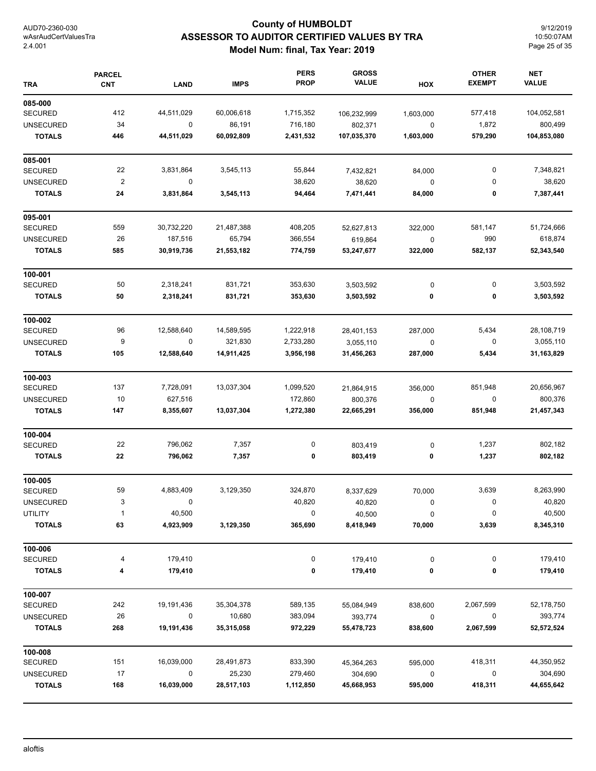## **County of HUMBOLDT ASSESSOR TO AUDITOR CERTIFIED VALUES BY TRA Model Num: final, Tax Year: 2019**

9/12/2019 10:50:07AM Page 25 of 35

| <b>TRA</b>       | <b>PARCEL</b><br><b>CNT</b> | <b>LAND</b> | <b>IMPS</b> | <b>PERS</b><br><b>PROP</b> | <b>GROSS</b><br><b>VALUE</b> | HOX       | <b>OTHER</b><br><b>EXEMPT</b> | <b>NET</b><br><b>VALUE</b> |
|------------------|-----------------------------|-------------|-------------|----------------------------|------------------------------|-----------|-------------------------------|----------------------------|
| 085-000          |                             |             |             |                            |                              |           |                               |                            |
| <b>SECURED</b>   | 412                         | 44,511,029  | 60,006,618  | 1,715,352                  | 106,232,999                  | 1,603,000 | 577,418                       | 104,052,581                |
| <b>UNSECURED</b> | 34                          | 0           | 86,191      | 716,180                    | 802,371                      | 0         | 1,872                         | 800,499                    |
| <b>TOTALS</b>    | 446                         | 44,511,029  | 60,092,809  | 2,431,532                  | 107,035,370                  | 1,603,000 | 579,290                       | 104,853,080                |
| 085-001          |                             |             |             |                            |                              |           |                               |                            |
| <b>SECURED</b>   | 22                          | 3,831,864   | 3,545,113   | 55,844                     | 7,432,821                    | 84,000    | 0                             | 7,348,821                  |
| <b>UNSECURED</b> | $\mathbf 2$                 | $\mathbf 0$ |             | 38,620                     | 38,620                       | 0         | 0                             | 38,620                     |
| <b>TOTALS</b>    | 24                          | 3,831,864   | 3,545,113   | 94,464                     | 7,471,441                    | 84,000    | 0                             | 7,387,441                  |
| 095-001          |                             |             |             |                            |                              |           |                               |                            |
| <b>SECURED</b>   | 559                         | 30,732,220  | 21,487,388  | 408,205                    | 52,627,813                   | 322,000   | 581,147                       | 51,724,666                 |
| <b>UNSECURED</b> | 26                          | 187,516     | 65,794      | 366,554                    | 619,864                      | 0         | 990                           | 618,874                    |
| <b>TOTALS</b>    | 585                         | 30,919,736  | 21,553,182  | 774,759                    | 53,247,677                   | 322,000   | 582,137                       | 52,343,540                 |
| 100-001          |                             |             |             |                            |                              |           |                               |                            |
| <b>SECURED</b>   | 50                          | 2,318,241   | 831,721     | 353,630                    | 3,503,592                    | $\pmb{0}$ | 0                             | 3,503,592                  |
| <b>TOTALS</b>    | 50                          | 2,318,241   | 831,721     | 353,630                    | 3,503,592                    | 0         | 0                             | 3,503,592                  |
| 100-002          |                             |             |             |                            |                              |           |                               |                            |
| <b>SECURED</b>   | 96                          | 12,588,640  | 14,589,595  | 1,222,918                  | 28,401,153                   | 287,000   | 5,434                         | 28,108,719                 |
| <b>UNSECURED</b> | 9                           | 0           | 321,830     | 2,733,280                  | 3,055,110                    | 0         | 0                             | 3,055,110                  |
| <b>TOTALS</b>    | 105                         | 12,588,640  | 14,911,425  | 3,956,198                  | 31,456,263                   | 287,000   | 5,434                         | 31,163,829                 |
| 100-003          |                             |             |             |                            |                              |           |                               |                            |
| <b>SECURED</b>   | 137                         | 7,728,091   | 13,037,304  | 1,099,520                  | 21,864,915                   | 356,000   | 851,948                       | 20,656,967                 |
| <b>UNSECURED</b> | 10                          | 627,516     |             | 172,860                    | 800,376                      | 0         | 0                             | 800,376                    |
| <b>TOTALS</b>    | 147                         | 8,355,607   | 13,037,304  | 1,272,380                  | 22,665,291                   | 356,000   | 851,948                       | 21,457,343                 |
| 100-004          |                             |             |             |                            |                              |           |                               |                            |
| <b>SECURED</b>   | 22                          | 796,062     | 7,357       | 0                          | 803,419                      | 0         | 1,237                         | 802,182                    |
| <b>TOTALS</b>    | 22                          | 796,062     | 7,357       | 0                          | 803,419                      | 0         | 1,237                         | 802,182                    |
| 100-005          |                             |             |             |                            |                              |           |                               |                            |
| <b>SECURED</b>   | 59                          | 4,883,409   | 3,129,350   | 324,870                    | 8,337,629                    | 70,000    | 3,639                         | 8,263,990                  |
| UNSECURED        | 3                           | 0           |             | 40,820                     | 40,820                       | 0         | 0                             | 40,820                     |
| <b>UTILITY</b>   | $\mathbf{1}$                | 40,500      |             | 0                          | 40,500                       | 0         | 0                             | 40,500                     |
| <b>TOTALS</b>    | 63                          | 4,923,909   | 3,129,350   | 365,690                    | 8,418,949                    | 70,000    | 3,639                         | 8,345,310                  |
| 100-006          |                             |             |             |                            |                              |           |                               |                            |
| <b>SECURED</b>   | 4                           | 179,410     |             | 0                          | 179,410                      | 0         | 0                             | 179,410                    |
| <b>TOTALS</b>    | 4                           | 179,410     |             | 0                          | 179,410                      | 0         | 0                             | 179,410                    |
| 100-007          |                             |             |             |                            |                              |           |                               |                            |
| <b>SECURED</b>   | 242                         | 19,191,436  | 35,304,378  | 589,135                    | 55,084,949                   | 838,600   | 2,067,599                     | 52,178,750                 |
| <b>UNSECURED</b> | 26                          | 0           | 10,680      | 383,094                    | 393,774                      | $\pmb{0}$ | 0                             | 393,774                    |
| <b>TOTALS</b>    | 268                         | 19,191,436  | 35,315,058  | 972,229                    | 55,478,723                   | 838,600   | 2,067,599                     | 52,572,524                 |
| 100-008          |                             |             |             |                            |                              |           |                               |                            |
| <b>SECURED</b>   | 151                         | 16,039,000  | 28,491,873  | 833,390                    | 45,364,263                   | 595,000   | 418,311                       | 44,350,952                 |
| <b>UNSECURED</b> | 17                          | $\mathbf 0$ | 25,230      | 279,460                    | 304,690                      | 0         | 0                             | 304,690                    |
| <b>TOTALS</b>    | 168                         | 16,039,000  | 28,517,103  | 1,112,850                  | 45,668,953                   | 595,000   | 418,311                       | 44,655,642                 |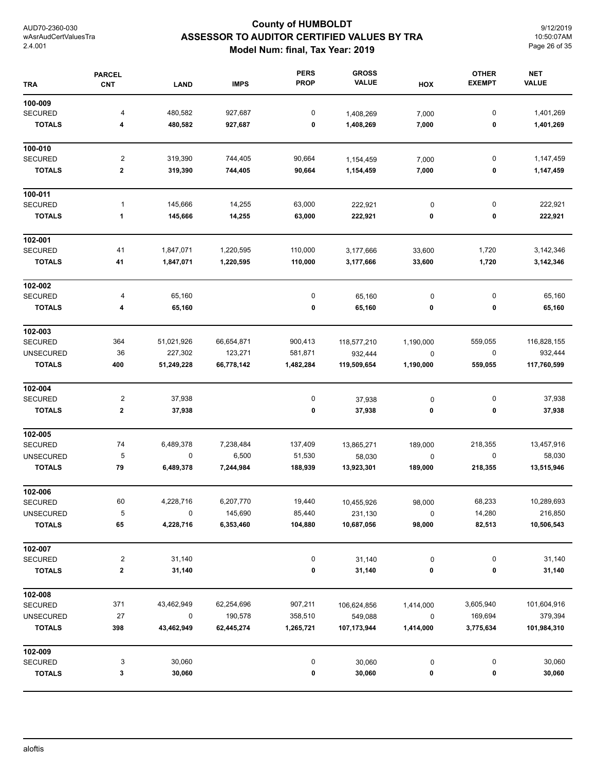## **County of HUMBOLDT ASSESSOR TO AUDITOR CERTIFIED VALUES BY TRA Model Num: final, Tax Year: 2019**

9/12/2019 10:50:07AM Page 26 of 35

| <b>TRA</b>       | <b>PARCEL</b><br><b>CNT</b> | <b>LAND</b> | <b>IMPS</b> | <b>PERS</b><br><b>PROP</b> | <b>GROSS</b><br><b>VALUE</b> | HOX       | <b>OTHER</b><br><b>EXEMPT</b> | <b>NET</b><br><b>VALUE</b> |
|------------------|-----------------------------|-------------|-------------|----------------------------|------------------------------|-----------|-------------------------------|----------------------------|
| 100-009          |                             |             |             |                            |                              |           |                               |                            |
| <b>SECURED</b>   | 4                           | 480,582     | 927,687     | 0                          | 1,408,269                    | 7,000     | $\pmb{0}$                     | 1,401,269                  |
| <b>TOTALS</b>    | 4                           | 480,582     | 927,687     | 0                          | 1,408,269                    | 7,000     | 0                             | 1,401,269                  |
| 100-010          |                             |             |             |                            |                              |           |                               |                            |
| <b>SECURED</b>   | $\overline{2}$              | 319,390     | 744,405     | 90,664                     | 1,154,459                    | 7,000     | 0                             | 1,147,459                  |
| <b>TOTALS</b>    | 2                           | 319,390     | 744,405     | 90,664                     | 1,154,459                    | 7,000     | 0                             | 1,147,459                  |
| 100-011          |                             |             |             |                            |                              |           |                               |                            |
| <b>SECURED</b>   | $\mathbf{1}$                | 145,666     | 14,255      | 63,000                     | 222,921                      | 0         | 0                             | 222,921                    |
| <b>TOTALS</b>    | 1                           | 145,666     | 14,255      | 63,000                     | 222,921                      | 0         | 0                             | 222,921                    |
| 102-001          |                             |             |             |                            |                              |           |                               |                            |
| SECURED          | 41                          | 1,847,071   | 1,220,595   | 110,000                    | 3,177,666                    | 33,600    | 1,720                         | 3,142,346                  |
| <b>TOTALS</b>    | 41                          | 1,847,071   | 1,220,595   | 110,000                    | 3,177,666                    | 33,600    | 1,720                         | 3,142,346                  |
| 102-002          |                             |             |             |                            |                              |           |                               |                            |
| <b>SECURED</b>   | 4                           | 65,160      |             | 0                          | 65,160                       | $\pmb{0}$ | 0                             | 65,160                     |
| <b>TOTALS</b>    | 4                           | 65,160      |             | 0                          | 65,160                       | 0         | 0                             | 65,160                     |
| 102-003          |                             |             |             |                            |                              |           |                               |                            |
| SECURED          | 364                         | 51,021,926  | 66,654,871  | 900,413                    | 118,577,210                  | 1,190,000 | 559,055                       | 116,828,155                |
| <b>UNSECURED</b> | 36                          | 227,302     | 123,271     | 581,871                    | 932,444                      | $\pmb{0}$ | $\pmb{0}$                     | 932,444                    |
| <b>TOTALS</b>    | 400                         | 51,249,228  | 66,778,142  | 1,482,284                  | 119,509,654                  | 1,190,000 | 559,055                       | 117,760,599                |
| 102-004          |                             |             |             |                            |                              |           |                               |                            |
| <b>SECURED</b>   | $\overline{\mathbf{c}}$     | 37,938      |             | $\pmb{0}$                  | 37,938                       | 0         | 0                             | 37,938                     |
| <b>TOTALS</b>    | 2                           | 37,938      |             | 0                          | 37,938                       | 0         | 0                             | 37,938                     |
| 102-005          |                             |             |             |                            |                              |           |                               |                            |
| <b>SECURED</b>   | 74                          | 6,489,378   | 7,238,484   | 137,409                    | 13,865,271                   | 189,000   | 218,355                       | 13,457,916                 |
| <b>UNSECURED</b> | 5                           | 0           | 6,500       | 51,530                     | 58,030                       | 0         | 0                             | 58,030                     |
| <b>TOTALS</b>    | 79                          | 6,489,378   | 7,244,984   | 188,939                    | 13,923,301                   | 189,000   | 218,355                       | 13,515,946                 |
| 102-006          |                             |             |             |                            |                              |           |                               |                            |
| <b>SECURED</b>   | 60                          | 4,228,716   | 6,207,770   | 19,440                     | 10,455,926                   | 98,000    | 68,233                        | 10,289,693                 |
| <b>UNSECURED</b> | 5                           | 0           | 145,690     | 85,440                     | 231,130                      | 0         | 14,280                        | 216,850                    |
| <b>TOTALS</b>    | 65                          | 4,228,716   | 6,353,460   | 104,880                    | 10,687,056                   | 98,000    | 82,513                        | 10,506,543                 |
| 102-007          |                             |             |             |                            |                              |           |                               |                            |
| SECURED          | $\overline{2}$              | 31,140      |             | 0                          | 31,140                       | $\pmb{0}$ | 0                             | 31,140                     |
| <b>TOTALS</b>    | 2                           | 31,140      |             | 0                          | 31,140                       | 0         | 0                             | 31,140                     |
| 102-008          |                             |             |             |                            |                              |           |                               |                            |
| <b>SECURED</b>   | 371                         | 43,462,949  | 62,254,696  | 907,211                    | 106,624,856                  | 1,414,000 | 3,605,940                     | 101,604,916                |
| <b>UNSECURED</b> | 27                          | 0           | 190,578     | 358,510                    | 549,088                      | $\pmb{0}$ | 169,694                       | 379,394                    |
| <b>TOTALS</b>    | 398                         | 43,462,949  | 62,445,274  | 1,265,721                  | 107,173,944                  | 1,414,000 | 3,775,634                     | 101,984,310                |
| 102-009          |                             |             |             |                            |                              |           |                               |                            |
| <b>SECURED</b>   | 3                           | 30,060      |             | $\pmb{0}$                  | 30,060                       | 0         | 0                             | 30,060                     |
| <b>TOTALS</b>    | 3                           | 30,060      |             | 0                          | 30,060                       | 0         | 0                             | 30,060                     |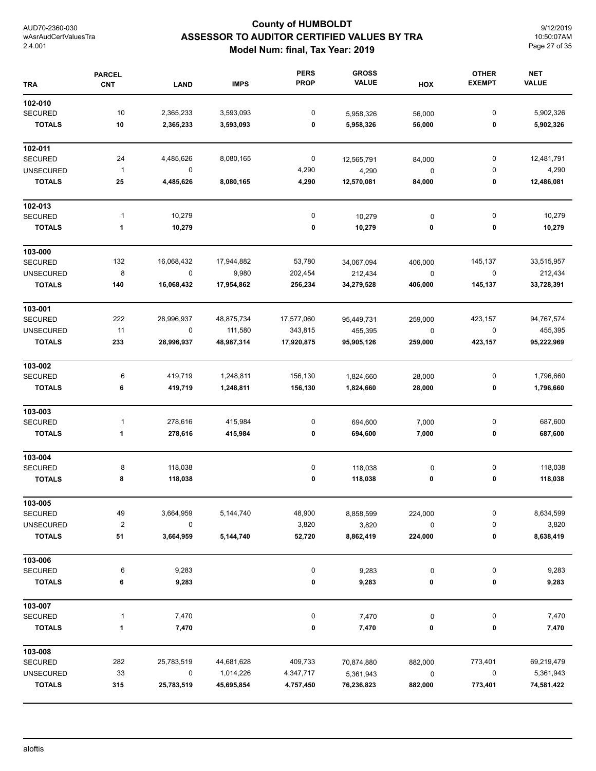## **County of HUMBOLDT ASSESSOR TO AUDITOR CERTIFIED VALUES BY TRA Model Num: final, Tax Year: 2019**

9/12/2019 10:50:07AM Page 27 of 35

| <b>TRA</b>       | <b>PARCEL</b><br><b>CNT</b> | <b>LAND</b> | <b>IMPS</b> | <b>PERS</b><br><b>PROP</b> | <b>GROSS</b><br><b>VALUE</b> | HOX       | <b>OTHER</b><br><b>EXEMPT</b> | <b>NET</b><br><b>VALUE</b> |
|------------------|-----------------------------|-------------|-------------|----------------------------|------------------------------|-----------|-------------------------------|----------------------------|
| 102-010          |                             |             |             |                            |                              |           |                               |                            |
| <b>SECURED</b>   | 10                          | 2,365,233   | 3,593,093   | 0                          | 5,958,326                    | 56,000    | 0                             | 5,902,326                  |
| <b>TOTALS</b>    | 10                          | 2,365,233   | 3,593,093   | 0                          | 5,958,326                    | 56,000    | 0                             | 5,902,326                  |
| 102-011          |                             |             |             |                            |                              |           |                               |                            |
| <b>SECURED</b>   | 24                          | 4,485,626   | 8,080,165   | $\boldsymbol{0}$           | 12,565,791                   | 84,000    | 0                             | 12,481,791                 |
| <b>UNSECURED</b> | $\overline{1}$              | 0           |             | 4,290                      | 4,290                        | $\pmb{0}$ | 0                             | 4,290                      |
| <b>TOTALS</b>    | 25                          | 4,485,626   | 8,080,165   | 4,290                      | 12,570,081                   | 84,000    | 0                             | 12,486,081                 |
| 102-013          |                             |             |             |                            |                              |           |                               |                            |
| <b>SECURED</b>   | $\mathbf{1}$                | 10,279      |             | $\pmb{0}$                  | 10,279                       | $\pmb{0}$ | 0                             | 10,279                     |
| <b>TOTALS</b>    | 1                           | 10,279      |             | 0                          | 10,279                       | 0         | 0                             | 10,279                     |
| 103-000          |                             |             |             |                            |                              |           |                               |                            |
| <b>SECURED</b>   | 132                         | 16,068,432  | 17,944,882  | 53,780                     | 34,067,094                   | 406,000   | 145,137                       | 33,515,957                 |
| <b>UNSECURED</b> | 8                           | $\mathsf 0$ | 9,980       | 202,454                    | 212,434                      | $\pmb{0}$ | $\pmb{0}$                     | 212,434                    |
| <b>TOTALS</b>    | 140                         | 16,068,432  | 17,954,862  | 256,234                    | 34,279,528                   | 406,000   | 145,137                       | 33,728,391                 |
| 103-001          |                             |             |             |                            |                              |           |                               |                            |
| <b>SECURED</b>   | 222                         | 28,996,937  | 48,875,734  | 17,577,060                 | 95,449,731                   | 259,000   | 423,157                       | 94,767,574                 |
| <b>UNSECURED</b> | 11                          | 0           | 111,580     | 343,815                    | 455,395                      | $\pmb{0}$ | 0                             | 455,395                    |
| <b>TOTALS</b>    | 233                         | 28,996,937  | 48,987,314  | 17,920,875                 | 95,905,126                   | 259,000   | 423,157                       | 95,222,969                 |
| 103-002          |                             |             |             |                            |                              |           |                               |                            |
| <b>SECURED</b>   | 6                           | 419,719     | 1,248,811   | 156,130                    | 1,824,660                    | 28,000    | 0                             | 1,796,660                  |
| <b>TOTALS</b>    | 6                           | 419,719     | 1,248,811   | 156,130                    | 1,824,660                    | 28,000    | 0                             | 1,796,660                  |
| 103-003          |                             |             |             |                            |                              |           |                               |                            |
| <b>SECURED</b>   | $\mathbf{1}$                | 278,616     | 415,984     | 0                          | 694,600                      | 7,000     | 0                             | 687,600                    |
| <b>TOTALS</b>    | $\mathbf{1}$                | 278,616     | 415,984     | 0                          | 694,600                      | 7,000     | 0                             | 687,600                    |
| 103-004          |                             |             |             |                            |                              |           |                               |                            |
| <b>SECURED</b>   | 8                           | 118,038     |             | 0                          | 118,038                      | 0         | 0                             | 118,038                    |
| <b>TOTALS</b>    | 8                           | 118,038     |             | 0                          | 118,038                      | 0         | 0                             | 118,038                    |
| 103-005          |                             |             |             |                            |                              |           |                               |                            |
| <b>SECURED</b>   | 49                          | 3,664,959   | 5,144,740   | 48,900                     | 8,858,599                    | 224,000   | 0                             | 8,634,599                  |
| <b>UNSECURED</b> | $\boldsymbol{2}$            | 0           |             | 3,820                      | 3,820                        | 0         | 0                             | 3,820                      |
| <b>TOTALS</b>    | 51                          | 3,664,959   | 5,144,740   | 52,720                     | 8,862,419                    | 224,000   | 0                             | 8,638,419                  |
| 103-006          |                             |             |             |                            |                              |           |                               |                            |
| <b>SECURED</b>   | 6                           | 9,283       |             | 0                          | 9,283                        | $\pmb{0}$ | 0                             | 9,283                      |
| <b>TOTALS</b>    | 6                           | 9,283       |             | 0                          | 9,283                        | 0         | 0                             | 9,283                      |
| 103-007          |                             |             |             |                            |                              |           |                               |                            |
| <b>SECURED</b>   | $\mathbf{1}$                | 7,470       |             | 0                          | 7,470                        | 0         | $\pmb{0}$                     | 7,470                      |
| <b>TOTALS</b>    | $\mathbf{1}$                | 7,470       |             | 0                          | 7,470                        | 0         | 0                             | 7,470                      |
| 103-008          |                             |             |             |                            |                              |           |                               |                            |
| <b>SECURED</b>   | 282                         | 25,783,519  | 44,681,628  | 409,733                    | 70,874,880                   | 882,000   | 773,401                       | 69,219,479                 |
| <b>UNSECURED</b> | 33                          | 0           | 1,014,226   | 4,347,717                  | 5,361,943                    | 0         | 0                             | 5,361,943                  |
| <b>TOTALS</b>    | 315                         | 25,783,519  | 45,695,854  | 4,757,450                  | 76,236,823                   | 882,000   | 773,401                       | 74,581,422                 |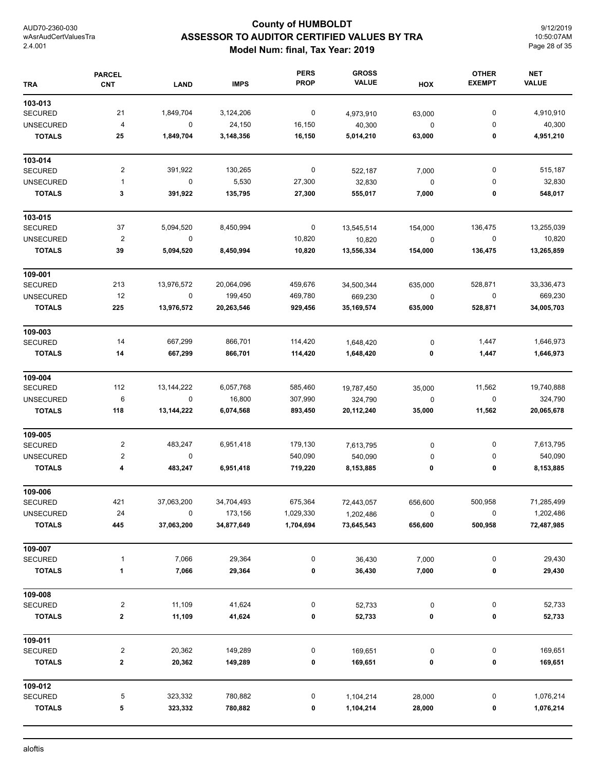## **County of HUMBOLDT ASSESSOR TO AUDITOR CERTIFIED VALUES BY TRA Model Num: final, Tax Year: 2019**

9/12/2019 10:50:07AM Page 28 of 35

| <b>TRA</b>       | <b>PARCEL</b><br><b>CNT</b> | <b>LAND</b>  | <b>IMPS</b> | <b>PERS</b><br><b>PROP</b> | <b>GROSS</b><br><b>VALUE</b> | HOX         | <b>OTHER</b><br><b>EXEMPT</b> | <b>NET</b><br><b>VALUE</b> |
|------------------|-----------------------------|--------------|-------------|----------------------------|------------------------------|-------------|-------------------------------|----------------------------|
| 103-013          |                             |              |             |                            |                              |             |                               |                            |
| <b>SECURED</b>   | 21                          | 1,849,704    | 3,124,206   | $\mathbf 0$                | 4,973,910                    | 63,000      | $\pmb{0}$                     | 4,910,910                  |
| <b>UNSECURED</b> | $\overline{\mathcal{A}}$    | $\mathbf 0$  | 24,150      | 16,150                     | 40,300                       | $\mathbf 0$ | 0                             | 40,300                     |
| <b>TOTALS</b>    | 25                          | 1,849,704    | 3,148,356   | 16,150                     | 5,014,210                    | 63,000      | 0                             | 4,951,210                  |
| 103-014          |                             |              |             |                            |                              |             |                               |                            |
| <b>SECURED</b>   | $\overline{\mathbf{c}}$     | 391,922      | 130,265     | 0                          | 522,187                      | 7,000       | 0                             | 515,187                    |
| <b>UNSECURED</b> | $\mathbf{1}$                | $\pmb{0}$    | 5,530       | 27,300                     | 32,830                       | $\mathbf 0$ | 0                             | 32,830                     |
| <b>TOTALS</b>    | 3                           | 391,922      | 135,795     | 27,300                     | 555,017                      | 7,000       | 0                             | 548,017                    |
| 103-015          |                             |              |             |                            |                              |             |                               |                            |
| <b>SECURED</b>   | 37                          | 5,094,520    | 8,450,994   | 0                          | 13,545,514                   | 154,000     | 136,475                       | 13,255,039                 |
| <b>UNSECURED</b> | $\boldsymbol{2}$            | 0            |             | 10,820                     | 10,820                       | $\mathbf 0$ | $\pmb{0}$                     | 10,820                     |
| <b>TOTALS</b>    | 39                          | 5,094,520    | 8,450,994   | 10,820                     | 13,556,334                   | 154,000     | 136,475                       | 13,265,859                 |
| 109-001          |                             |              |             |                            |                              |             |                               |                            |
| <b>SECURED</b>   | 213                         | 13,976,572   | 20,064,096  | 459,676                    | 34,500,344                   | 635,000     | 528,871                       | 33,336,473                 |
| <b>UNSECURED</b> | 12                          | $\pmb{0}$    | 199,450     | 469,780                    | 669,230                      | $\pmb{0}$   | 0                             | 669,230                    |
| <b>TOTALS</b>    | 225                         | 13,976,572   | 20,263,546  | 929,456                    | 35, 169, 574                 | 635,000     | 528,871                       | 34,005,703                 |
| 109-003          |                             |              |             |                            |                              |             |                               |                            |
| <b>SECURED</b>   | 14                          | 667,299      | 866,701     | 114,420                    | 1,648,420                    | 0           | 1,447                         | 1,646,973                  |
| <b>TOTALS</b>    | 14                          | 667,299      | 866,701     | 114,420                    | 1,648,420                    | 0           | 1,447                         | 1,646,973                  |
| 109-004          |                             |              |             |                            |                              |             |                               |                            |
| <b>SECURED</b>   | 112                         | 13, 144, 222 | 6,057,768   | 585,460                    | 19,787,450                   | 35,000      | 11,562                        | 19,740,888                 |
| <b>UNSECURED</b> | 6                           | 0            | 16,800      | 307,990                    | 324,790                      | $\pmb{0}$   | $\pmb{0}$                     | 324,790                    |
| <b>TOTALS</b>    | 118                         | 13,144,222   | 6,074,568   | 893,450                    | 20,112,240                   | 35,000      | 11,562                        | 20,065,678                 |
| 109-005          |                             |              |             |                            |                              |             |                               |                            |
| <b>SECURED</b>   | $\overline{\mathbf{c}}$     | 483,247      | 6,951,418   | 179,130                    | 7,613,795                    | 0           | 0                             | 7,613,795                  |
| <b>UNSECURED</b> | $\overline{\mathbf{c}}$     | 0            |             | 540,090                    | 540,090                      | 0           | 0                             | 540,090                    |
| <b>TOTALS</b>    | 4                           | 483,247      | 6,951,418   | 719,220                    | 8,153,885                    | 0           | 0                             | 8,153,885                  |
| 109-006          |                             |              |             |                            |                              |             |                               |                            |
| <b>SECURED</b>   | 421                         | 37,063,200   | 34,704,493  | 675,364                    | 72,443,057                   | 656,600     | 500,958                       | 71,285,499                 |
| <b>UNSECURED</b> | 24                          | 0            | 173,156     | 1,029,330                  | 1,202,486                    | 0           | 0                             | 1,202,486                  |
| <b>TOTALS</b>    | 445                         | 37,063,200   | 34,877,649  | 1,704,694                  | 73,645,543                   | 656,600     | 500,958                       | 72,487,985                 |
| 109-007          |                             |              |             |                            |                              |             |                               |                            |
| <b>SECURED</b>   | 1                           | 7,066        | 29,364      | 0                          | 36,430                       | 7,000       | 0                             | 29,430                     |
| <b>TOTALS</b>    | 1                           | 7,066        | 29,364      | 0                          | 36,430                       | 7,000       | 0                             | 29,430                     |
| 109-008          |                             |              |             |                            |                              |             |                               |                            |
| <b>SECURED</b>   | $\overline{\mathbf{c}}$     | 11,109       | 41,624      | 0                          | 52,733                       | 0           | 0                             | 52,733                     |
| <b>TOTALS</b>    | 2                           | 11,109       | 41,624      | 0                          | 52,733                       | $\pmb{0}$   | 0                             | 52,733                     |
| 109-011          |                             |              |             |                            |                              |             |                               |                            |
| <b>SECURED</b>   | $\overline{\mathbf{c}}$     | 20,362       | 149,289     | 0                          | 169,651                      | 0           | 0                             | 169,651                    |
| <b>TOTALS</b>    | 2                           | 20,362       | 149,289     | 0                          | 169,651                      | 0           | 0                             | 169,651                    |
| 109-012          |                             |              |             |                            |                              |             |                               |                            |
| <b>SECURED</b>   | 5                           | 323,332      | 780,882     | 0                          | 1,104,214                    | 28,000      | 0                             | 1,076,214                  |
| <b>TOTALS</b>    | 5                           | 323,332      | 780,882     | 0                          | 1,104,214                    | 28,000      | 0                             | 1,076,214                  |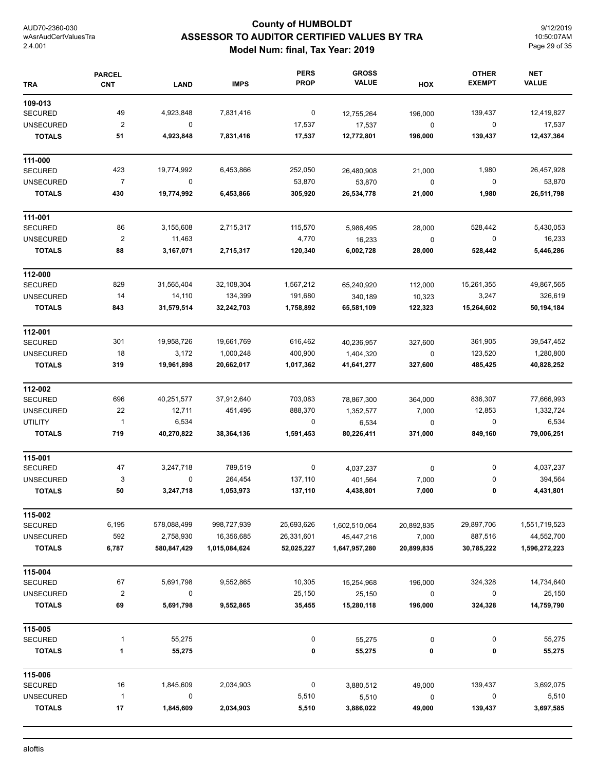## **County of HUMBOLDT ASSESSOR TO AUDITOR CERTIFIED VALUES BY TRA Model Num: final, Tax Year: 2019**

9/12/2019 10:50:07AM Page 29 of 35

| <b>TRA</b>       | <b>PARCEL</b><br><b>CNT</b> | <b>LAND</b> | <b>IMPS</b>   | <b>PERS</b><br><b>PROP</b> | <b>GROSS</b><br><b>VALUE</b> | HOX         | <b>OTHER</b><br><b>EXEMPT</b> | <b>NET</b><br><b>VALUE</b> |
|------------------|-----------------------------|-------------|---------------|----------------------------|------------------------------|-------------|-------------------------------|----------------------------|
| 109-013          |                             |             |               |                            |                              |             |                               |                            |
| <b>SECURED</b>   | 49                          | 4,923,848   | 7,831,416     | 0                          | 12,755,264                   | 196,000     | 139,437                       | 12,419,827                 |
| <b>UNSECURED</b> | $\overline{\mathbf{c}}$     | 0           |               | 17,537                     | 17,537                       | $\pmb{0}$   | 0                             | 17,537                     |
| <b>TOTALS</b>    | 51                          | 4,923,848   | 7,831,416     | 17,537                     | 12,772,801                   | 196,000     | 139,437                       | 12,437,364                 |
| 111-000          |                             |             |               |                            |                              |             |                               |                            |
| <b>SECURED</b>   | 423                         | 19,774,992  | 6,453,866     | 252,050                    | 26,480,908                   | 21,000      | 1,980                         | 26,457,928                 |
| <b>UNSECURED</b> | $\overline{7}$              | 0           |               | 53,870                     | 53,870                       | 0           | 0                             | 53,870                     |
| <b>TOTALS</b>    | 430                         | 19,774,992  | 6,453,866     | 305,920                    | 26,534,778                   | 21,000      | 1,980                         | 26,511,798                 |
| 111-001          |                             |             |               |                            |                              |             |                               |                            |
| <b>SECURED</b>   | 86                          | 3,155,608   | 2,715,317     | 115,570                    | 5,986,495                    | 28,000      | 528,442                       | 5,430,053                  |
| <b>UNSECURED</b> | $\overline{\mathbf{c}}$     | 11,463      |               | 4,770                      | 16,233                       | $\mathbf 0$ | 0                             | 16,233                     |
| <b>TOTALS</b>    | 88                          | 3,167,071   | 2,715,317     | 120,340                    | 6,002,728                    | 28,000      | 528,442                       | 5,446,286                  |
| 112-000          |                             |             |               |                            |                              |             |                               |                            |
| <b>SECURED</b>   | 829                         | 31,565,404  | 32,108,304    | 1,567,212                  | 65,240,920                   | 112,000     | 15,261,355                    | 49,867,565                 |
| <b>UNSECURED</b> | 14                          | 14,110      | 134,399       | 191,680                    | 340,189                      | 10,323      | 3,247                         | 326,619                    |
| <b>TOTALS</b>    | 843                         | 31,579,514  | 32,242,703    | 1,758,892                  | 65,581,109                   | 122,323     | 15,264,602                    | 50,194,184                 |
| 112-001          |                             |             |               |                            |                              |             |                               |                            |
| <b>SECURED</b>   | 301                         | 19,958,726  | 19,661,769    | 616,462                    | 40,236,957                   | 327,600     | 361,905                       | 39,547,452                 |
| <b>UNSECURED</b> | 18                          | 3,172       | 1,000,248     | 400,900                    | 1,404,320                    | 0           | 123,520                       | 1,280,800                  |
| <b>TOTALS</b>    | 319                         | 19,961,898  | 20,662,017    | 1,017,362                  | 41,641,277                   | 327,600     | 485,425                       | 40,828,252                 |
| 112-002          |                             |             |               |                            |                              |             |                               |                            |
| <b>SECURED</b>   | 696                         | 40,251,577  | 37,912,640    | 703,083                    | 78,867,300                   | 364,000     | 836,307                       | 77,666,993                 |
| <b>UNSECURED</b> | 22                          | 12,711      | 451,496       | 888,370                    | 1,352,577                    | 7,000       | 12,853                        | 1,332,724                  |
| <b>UTILITY</b>   | $\mathbf{1}$                | 6,534       |               | 0                          | 6,534                        | 0           | 0                             | 6,534                      |
| <b>TOTALS</b>    | 719                         | 40,270,822  | 38,364,136    | 1,591,453                  | 80,226,411                   | 371,000     | 849,160                       | 79,006,251                 |
| 115-001          |                             |             |               |                            |                              |             |                               |                            |
| <b>SECURED</b>   | 47                          | 3,247,718   | 789,519       | 0                          | 4,037,237                    | $\pmb{0}$   | 0                             | 4,037,237                  |
| <b>UNSECURED</b> | 3                           | 0           | 264,454       | 137,110                    | 401,564                      | 7,000       | 0                             | 394,564                    |
| <b>TOTALS</b>    | 50                          | 3,247,718   | 1,053,973     | 137,110                    | 4,438,801                    | 7,000       | 0                             | 4,431,801                  |
| 115-002          |                             |             |               |                            |                              |             |                               |                            |
| <b>SECURED</b>   | 6,195                       | 578,088,499 | 998,727,939   | 25,693,626                 | 1,602,510,064                | 20,892,835  | 29,897,706                    | 1,551,719,523              |
| <b>UNSECURED</b> | 592                         | 2,758,930   | 16,356,685    | 26,331,601                 | 45,447,216                   | 7,000       | 887,516                       | 44,552,700                 |
| <b>TOTALS</b>    | 6,787                       | 580,847,429 | 1,015,084,624 | 52,025,227                 | 1,647,957,280                | 20,899,835  | 30,785,222                    | 1,596,272,223              |
| 115-004          |                             |             |               |                            |                              |             |                               |                            |
| <b>SECURED</b>   | 67                          | 5,691,798   | 9,552,865     | 10,305                     | 15,254,968                   | 196,000     | 324,328                       | 14,734,640                 |
| <b>UNSECURED</b> | $\overline{\mathbf{c}}$     | 0           |               | 25,150                     | 25,150                       | 0           | 0                             | 25,150                     |
| <b>TOTALS</b>    | 69                          | 5,691,798   | 9,552,865     | 35,455                     | 15,280,118                   | 196,000     | 324,328                       | 14,759,790                 |
| 115-005          |                             |             |               |                            |                              |             |                               |                            |
| <b>SECURED</b>   | 1                           | 55,275      |               | 0                          | 55,275                       | 0           | 0                             | 55,275                     |
| <b>TOTALS</b>    | 1                           | 55,275      |               | 0                          | 55,275                       | 0           | 0                             | 55,275                     |
| 115-006          |                             |             |               |                            |                              |             |                               |                            |
| <b>SECURED</b>   | 16                          | 1,845,609   | 2,034,903     | $\pmb{0}$                  | 3,880,512                    | 49,000      | 139,437                       | 3,692,075                  |
| <b>UNSECURED</b> | $\mathbf{1}$                | 0           |               | 5,510                      | 5,510                        | 0           | 0                             | 5,510                      |
| <b>TOTALS</b>    | 17                          | 1,845,609   | 2,034,903     | 5,510                      | 3,886,022                    | 49,000      | 139,437                       | 3,697,585                  |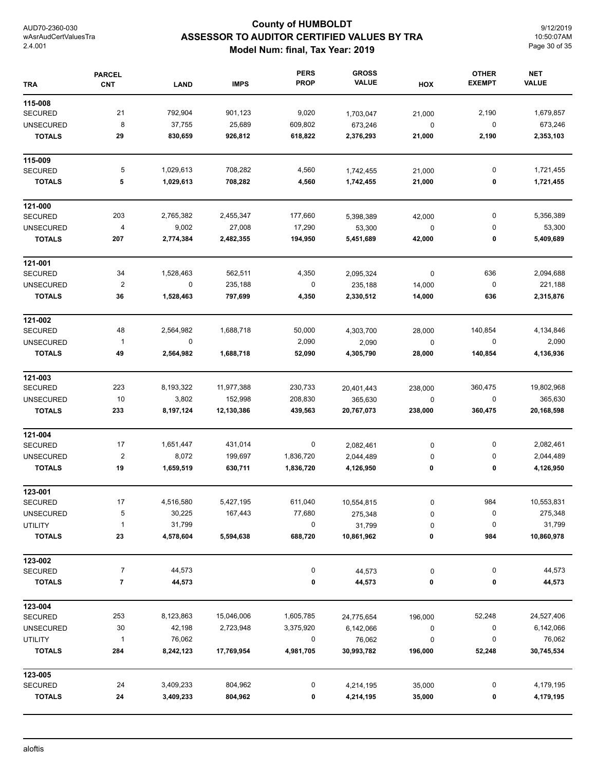## **County of HUMBOLDT ASSESSOR TO AUDITOR CERTIFIED VALUES BY TRA Model Num: final, Tax Year: 2019**

9/12/2019 10:50:07AM Page 30 of 35

| <b>TRA</b>       | <b>PARCEL</b><br><b>CNT</b> | <b>LAND</b> | <b>IMPS</b> | <b>PERS</b><br><b>PROP</b> | <b>GROSS</b><br><b>VALUE</b> | HOX       | <b>OTHER</b><br><b>EXEMPT</b> | <b>NET</b><br><b>VALUE</b> |
|------------------|-----------------------------|-------------|-------------|----------------------------|------------------------------|-----------|-------------------------------|----------------------------|
| 115-008          |                             |             |             |                            |                              |           |                               |                            |
| <b>SECURED</b>   | 21                          | 792,904     | 901,123     | 9,020                      | 1,703,047                    | 21,000    | 2,190                         | 1,679,857                  |
| <b>UNSECURED</b> | 8                           | 37,755      | 25,689      | 609,802                    | 673,246                      | $\pmb{0}$ | 0                             | 673,246                    |
| <b>TOTALS</b>    | 29                          | 830,659     | 926,812     | 618,822                    | 2,376,293                    | 21,000    | 2,190                         | 2,353,103                  |
| 115-009          |                             |             |             |                            |                              |           |                               |                            |
| <b>SECURED</b>   | 5                           | 1,029,613   | 708,282     | 4,560                      | 1,742,455                    | 21,000    | 0                             | 1,721,455                  |
| <b>TOTALS</b>    | 5                           | 1,029,613   | 708,282     | 4,560                      | 1,742,455                    | 21,000    | 0                             | 1,721,455                  |
| 121-000          |                             |             |             |                            |                              |           |                               |                            |
| <b>SECURED</b>   | 203                         | 2,765,382   | 2,455,347   | 177,660                    | 5,398,389                    | 42,000    | 0                             | 5,356,389                  |
| <b>UNSECURED</b> | 4                           | 9,002       | 27,008      | 17,290                     | 53,300                       | $\pmb{0}$ | 0                             | 53,300                     |
| <b>TOTALS</b>    | 207                         | 2,774,384   | 2,482,355   | 194,950                    | 5,451,689                    | 42,000    | 0                             | 5,409,689                  |
| 121-001          |                             |             |             |                            |                              |           |                               |                            |
| <b>SECURED</b>   | 34                          | 1,528,463   | 562,511     | 4,350                      | 2,095,324                    | $\pmb{0}$ | 636                           | 2,094,688                  |
| <b>UNSECURED</b> | $\overline{\mathbf{c}}$     | $\mathsf 0$ | 235,188     | $\boldsymbol{0}$           | 235,188                      | 14,000    | $\pmb{0}$                     | 221,188                    |
| <b>TOTALS</b>    | 36                          | 1,528,463   | 797,699     | 4,350                      | 2,330,512                    | 14,000    | 636                           | 2,315,876                  |
| 121-002          |                             |             |             |                            |                              |           |                               |                            |
| <b>SECURED</b>   | 48                          | 2,564,982   | 1,688,718   | 50,000                     | 4,303,700                    | 28,000    | 140,854                       | 4,134,846                  |
| <b>UNSECURED</b> | $\mathbf{1}$                | 0           |             | 2,090                      | 2,090                        | $\pmb{0}$ | 0                             | 2,090                      |
| <b>TOTALS</b>    | 49                          | 2,564,982   | 1,688,718   | 52,090                     | 4,305,790                    | 28,000    | 140,854                       | 4,136,936                  |
| 121-003          |                             |             |             |                            |                              |           |                               |                            |
| <b>SECURED</b>   | 223                         | 8,193,322   | 11,977,388  | 230,733                    | 20,401,443                   | 238,000   | 360,475                       | 19,802,968                 |
| <b>UNSECURED</b> | $10$                        | 3,802       | 152,998     | 208,830                    | 365,630                      | $\pmb{0}$ | 0                             | 365,630                    |
| <b>TOTALS</b>    | 233                         | 8,197,124   | 12,130,386  | 439,563                    | 20,767,073                   | 238,000   | 360,475                       | 20,168,598                 |
| 121-004          |                             |             |             |                            |                              |           |                               |                            |
| <b>SECURED</b>   | 17                          | 1,651,447   | 431,014     | $\pmb{0}$                  | 2,082,461                    | 0         | 0                             | 2,082,461                  |
| <b>UNSECURED</b> | $\boldsymbol{2}$            | 8,072       | 199,697     | 1,836,720                  | 2,044,489                    | $\pmb{0}$ | 0                             | 2,044,489                  |
| <b>TOTALS</b>    | 19                          | 1,659,519   | 630,711     | 1,836,720                  | 4,126,950                    | 0         | 0                             | 4,126,950                  |
| 123-001          |                             |             |             |                            |                              |           |                               |                            |
| SECURED          | 17                          | 4,516,580   | 5,427,195   | 611,040                    | 10,554,815                   | 0         | 984                           | 10,553,831                 |
| <b>UNSECURED</b> | 5                           | 30,225      | 167,443     | 77,680                     | 275,348                      | 0         | 0                             | 275,348                    |
| <b>UTILITY</b>   | $\mathbf{1}$                | 31,799      |             | $\pmb{0}$                  | 31,799                       | 0         | $\pmb{0}$                     | 31,799                     |
| <b>TOTALS</b>    | 23                          | 4,578,604   | 5,594,638   | 688,720                    | 10,861,962                   | 0         | 984                           | 10,860,978                 |
| 123-002          |                             |             |             |                            |                              |           |                               |                            |
| <b>SECURED</b>   | 7                           | 44,573      |             | 0                          | 44,573                       | 0         | 0                             | 44,573                     |
| <b>TOTALS</b>    | 7                           | 44,573      |             | 0                          | 44,573                       | 0         | 0                             | 44,573                     |
| 123-004          |                             |             |             |                            |                              |           |                               |                            |
| <b>SECURED</b>   | 253                         | 8,123,863   | 15,046,006  | 1,605,785                  | 24,775,654                   | 196,000   | 52,248                        | 24,527,406                 |
| <b>UNSECURED</b> | 30                          | 42,198      | 2,723,948   | 3,375,920                  | 6,142,066                    | 0         | 0                             | 6,142,066                  |
| <b>UTILITY</b>   | $\mathbf{1}$                | 76,062      |             | 0                          | 76,062                       | $\pmb{0}$ | 0                             | 76,062                     |
| <b>TOTALS</b>    | 284                         | 8,242,123   | 17,769,954  | 4,981,705                  | 30,993,782                   | 196,000   | 52,248                        | 30,745,534                 |
| 123-005          |                             |             |             |                            |                              |           |                               |                            |
| <b>SECURED</b>   | 24                          | 3,409,233   | 804,962     | 0                          | 4,214,195                    | 35,000    | 0                             | 4,179,195                  |
| <b>TOTALS</b>    | 24                          | 3,409,233   | 804,962     | 0                          | 4,214,195                    | 35,000    | 0                             | 4,179,195                  |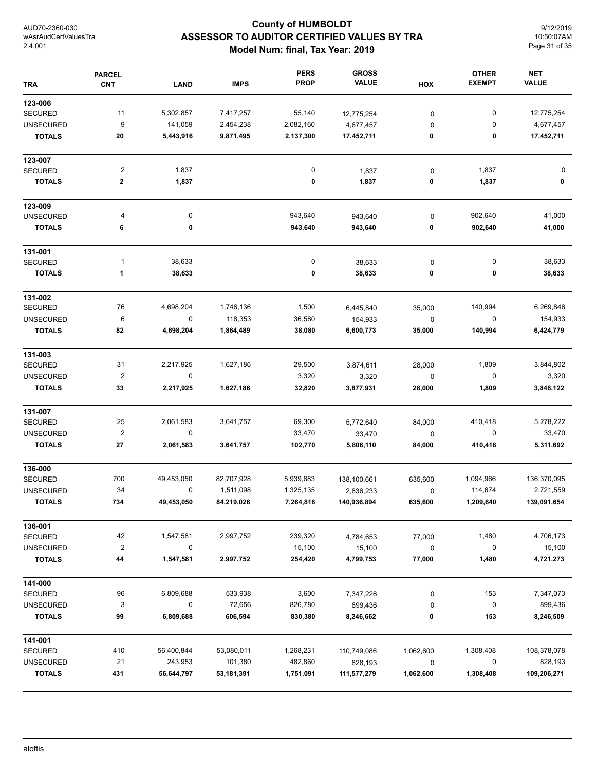# **County of HUMBOLDT ASSESSOR TO AUDITOR CERTIFIED VALUES BY TRA Model Num: final, Tax Year: 2019**

9/12/2019 10:50:07AM Page 31 of 35

| <b>TRA</b>       | <b>PARCEL</b><br><b>CNT</b> | <b>LAND</b> | <b>IMPS</b> | <b>PERS</b><br><b>PROP</b> | <b>GROSS</b><br><b>VALUE</b> | HOX         | <b>OTHER</b><br><b>EXEMPT</b> | <b>NET</b><br><b>VALUE</b> |
|------------------|-----------------------------|-------------|-------------|----------------------------|------------------------------|-------------|-------------------------------|----------------------------|
| 123-006          |                             |             |             |                            |                              |             |                               |                            |
| <b>SECURED</b>   | 11                          | 5,302,857   | 7,417,257   | 55,140                     | 12,775,254                   | 0           | 0                             | 12,775,254                 |
| <b>UNSECURED</b> | 9                           | 141,059     | 2,454,238   | 2,082,160                  | 4,677,457                    | 0           | 0                             | 4,677,457                  |
| <b>TOTALS</b>    | 20                          | 5,443,916   | 9,871,495   | 2,137,300                  | 17,452,711                   | 0           | 0                             | 17,452,711                 |
| 123-007          |                             |             |             |                            |                              |             |                               |                            |
| <b>SECURED</b>   | $\overline{\mathbf{c}}$     | 1,837       |             | 0                          | 1,837                        | 0           | 1,837                         | 0                          |
| <b>TOTALS</b>    | 2                           | 1,837       |             | 0                          | 1,837                        | 0           | 1,837                         | 0                          |
| 123-009          |                             |             |             |                            |                              |             |                               |                            |
| <b>UNSECURED</b> | 4                           | $\pmb{0}$   |             | 943,640                    | 943,640                      | $\pmb{0}$   | 902,640                       | 41,000                     |
| <b>TOTALS</b>    | 6                           | 0           |             | 943,640                    | 943,640                      | 0           | 902,640                       | 41,000                     |
| 131-001          |                             |             |             |                            |                              |             |                               |                            |
| <b>SECURED</b>   | 1                           | 38,633      |             | 0                          | 38,633                       | $\pmb{0}$   | 0                             | 38,633                     |
| <b>TOTALS</b>    | 1                           | 38,633      |             | 0                          | 38,633                       | 0           | 0                             | 38,633                     |
| 131-002          |                             |             |             |                            |                              |             |                               |                            |
| <b>SECURED</b>   | 76                          | 4,698,204   | 1,746,136   | 1,500                      | 6,445,840                    | 35,000      | 140,994                       | 6,269,846                  |
| <b>UNSECURED</b> | 6                           | $\pmb{0}$   | 118,353     | 36,580                     | 154,933                      | $\mathbf 0$ | 0                             | 154,933                    |
| <b>TOTALS</b>    | 82                          | 4,698,204   | 1,864,489   | 38,080                     | 6,600,773                    | 35,000      | 140,994                       | 6,424,779                  |
| 131-003          |                             |             |             |                            |                              |             |                               |                            |
| <b>SECURED</b>   | 31                          | 2,217,925   | 1,627,186   | 29,500                     | 3,874,611                    | 28,000      | 1,809                         | 3,844,802                  |
| <b>UNSECURED</b> | $\boldsymbol{2}$            | 0           |             | 3,320                      | 3,320                        | 0           | 0                             | 3,320                      |
| <b>TOTALS</b>    | 33                          | 2,217,925   | 1,627,186   | 32,820                     | 3,877,931                    | 28,000      | 1,809                         | 3,848,122                  |
| 131-007          |                             |             |             |                            |                              |             |                               |                            |
| <b>SECURED</b>   | 25                          | 2,061,583   | 3,641,757   | 69,300                     | 5,772,640                    | 84,000      | 410,418                       | 5,278,222                  |
| <b>UNSECURED</b> | $\overline{2}$              | $\mathbf 0$ |             | 33,470                     | 33,470                       | 0           | 0                             | 33,470                     |
| <b>TOTALS</b>    | 27                          | 2,061,583   | 3,641,757   | 102,770                    | 5,806,110                    | 84,000      | 410,418                       | 5,311,692                  |
| 136-000          |                             |             |             |                            |                              |             |                               |                            |
| <b>SECURED</b>   | 700                         | 49,453,050  | 82,707,928  | 5,939,683                  | 138,100,661                  | 635,600     | 1,094,966                     | 136,370,095                |
| <b>UNSECURED</b> | 34                          | 0           | 1,511,098   | 1,325,135                  | 2,836,233                    | $\pmb{0}$   | 114,674                       | 2,721,559                  |
| <b>TOTALS</b>    | 734                         | 49,453,050  | 84,219,026  | 7,264,818                  | 140,936,894                  | 635,600     | 1,209,640                     | 139,091,654                |
| 136-001          |                             |             |             |                            |                              |             |                               |                            |
| <b>SECURED</b>   | 42                          | 1,547,581   | 2,997,752   | 239,320                    | 4,784,653                    | 77,000      | 1,480                         | 4,706,173                  |
| <b>UNSECURED</b> | $\overline{2}$              | 0           |             | 15,100                     | 15,100                       | $\pmb{0}$   | 0                             | 15,100                     |
| <b>TOTALS</b>    | 44                          | 1,547,581   | 2,997,752   | 254,420                    | 4,799,753                    | 77,000      | 1,480                         | 4,721,273                  |
| 141-000          |                             |             |             |                            |                              |             |                               |                            |
| <b>SECURED</b>   | 96                          | 6,809,688   | 533,938     | 3,600                      | 7,347,226                    | 0           | 153                           | 7,347,073                  |
| <b>UNSECURED</b> | 3                           | 0           | 72,656      | 826,780                    | 899,436                      | $\pmb{0}$   | $\pmb{0}$                     | 899,436                    |
| <b>TOTALS</b>    | 99                          | 6,809,688   | 606,594     | 830,380                    | 8,246,662                    | 0           | 153                           | 8,246,509                  |
| 141-001          |                             |             |             |                            |                              |             |                               |                            |
| <b>SECURED</b>   | 410                         | 56,400,844  | 53,080,011  | 1,268,231                  | 110,749,086                  | 1,062,600   | 1,308,408                     | 108,378,078                |
| <b>UNSECURED</b> | 21                          | 243,953     | 101,380     | 482,860                    | 828,193                      | $\pmb{0}$   | 0                             | 828,193                    |
| <b>TOTALS</b>    | 431                         | 56,644,797  | 53,181,391  | 1,751,091                  | 111,577,279                  | 1,062,600   | 1,308,408                     | 109,206,271                |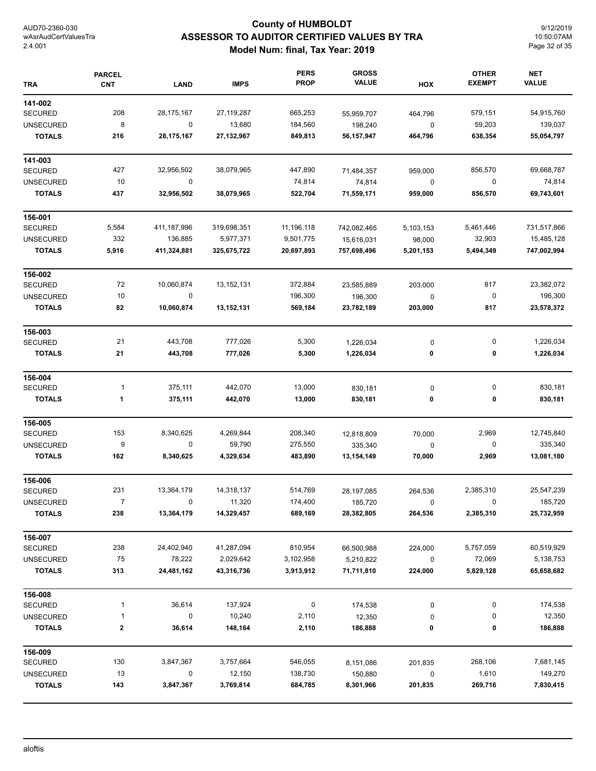## **County of HUMBOLDT ASSESSOR TO AUDITOR CERTIFIED VALUES BY TRA Model Num: final, Tax Year: 2019**

9/12/2019 10:50:07AM Page 32 of 35

| <b>TRA</b>       | <b>PARCEL</b><br><b>CNT</b> | <b>LAND</b>  | <b>IMPS</b>  | <b>PERS</b><br><b>PROP</b> | <b>GROSS</b><br><b>VALUE</b> | HOX       | <b>OTHER</b><br><b>EXEMPT</b> | <b>NET</b><br><b>VALUE</b> |
|------------------|-----------------------------|--------------|--------------|----------------------------|------------------------------|-----------|-------------------------------|----------------------------|
| 141-002          |                             |              |              |                            |                              |           |                               |                            |
| <b>SECURED</b>   | 208                         | 28,175,167   | 27, 119, 287 | 665,253                    | 55,959,707                   | 464,796   | 579,151                       | 54,915,760                 |
| <b>UNSECURED</b> | 8                           | 0            | 13,680       | 184,560                    | 198,240                      | $\pmb{0}$ | 59,203                        | 139,037                    |
| <b>TOTALS</b>    | 216                         | 28, 175, 167 | 27, 132, 967 | 849,813                    | 56,157,947                   | 464,796   | 638,354                       | 55,054,797                 |
| 141-003          |                             |              |              |                            |                              |           |                               |                            |
| <b>SECURED</b>   | 427                         | 32,956,502   | 38,079,965   | 447,890                    | 71,484,357                   | 959,000   | 856,570                       | 69,668,787                 |
| <b>UNSECURED</b> | 10                          | 0            |              | 74,814                     | 74,814                       | 0         | $\mathbf 0$                   | 74,814                     |
| <b>TOTALS</b>    | 437                         | 32,956,502   | 38,079,965   | 522,704                    | 71,559,171                   | 959,000   | 856,570                       | 69,743,601                 |
| 156-001          |                             |              |              |                            |                              |           |                               |                            |
| <b>SECURED</b>   | 5,584                       | 411,187,996  | 319,698,351  | 11,196,118                 | 742,082,465                  | 5,103,153 | 5,461,446                     | 731,517,866                |
| <b>UNSECURED</b> | 332                         | 136,885      | 5,977,371    | 9,501,775                  | 15,616,031                   | 98,000    | 32,903                        | 15,485,128                 |
| <b>TOTALS</b>    | 5,916                       | 411,324,881  | 325,675,722  | 20,697,893                 | 757,698,496                  | 5,201,153 | 5,494,349                     | 747,002,994                |
| 156-002          |                             |              |              |                            |                              |           |                               |                            |
| <b>SECURED</b>   | 72                          | 10,060,874   | 13,152,131   | 372,884                    | 23,585,889                   | 203,000   | 817                           | 23,382,072                 |
| <b>UNSECURED</b> | 10                          | $\mathbf 0$  |              | 196,300                    | 196,300                      | $\pmb{0}$ | $\boldsymbol{0}$              | 196,300                    |
| <b>TOTALS</b>    | 82                          | 10,060,874   | 13,152,131   | 569,184                    | 23,782,189                   | 203,000   | 817                           | 23,578,372                 |
| 156-003          |                             |              |              |                            |                              |           |                               |                            |
| <b>SECURED</b>   | 21                          | 443,708      | 777,026      | 5,300                      | 1,226,034                    | 0         | 0                             | 1,226,034                  |
| <b>TOTALS</b>    | 21                          | 443,708      | 777,026      | 5,300                      | 1,226,034                    | 0         | 0                             | 1,226,034                  |
| 156-004          |                             |              |              |                            |                              |           |                               |                            |
| <b>SECURED</b>   | 1                           | 375,111      | 442,070      | 13,000                     | 830,181                      | 0         | 0                             | 830,181                    |
| <b>TOTALS</b>    | 1                           | 375,111      | 442,070      | 13,000                     | 830,181                      | 0         | 0                             | 830,181                    |
| 156-005          |                             |              |              |                            |                              |           |                               |                            |
| <b>SECURED</b>   | 153                         | 8,340,625    | 4,269,844    | 208,340                    | 12,818,809                   | 70,000    | 2,969                         | 12,745,840                 |
| <b>UNSECURED</b> | 9                           | $\mathbf 0$  | 59,790       | 275,550                    | 335,340                      | 0         | 0                             | 335,340                    |
| <b>TOTALS</b>    | 162                         | 8,340,625    | 4,329,634    | 483,890                    | 13,154,149                   | 70,000    | 2,969                         | 13,081,180                 |
| 156-006          |                             |              |              |                            |                              |           |                               |                            |
| <b>SECURED</b>   | 231                         | 13,364,179   | 14,318,137   | 514,769                    | 28,197,085                   | 264,536   | 2,385,310                     | 25,547,239                 |
| UNSECURED        | 7                           | 0            | 11,320       | 174,400                    | 185,720                      | 0         | $\mathbf{0}$                  | 185,720                    |
| <b>TOTALS</b>    | 238                         | 13,364,179   | 14,329,457   | 689,169                    | 28,382,805                   | 264,536   | 2,385,310                     | 25,732,959                 |
| 156-007          |                             |              |              |                            |                              |           |                               |                            |
| <b>SECURED</b>   | 238                         | 24,402,940   | 41,287,094   | 810,954                    | 66,500,988                   | 224,000   | 5,757,059                     | 60,519,929                 |
| <b>UNSECURED</b> | 75                          | 78,222       | 2,029,642    | 3,102,958                  | 5,210,822                    | 0         | 72,069                        | 5,138,753                  |
| <b>TOTALS</b>    | 313                         | 24,481,162   | 43,316,736   | 3,913,912                  | 71,711,810                   | 224,000   | 5,829,128                     | 65,658,682                 |
| 156-008          |                             |              |              |                            |                              |           |                               |                            |
| SECURED          | 1                           | 36,614       | 137,924      | 0                          | 174,538                      | 0         | 0                             | 174,538                    |
| <b>UNSECURED</b> | 1                           | 0            | 10,240       | 2,110                      | 12,350                       | 0         | 0                             | 12,350                     |
| <b>TOTALS</b>    | $\bf{2}$                    | 36,614       | 148,164      | 2,110                      | 186,888                      | 0         | 0                             | 186,888                    |
| 156-009          |                             |              |              |                            |                              |           |                               |                            |
| <b>SECURED</b>   | 130                         | 3,847,367    | 3,757,664    | 546,055                    | 8,151,086                    | 201,835   | 268,106                       | 7,681,145                  |
| <b>UNSECURED</b> | 13                          | 0            | 12,150       | 138,730                    | 150,880                      | 0         | 1,610                         | 149,270                    |
| <b>TOTALS</b>    | 143                         | 3,847,367    | 3,769,814    | 684,785                    | 8,301,966                    | 201,835   | 269,716                       | 7,830,415                  |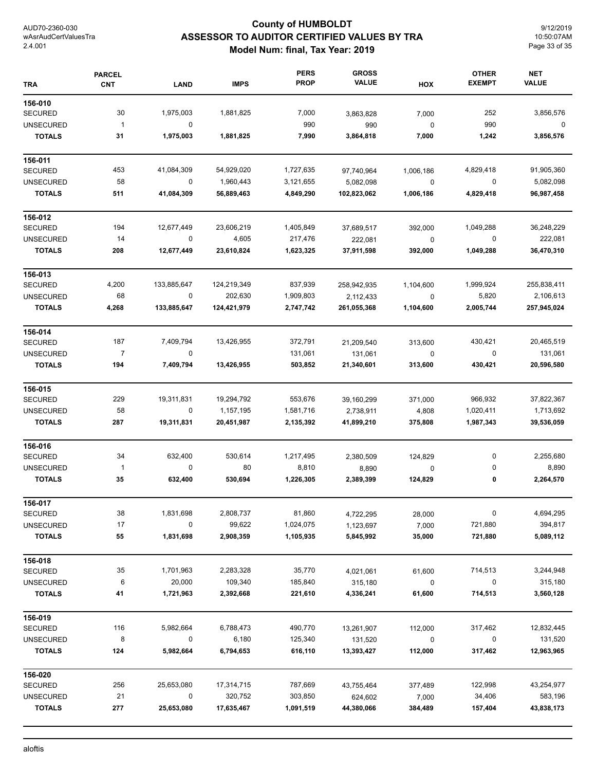## **County of HUMBOLDT ASSESSOR TO AUDITOR CERTIFIED VALUES BY TRA Model Num: final, Tax Year: 2019**

9/12/2019 10:50:07AM Page 33 of 35

| TRA              | <b>PARCEL</b><br><b>CNT</b> | <b>LAND</b> | <b>IMPS</b> | <b>PERS</b><br><b>PROP</b> | <b>GROSS</b><br><b>VALUE</b> | HOX         | <b>OTHER</b><br><b>EXEMPT</b> | <b>NET</b><br><b>VALUE</b> |
|------------------|-----------------------------|-------------|-------------|----------------------------|------------------------------|-------------|-------------------------------|----------------------------|
| 156-010          |                             |             |             |                            |                              |             |                               |                            |
| <b>SECURED</b>   | 30                          | 1,975,003   | 1,881,825   | 7,000                      | 3,863,828                    | 7,000       | 252                           | 3,856,576                  |
| <b>UNSECURED</b> | $\overline{1}$              | 0           |             | 990                        | 990                          | $\mathbf 0$ | 990                           | 0                          |
| <b>TOTALS</b>    | 31                          | 1,975,003   | 1,881,825   | 7,990                      | 3,864,818                    | 7,000       | 1,242                         | 3,856,576                  |
| 156-011          |                             |             |             |                            |                              |             |                               |                            |
| <b>SECURED</b>   | 453                         | 41,084,309  | 54,929,020  | 1,727,635                  | 97,740,964                   | 1,006,186   | 4,829,418                     | 91,905,360                 |
| <b>UNSECURED</b> | 58                          | 0           | 1,960,443   | 3,121,655                  | 5,082,098                    | 0           | 0                             | 5,082,098                  |
| <b>TOTALS</b>    | 511                         | 41,084,309  | 56,889,463  | 4,849,290                  | 102,823,062                  | 1,006,186   | 4,829,418                     | 96,987,458                 |
| 156-012          |                             |             |             |                            |                              |             |                               |                            |
| <b>SECURED</b>   | 194                         | 12,677,449  | 23,606,219  | 1,405,849                  | 37,689,517                   | 392,000     | 1,049,288                     | 36,248,229                 |
| <b>UNSECURED</b> | 14                          | $\pmb{0}$   | 4,605       | 217,476                    | 222,081                      | $\pmb{0}$   | $\pmb{0}$                     | 222,081                    |
| <b>TOTALS</b>    | 208                         | 12,677,449  | 23,610,824  | 1,623,325                  | 37,911,598                   | 392,000     | 1,049,288                     | 36,470,310                 |
| 156-013          |                             |             |             |                            |                              |             |                               |                            |
| <b>SECURED</b>   | 4,200                       | 133,885,647 | 124,219,349 | 837,939                    | 258,942,935                  | 1,104,600   | 1,999,924                     | 255,838,411                |
| <b>UNSECURED</b> | 68                          | $\pmb{0}$   | 202,630     | 1,909,803                  | 2,112,433                    | $\pmb{0}$   | 5,820                         | 2,106,613                  |
| <b>TOTALS</b>    | 4,268                       | 133,885,647 | 124,421,979 | 2,747,742                  | 261,055,368                  | 1,104,600   | 2,005,744                     | 257,945,024                |
| 156-014          |                             |             |             |                            |                              |             |                               |                            |
| <b>SECURED</b>   | 187                         | 7,409,794   | 13,426,955  | 372,791                    | 21,209,540                   | 313,600     | 430,421                       | 20,465,519                 |
| <b>UNSECURED</b> | $\overline{7}$              | 0           |             | 131,061                    | 131,061                      | $\pmb{0}$   | 0                             | 131,061                    |
| <b>TOTALS</b>    | 194                         | 7,409,794   | 13,426,955  | 503,852                    | 21,340,601                   | 313,600     | 430,421                       | 20,596,580                 |
| 156-015          |                             |             |             |                            |                              |             |                               |                            |
| <b>SECURED</b>   | 229                         | 19,311,831  | 19,294,792  | 553,676                    | 39,160,299                   | 371,000     | 966,932                       | 37,822,367                 |
| <b>UNSECURED</b> | 58                          | $\mathbf 0$ | 1,157,195   | 1,581,716                  | 2,738,911                    | 4,808       | 1,020,411                     | 1,713,692                  |
| <b>TOTALS</b>    | 287                         | 19,311,831  | 20,451,987  | 2,135,392                  | 41,899,210                   | 375,808     | 1,987,343                     | 39,536,059                 |
| 156-016          |                             |             |             |                            |                              |             |                               |                            |
| <b>SECURED</b>   | 34                          | 632,400     | 530,614     | 1,217,495                  | 2,380,509                    | 124,829     | 0                             | 2,255,680                  |
| <b>UNSECURED</b> | $\overline{1}$              | 0           | 80          | 8,810                      | 8,890                        | $\pmb{0}$   | 0                             | 8,890                      |
| <b>TOTALS</b>    | 35                          | 632,400     | 530,694     | 1,226,305                  | 2,389,399                    | 124,829     | 0                             | 2,264,570                  |
| 156-017          |                             |             |             |                            |                              |             |                               |                            |
| <b>SECURED</b>   | 38                          | 1,831,698   | 2,808,737   | 81,860                     | 4,722,295                    | 28,000      | $\pmb{0}$                     | 4,694,295                  |
| <b>UNSECURED</b> | 17                          | 0           | 99,622      | 1,024,075                  | 1,123,697                    | 7,000       | 721,880                       | 394,817                    |
| <b>TOTALS</b>    | 55                          | 1,831,698   | 2,908,359   | 1,105,935                  | 5,845,992                    | 35,000      | 721,880                       | 5,089,112                  |
| 156-018          |                             |             |             |                            |                              |             |                               |                            |
| <b>SECURED</b>   | 35                          | 1,701,963   | 2,283,328   | 35,770                     | 4,021,061                    | 61,600      | 714,513                       | 3,244,948                  |
| <b>UNSECURED</b> | 6                           | 20,000      | 109,340     | 185,840                    | 315,180                      | $\pmb{0}$   | 0                             | 315,180                    |
| <b>TOTALS</b>    | 41                          | 1,721,963   | 2,392,668   | 221,610                    | 4,336,241                    | 61,600      | 714,513                       | 3,560,128                  |
| 156-019          |                             |             |             |                            |                              |             |                               |                            |
| <b>SECURED</b>   | 116                         | 5,982,664   | 6,788,473   | 490,770                    | 13,261,907                   | 112,000     | 317,462                       | 12,832,445                 |
| <b>UNSECURED</b> | 8                           | 0           | 6,180       | 125,340                    | 131,520                      | $\pmb{0}$   | 0                             | 131,520                    |
| <b>TOTALS</b>    | 124                         | 5,982,664   | 6,794,653   | 616,110                    | 13,393,427                   | 112,000     | 317,462                       | 12,963,965                 |
| 156-020          |                             |             |             |                            |                              |             |                               |                            |
| <b>SECURED</b>   | 256                         | 25,653,080  | 17,314,715  | 787,669                    | 43,755,464                   | 377,489     | 122,998                       | 43,254,977                 |
| <b>UNSECURED</b> | 21                          | 0           | 320,752     | 303,850                    | 624,602                      | 7,000       | 34,406                        | 583,196                    |
| <b>TOTALS</b>    | 277                         | 25,653,080  | 17,635,467  | 1,091,519                  | 44,380,066                   | 384,489     | 157,404                       | 43,838,173                 |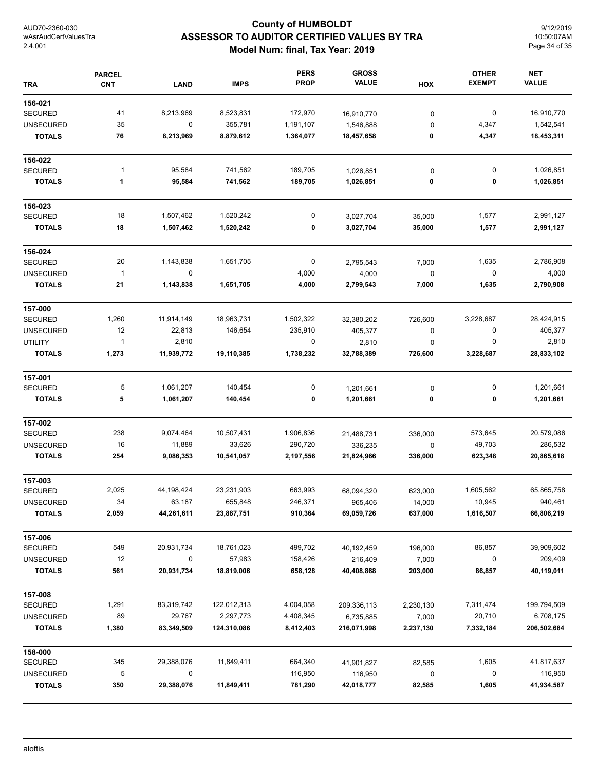## **County of HUMBOLDT ASSESSOR TO AUDITOR CERTIFIED VALUES BY TRA Model Num: final, Tax Year: 2019**

9/12/2019 10:50:07AM Page 34 of 35

| <b>TRA</b>       | <b>PARCEL</b><br><b>CNT</b> | <b>LAND</b> | <b>IMPS</b> | <b>PERS</b><br><b>PROP</b> | <b>GROSS</b><br><b>VALUE</b> | HOX       | <b>OTHER</b><br><b>EXEMPT</b> | <b>NET</b><br><b>VALUE</b> |
|------------------|-----------------------------|-------------|-------------|----------------------------|------------------------------|-----------|-------------------------------|----------------------------|
| 156-021          |                             |             |             |                            |                              |           |                               |                            |
| <b>SECURED</b>   | 41                          | 8,213,969   | 8,523,831   | 172,970                    | 16,910,770                   | 0         | 0                             | 16,910,770                 |
| <b>UNSECURED</b> | 35                          | 0           | 355,781     | 1,191,107                  | 1,546,888                    | $\pmb{0}$ | 4,347                         | 1,542,541                  |
| <b>TOTALS</b>    | 76                          | 8,213,969   | 8,879,612   | 1,364,077                  | 18,457,658                   | 0         | 4,347                         | 18,453,311                 |
| 156-022          |                             |             |             |                            |                              |           |                               |                            |
| <b>SECURED</b>   | $\mathbf{1}$                | 95,584      | 741,562     | 189,705                    | 1,026,851                    | $\pmb{0}$ | 0                             | 1,026,851                  |
| <b>TOTALS</b>    | 1                           | 95,584      | 741,562     | 189,705                    | 1,026,851                    | 0         | 0                             | 1,026,851                  |
| 156-023          |                             |             |             |                            |                              |           |                               |                            |
| <b>SECURED</b>   | 18                          | 1,507,462   | 1,520,242   | 0                          | 3,027,704                    | 35,000    | 1,577                         | 2,991,127                  |
| <b>TOTALS</b>    | 18                          | 1,507,462   | 1,520,242   | 0                          | 3,027,704                    | 35,000    | 1,577                         | 2,991,127                  |
| 156-024          |                             |             |             |                            |                              |           |                               |                            |
| <b>SECURED</b>   | 20                          | 1,143,838   | 1,651,705   | $\pmb{0}$                  | 2,795,543                    | 7,000     | 1,635                         | 2,786,908                  |
| <b>UNSECURED</b> | $\mathbf{1}$                | 0           |             | 4,000                      | 4,000                        | $\pmb{0}$ | 0                             | 4,000                      |
| <b>TOTALS</b>    | 21                          | 1,143,838   | 1,651,705   | 4,000                      | 2,799,543                    | 7,000     | 1,635                         | 2,790,908                  |
| 157-000          |                             |             |             |                            |                              |           |                               |                            |
| <b>SECURED</b>   | 1,260                       | 11,914,149  | 18,963,731  | 1,502,322                  | 32,380,202                   | 726,600   | 3,228,687                     | 28,424,915                 |
| <b>UNSECURED</b> | 12                          | 22,813      | 146,654     | 235,910                    | 405,377                      | $\pmb{0}$ | 0                             | 405,377                    |
| <b>UTILITY</b>   | $\mathbf{1}$                | 2,810       |             | 0                          | 2,810                        | $\pmb{0}$ | 0                             | 2,810                      |
| <b>TOTALS</b>    | 1,273                       | 11,939,772  | 19,110,385  | 1,738,232                  | 32,788,389                   | 726,600   | 3,228,687                     | 28,833,102                 |
| 157-001          |                             |             |             |                            |                              |           |                               |                            |
| <b>SECURED</b>   | 5                           | 1,061,207   | 140,454     | 0                          | 1,201,661                    | 0         | 0                             | 1,201,661                  |
| <b>TOTALS</b>    | 5                           | 1,061,207   | 140,454     | 0                          | 1,201,661                    | 0         | 0                             | 1,201,661                  |
| 157-002          |                             |             |             |                            |                              |           |                               |                            |
| <b>SECURED</b>   | 238                         | 9,074,464   | 10,507,431  | 1,906,836                  | 21,488,731                   | 336,000   | 573,645                       | 20,579,086                 |
| <b>UNSECURED</b> | 16                          | 11,889      | 33,626      | 290,720                    | 336,235                      | 0         | 49,703                        | 286,532                    |
| <b>TOTALS</b>    | 254                         | 9,086,353   | 10,541,057  | 2,197,556                  | 21,824,966                   | 336,000   | 623,348                       | 20,865,618                 |
| 157-003          |                             |             |             |                            |                              |           |                               |                            |
| <b>SECURED</b>   | 2,025                       | 44,198,424  | 23,231,903  | 663,993                    | 68,094,320                   | 623,000   | 1,605,562                     | 65,865,758                 |
| UNSECURED        | 34                          | 63,187      | 655,848     | 246,371                    | 965,406                      | 14,000    | 10,945                        | 940,461                    |
| <b>TOTALS</b>    | 2,059                       | 44,261,611  | 23,887,751  | 910,364                    | 69,059,726                   | 637,000   | 1,616,507                     | 66,806,219                 |
| 157-006          |                             |             |             |                            |                              |           |                               |                            |
| <b>SECURED</b>   | 549                         | 20,931,734  | 18,761,023  | 499,702                    | 40,192,459                   | 196,000   | 86,857                        | 39,909,602                 |
| <b>UNSECURED</b> | 12                          | 0           | 57,983      | 158,426                    | 216,409                      | 7,000     | 0                             | 209,409                    |
| <b>TOTALS</b>    | 561                         | 20,931,734  | 18,819,006  | 658,128                    | 40,408,868                   | 203,000   | 86,857                        | 40,119,011                 |
| 157-008          |                             |             |             |                            |                              |           |                               |                            |
| <b>SECURED</b>   | 1,291                       | 83,319,742  | 122,012,313 | 4,004,058                  | 209,336,113                  | 2,230,130 | 7,311,474                     | 199,794,509                |
| <b>UNSECURED</b> | 89                          | 29,767      | 2,297,773   | 4,408,345                  | 6,735,885                    | 7,000     | 20,710                        | 6,708,175                  |
| <b>TOTALS</b>    | 1,380                       | 83,349,509  | 124,310,086 | 8,412,403                  | 216,071,998                  | 2,237,130 | 7,332,184                     | 206,502,684                |
| 158-000          |                             |             |             |                            |                              |           |                               |                            |
| <b>SECURED</b>   | 345                         | 29,388,076  | 11,849,411  | 664,340                    | 41,901,827                   | 82,585    | 1,605                         | 41,817,637                 |
| <b>UNSECURED</b> | 5                           | 0           |             | 116,950                    | 116,950                      | $\pmb{0}$ | 0                             | 116,950                    |
| <b>TOTALS</b>    | 350                         | 29,388,076  | 11,849,411  | 781,290                    | 42,018,777                   | 82,585    | 1,605                         | 41,934,587                 |